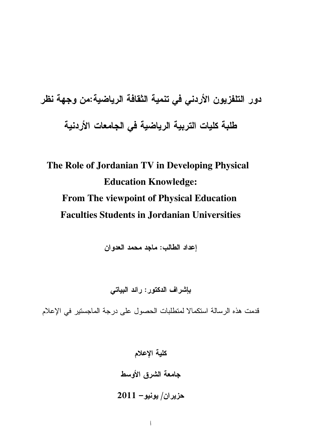# دور التلفزيون الأردني في تنمية الثقافة الرياضية:من وجهة نظر طلبة كليات التربية الرياضية في الجامعات الأردنية

# The Role of Jordanian TV in Developing Physical **Education Knowledge: From The viewpoint of Physical Education Faculties Students in Jordanian Universities**

إعداد الطالب: ماجد محمد العدوان

بإشراف الدكتور: رائد البياتي

قدمت هذه الرسالة استكمالا لمتطلبات الحصول على درجة الماجستير في الإعلام

كلية الإعلام جامعة الشرق الأوسط

 $2011 - 201$ هزيران/ يونيو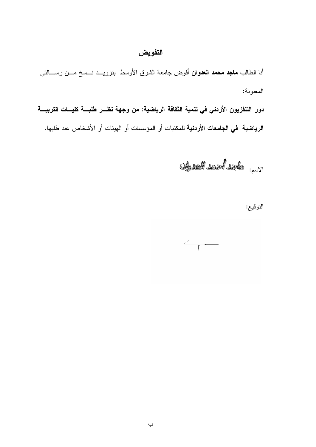## التفويض

أنا الطالب **ماجد محمد العدوان** أفوض جامعة الشرق الأوسط بتزويـــد نـــسخ مـــن رســــالتـي المعنونة:

دور التلفزيون الأردني في تنمية الثقافة الرياضية: من وجهة نظــر طلبـــة كليـــات التربيـــة ا**لرياضية في الجامعات الأردنية ل**لمكتبات أو المؤسسات أو الهيئات أو الأشخاص عند طلبها.

الاسم: وللجلة ألحمد العلوان

التوقيع:

 $\left\langle \frac{1}{\sqrt{2\pi}}\right\rangle$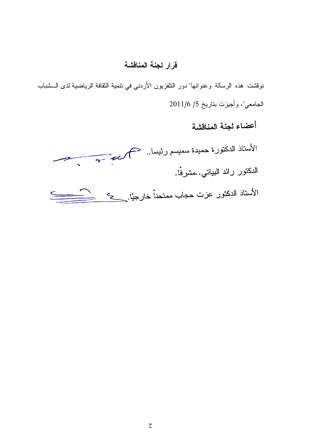## قرار لجنة المناقشة

نوقشت هذه الرسالة وعنوانها" دور النلفزيون الأردني في نتمية الثقافة الرياضية لدى الـــشباب الجامعي"، وأجيزت بتاريخ 5/ 2011/6

أعضاء لجنة المناقشة

الأستاذ الدكتورة حميدة سمبسم رئيسا.. فكم كريم كصبيب مستصب مستقصي الدكتور رائد البياتي..مشرفًا.  $\qquad \qquad \qquad \qquad$ الأستاذ الدكتور عزت حجاب ممتحناً خارجيًا. حجم كمستك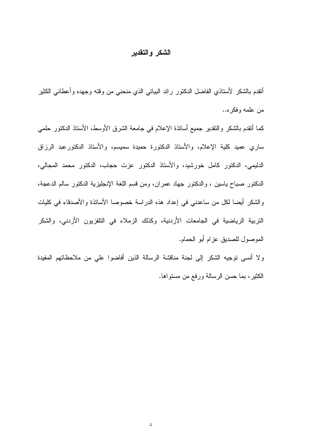#### الشكر والتقدير

أتقدم بالشكر لأستاذي الفاضل الدكتور رائد البياتي الذي منحنى من وقته وجهده وأعطاني الكثير من علمه وفكره..

كما أنقدم بالشكر والنقدير جميع أسانذة الإعلام في جامعة الشرق الأوسط، الأسناذ الدكنور حلمي ساري عميد كلية الإعلام، والأستاذ الدكتورة حميدة سميسم، والأستاذ الدكتورعبد الرزاق الدليمي، الدكتور كامل خورشيد، والأستاذ الدكتور عزت حجاب، الدكتور محمد المجالي، الدكتور صباح باسين ، والدكتور جهاد عمران، ومن قسم اللغة الإنجليزية الدكتور سالم الدعجة، والشكر أيضا لكل من ساعدني في إعداد هذه الدراسة خصوصا الأسانذة والأصدقاء في كليات التربية الرياضية في الجامعات الأردنية، وكذلك الزملاء في التلفزيون الأردني، والشكر الموصول للصديق عزام أبو الحمام.

ولا أنسى توجيه الشكر إلى لجنة مناقشة الرسالة الذين أفاضوا على من ملاحظاتهم المفيدة الكثير ، بما حسن الرسالة ورفع من مستواها.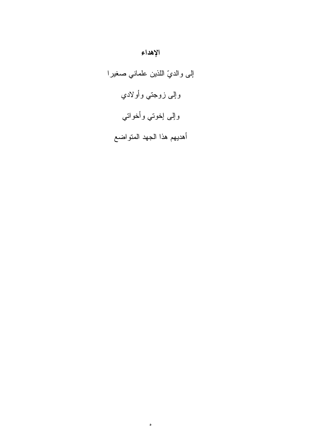# إلى والديّ اللذين علماني صغيرا وإلى زوجتي وأولادي وإلى إخوتي وأخواتي أهديهم هذا الجهد المتواضع

 $\bullet$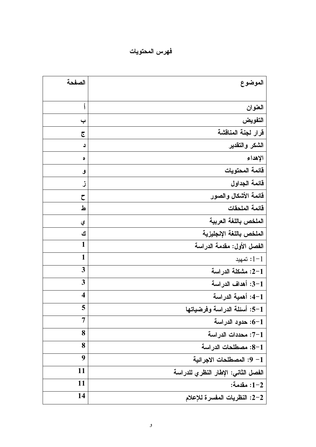فهرس المحتويات

| الصفحة<br>الموضوع                             |  |
|-----------------------------------------------|--|
|                                               |  |
| أ<br>العنوان                                  |  |
| التفويض<br>پ                                  |  |
| قرار لجنة المناقشة<br>جح                      |  |
| الشكر والتقدير<br>د                           |  |
| الإهداء<br>٥                                  |  |
| فائمة المحتويات<br>و                          |  |
| قائمة الجداول<br>ڒ                            |  |
| قائمة الأشكال والصور<br>ح                     |  |
| قائمة الملحقات<br>ط                           |  |
| الملخص باللغة العربية<br>ي                    |  |
| الملخص باللغة الإنجليزية<br>ك                 |  |
| 1<br>الفصل الأول: مقدمة الدراسة               |  |
| 1<br>$-1$ : تمهید                             |  |
| 3<br>1-2: مشكلة الدراسة                       |  |
| 3<br>3-1: أهداف الدراسة                       |  |
| $\overline{\mathbf{4}}$<br>1–4: أهمية الدراسة |  |
| 5<br>1–5: أسئلة الدراسة وفرضياتها             |  |
| 7<br>1–6: حدود الدراسة                        |  |
| 8<br>1–7: محددات الدراسة                      |  |
| 8<br>1–8: مصطلحات الدراسة                     |  |
| 9<br>1– 9: المصطلحات الاجرائية                |  |
| 11<br>الفصل الثانى: الإطار النظري للدراسة     |  |
| 11<br>1−2: مقدمة:                             |  |
| 14<br>2–2: النظريات المفسرة للإعلام           |  |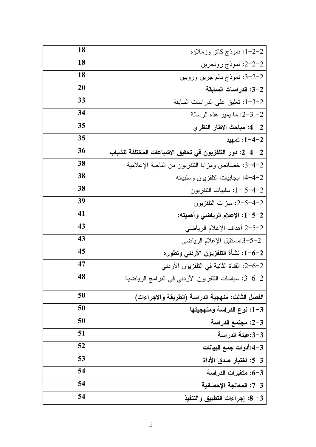| 18 | 1–2–2: نموذج كانز وزملاؤه                                |
|----|----------------------------------------------------------|
| 18 | 2-2-2: نموذج رونجرين                                     |
| 18 | 2-2-3: نموذج بالم جرين وروبين                            |
| 20 | 3–3: الدراسات السابقة                                    |
| 33 | 1-3-2: تعليق على الدراسات السابقة                        |
| 34 | 2- 3-2: ما يميز هذه الرسالة                              |
| 35 | 2– 4: مباحث الاطار النظري                                |
| 35 | 1−4−2: تمهيد                                             |
| 36 | 2– 4–2: دور التلفزيون في تحقيق الاشباعات المختلفة للشباب |
| 38 | 2–4–3: خصائص ومزايا النلفزيون من الناحية الإعلامية       |
| 38 | 2–4–4: ايجابيات النلفزيون وسلبيانه                       |
| 38 | 1-5-4-2: سلبيات النلفزيون                                |
| 39 | 2-5-4-2: ميزات النلفزيون                                 |
| 41 | 1-5-2: الإعلام الرياضي وأهميته:                          |
| 43 | 2-5-2 أهداف الإعلام الرياضي                              |
| 43 | 3-5-2:مستقبل الإعلام الرياضي                             |
| 45 | 1-6-2: نشأة التلفزيون الأردني وتطوره                     |
| 47 | 2-6-2: القناة الثانية في التلفزيون الأردني               |
| 48 | 2−6−3: سياسات النلفزيون الأردني في البرامج الرياضية      |
| 50 | الفصل الثالث: منهجية الدراسة (الطريقة والاجراءات)        |
| 50 | 1-3: نوع الدراسة ومنهجيتها                               |
| 50 | 2-3: مجتمع الدراسة                                       |
| 51 | 3-3:عينة الدراسة                                         |
| 52 | 3–4:أدوات جمع البيانات                                   |
| 53 | 3–5: اختبار صدق الأداة                                   |
| 54 | 3−6: متغيرات الدراسة                                     |
| 54 | 7-3: المعالجة الإحصائية                                  |
| 54 | 3– 8: إجراءات التطبيق والتنفيذ                           |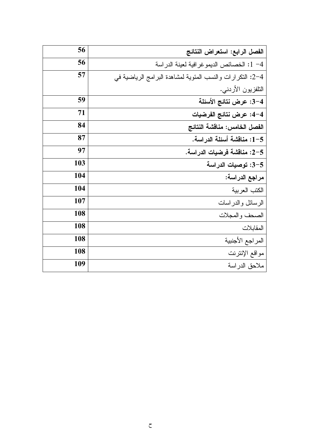| 56  | الفصل الرابع: استعراض النتائج                              |  |
|-----|------------------------------------------------------------|--|
| 56  | 4– 1: الخصائص الديمو غر افية لعينة الدر اسة                |  |
| 57  | 2-4: النكر ارات والنسب المئوية لمشاهدة البرامج الرياضية في |  |
|     | النلفزيون الأردنبي.                                        |  |
| 59  | 3–4: عرض نتائج الأسئلة                                     |  |
| 71  | 4–4: عرض نتائج الفرضيات                                    |  |
| 84  | الفصل الخامس: مناقشة النتائج                               |  |
| 87  | 5–1: مناقشة أسئلة الدراسة.                                 |  |
| 97  | 5–2: مناقشة فرضيات الدراسة.                                |  |
| 103 | 3-5: توصيات الدراسة                                        |  |
| 104 | مراجع الدراسة:                                             |  |
| 104 | الكتب العربية                                              |  |
| 107 | الرسائل والدراسات                                          |  |
| 108 | الصحف والمجلات                                             |  |
| 108 | المقابلات                                                  |  |
| 108 | المراجع الأجنبية                                           |  |
| 108 | مواقع الإنترنت                                             |  |
| 109 | ملاحق الدراسة                                              |  |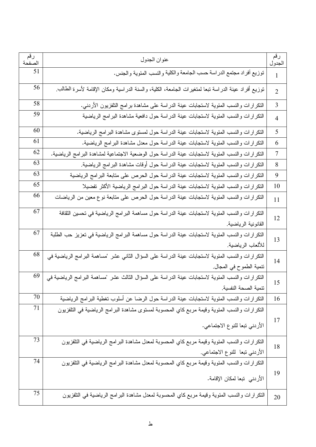| رقم<br>الصفحة | عنوان الجدول                                                                                                                   | رقم<br>الجدول  |
|---------------|--------------------------------------------------------------------------------------------------------------------------------|----------------|
| 51            | توزيع أفراد مجتمع الدراسة حسب الجامعة والكلية والنسب المئوية والجنس.                                                           | $\mathbf{1}$   |
| 56            | نوزيع أفراد عينة الدراسة نبعا لمتغيرات الجامعة، الكلية، والسنة الدراسية ومكان الإقامة لأسرة الطالب                             | $\overline{2}$ |
| 58            | النكر ارات والنسب المئوية لاستجابات عينة الدراسة على مشاهدة برامج التلفزيون الأردني.                                           | 3              |
| 59            | النكرارات والنسب المئوية لاستجابات عينة الدراسة حول دافعية مشاهدة البرامج الرياضية                                             | $\overline{4}$ |
| 60            | النكر ارات والنسب المئوية لاستجابات عينة الدراسة حول لمستوى مشاهدة البرامج الرياضية.                                           | 5              |
| 61            | النكر ارات والنسب المئوية لاستجابات عينة الدراسة حول معدل مشاهدة البرامج الرياضية.                                             | 6              |
| 62            | النكرارات والنسب المئوية لاستجابات عينة الدراسة حول الوضعية الاجتماعية لمشاهدة البرامج الرياضية.                               | $\tau$         |
| 63            | النكر ارات والنسب المئوية لاستجابات عينة الدراسة حول أوقات مشاهدة البرامج الرياضية.                                            | 8              |
| 63            | النكرارات والنسب المئوية لاستجابات عينة الدراسة حول الحرص على متابعة البرامج الرياضية                                          | 9              |
| 65            | النكر ارات والنسب المئوية لاستجابات عينة الدراسة حول البر امج الرياضية الأكثر نفضيلا                                           | 10             |
| 66            | النكر ارات والنسب المئوية لاستجابات عينة الدراسة حول الحرص على متابعة نوع معين من الرياضات                                     | 11             |
| 67            | التكر ارات والنسب المئوية لاستجابات عينة الدراسة حول مساهمة البرامج الرياضية في تحسين الثقافة<br>القانونية الرياضية.           | 12             |
| 67            | النكر ارات والنسب المئوية لاستجابات عينة الدراسة حول مساهمة البرامج الرياضية في تعزيز حب الطلبة<br>للألعاب الرياضية.           | 13             |
| 68            | النكر ار ان والنسب المئوية لاستجابات عينة الدراسة على السؤال الثاني عشر "مساهمة البرامج الرياضية في<br>نتمية الطموح في المجال. | 14             |
| 69            | النكر ارات والنسب المئوية لاستجابات عينة الدراسة على السؤال الثالث عشر "مساهمة البرامج الرياضية في<br>نتمبة الصحة النفسبة.     | 15             |
| 70            | النكرارات والنسب المئوية لاستجابات عينة الدراسة حول الرضا عن أسلوب تغطية البرامج الرياضية                                      | 16             |
| 71            | النكر ارات والنسب المئوية وقيمة مربع كاي المحسوبة لمستوى مشاهدة البرامج الرياضية في التلفزيون<br>الأردني تبعا للنوع الاجتماعي. | 17             |
| 73            | النكر ارات والنسب المئوية وقيمة مربع كاي المحسوبة لمعدل مشاهدة البرامج الرياضية في النلفزيون<br>الأردني تبعا للنوع الاجتماعي.  | 18             |
| 74            | النكر ارات والنسب المئوية وقيمة مربع كاي المحسوبة لمعدل مشاهدة البرامج الرياضية في التلفزيون<br>الأردني  تبعا لمكان الإقامة.   | 19             |
| 75            | النكر ارات والنسب المئوية وقيمة مربع كاي المحسوبة لمعدل مشاهدة البرامج الرياضية في التلفزيون                                   | 20             |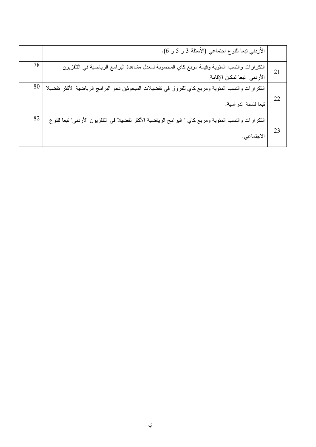|    | الأردني نبعا للنوع اجتماعي (الأسئلة 3 و 5 و 6).                                                                             |    |
|----|-----------------------------------------------------------------------------------------------------------------------------|----|
| 21 | النكر ارات والنسب المئوية وقيمة مربع كاي المحسوبة لمعدل مشاهدة البرامج الرياضية في النلفزيون<br>الأردني تبعا لمكان الإقامة. | 78 |
| 22 | النكرارات والنسب المئوية ومربع كاي للفروق في نفضيلات المبحوثين نحو البرامج الرياضية الأكثر تفضيلا<br>تبعا للسنة الدراسية.   | 80 |
| 23 | النكرارات والنسب المئوية ومربع كاي " البرامج الرياضية الأكثر تفضيلا في النلفزيون الأردني" تبعا للنوع<br>الاجتماعي.          | 82 |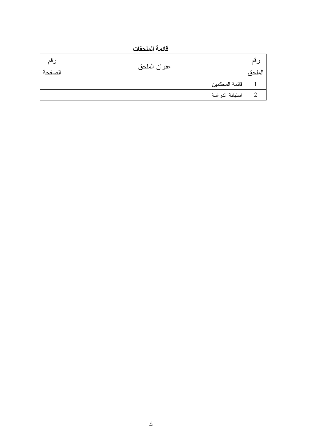قائمة الملحقات

| رقم<br>الصفحة | عنوان الملحق     | لملحه |
|---------------|------------------|-------|
|               | ر قائمة المحكمين |       |
|               | استبانة الدراسة  |       |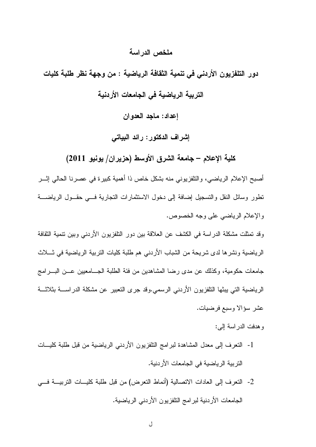#### ملخص الدر اسة

دور التلفزيون الأردني في تنمية الثقافة الرياضية : من وجهة نظر طلبة كليات التربية الرياضية في الجامعات الأردنية إعداد: ماجد العدوان

إشراف الدكتور: رائد البياتي

كلية الإعلام – جامعة الشرق الأوسط (حزيران/ يونيو 2011)

أصبح الإعلام الرياضي، والنَّلفزيوني منه بشكل خاص ذا أهمية كبيرة في عصرنا الحالي إثـــر نطور وسائل النقل والتسجيل إضافة إلى دخول الاستثمارات التجارية فسي حقسول الرياضسة والإعلام الرياضي على وجه الخصوص.

وقد تمثلت مشكلة الدراسة في الكشف عن العلاقة بين دور النلفزيون الأردني وبين نتمية الثقافة الرياضية ونشرها لدى شريحة من الشباب الأردني هم طلبة كليات التربية الرياضية في شــلاث جامعات حكومية، وكذلك عن مدى رضا المشاهدين من فئة الطلبة الجـــامعيين عـــن البــــرامج الرياضية التي يبثها التلفزيون الأردني الرسمي.وقد جرى التعبير عن مشكلة الدراســـة بثلاثـــة عشر سؤالا وسبع فرضيات.

و هدفت الدر اسة إلى:

- 1- النعرف إلى معدل المشاهدة لبرامج التلفزيون الأردنبي الرياضية من قبل طلبة كليـــات النّز بية الر ياضية في الجامعات الأر دنية.
- 2- النعر ف إلى العادات الاتصالية (أنماط النعر ض) من قبل طلبة كليسات التربيسة فسي الجامعات الأردنية لبرامج النلفزيون الأردني الرياضية.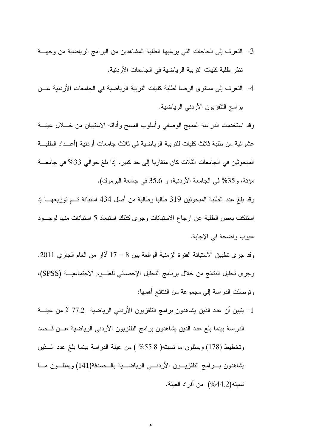- 3- النعرف إلى الحاجات التي يرغبها الطلبة المشاهدين من البرامج الرياضية من وجهة نظر طلبة كليات التربية الرياضية في الجامعات الأردنية.
- 4- النعرف إلى مستوى الرضا لطلبة كليات التربية الرياضية في الجامعات الأردنية عـــن بر امج النلفزيون الأردنبي الرياضية.

وقد استخدمت الدراسة المنهج الوصفى وأسلوب المسح وأداته الاستبيان من خـــلال عينــــة عشوائية من طلبة ثلاث كليات للتربية الرياضية في ثلاث جامعات أردنية (أعــداد الطلبـــة المبحوثين في الجامعات الثلاث كان متقاربا إلى حد كبيرٍ ، إذا بلغ حوالي 33% في جامعـــة مؤنة، و35% في الجامعة الأردنية، و 35.6 في جامعة البرموك).

وقد بلغ عدد الطلبة المبحوثين 319 طالبًا وطالبة من أصل 434 استبانة تــم توزيعهـــا إذ استنكف بعض الطلبة عن ارجاع الاستبانات وجرى كذلك استبعاد 5 استبانات منها لوجـود عيوب واضحة في الإجابة.

وقد جرى نطبيق الاستبانة الفترة الزمنية الواقعة بين 8 – 17 آذار من العام الجاري 2011. وجرى نحليل النتائج من خلال برنامج النحليل الإحصائي للعلــوم الاجتماعيـــة (SPSS)، ونوصلت الدراسة إلى مجموعة من النتائج أهمها:

1– يتبين أن عدد الذين يشاهدون برامج النلفزيون الأردنبي الرياضية 77.2 ٪ من عينـــة الدراسة بينما بلغ عدد الذين يشاهدون برامج النلفزيون الأردنبي الرياضية عــن قــصد وتخطيط (178) ويمثِّلون ما نسبته( 55.8% ) من عينة الدراسة بينما بلغ عدد الـــذين يشاهدون بسرامج النلفزيسون الأردنسي الرياضسية بالسصدفة(141) ويمثلسون مسا نسبته(44.2%) من أفراد العينة.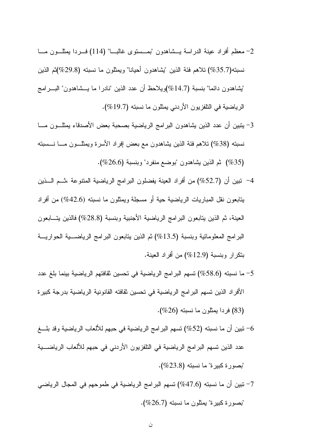- 2– معظم أفراد عينة الدراسة يـــشاهدون "بمـــستوى غالبــــا" (114) فــــردا بمثلــــون مــــا نسبته(35.7%) تلاهم فئة الذين "يشاهدون أحيانا" ويمثلون ما نسبته (29.8%)ثم الذين "يشاهدون دائما" بنسبة (14.7%)ويلاحظ أن عدد الذين "نادرا ما يـــشاهدون" البــــرامج الرياضية في النلفزيون الأردني يمثلون ما نسبته (19.7%).
- 3– يتبين أن عدد الذين بشاهدون البرامج الرياضية بصحبة بعض الأصدقاء يمثلـــون مــــا نسبته (38%) نلاهم فئة الذين بشاهدون مع بعض إفراد الأسرة ويمثلـــون مــــا نــــسبته (35%) ثم الذين يشاهدون "بوضع منفرد" وبنسبة (26.6%).
- 4– نَبين أن (52.7%) من أفراد العينة يفضلون البرامج الرياضية المنتوعة ،ثـــم الـــذين بتابعون نقل المباريات الرياضية حية أو مسجلة ويمثلون ما نسبته (42.6%) من أفراد العينة، ثم الذين يتابعون البر امج الرياضية الأجنبية وبنسبة (28.8%) فالذين يتسابعون البرامج المعلوماتية وبنسبة (13.5%) ثم الذين يتابعون البرامج الرياضــــية الحواريــــة بنكرار وبنسبة (12.9%) من أفراد العينة.
- 5– ما نسبته (58.6%) تسهم البرامج الرياضية في تحسين ثقافتهم الرياضية بينما بلغ عدد الأفراد الذين تسهم البرامج الرياضية في تحسين ثقافته القانونية الرياضية بدرجة كبيرة فردا بمثلون ما نسبته (26%).  $(%)$
- نبين أن ما نسبته (52%) تسهم البرامج الرياضية في حبهم للألعاب الرياضية وقد بلــــغ  $\sim$ عدد الذين نسهم البرامج الرياضية في التلفزيون الأردني في حبهم للألعاب الرياضــــية "بصورة كبيرة" ما نسبته (23.8%).
- 7– نبين أن ما نسبته (47.6%) تسهم البر امج الرياضية في طموحهم في المجال الرياضي "بصورة كبيرة" بمثلون ما نسبته (26.7%).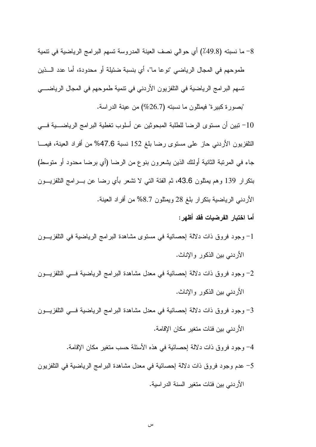- 8– ما نسبته (49.8٪) أي حوالي نصف العينة المدروسة تسهم البرامج الرياضية في نتمية طموحهم في المجال الرياضي "نوعا ما"، أي بنسبة ضئيلة أو محدودة، أما عدد الـــذين تسهم البرامج الرياضية في التلفزيون الأردني في تتمية طموحهم في المجال الرياضــــي "بصور ة كبير ة" فيمثلون ما نسبته (26.7%) من عينة الدر اسة.
- نبين أن مستوى الرضا للطلبة المبحوثين عن أسلوب تغطية البر امج الرياضـــية فــــى  $-10$ النلفزيون الأردني حاز على مستوى رضا بلغ 152 نسبة 47.6% من أفراد العينة، فيمـــا جاء فـي المرتبة الثانية أولئك الذين يشعرون بنوع من الرضـا (أي برضـا محدود أو منوسط) بنكرار 139 وهم يمثلون 43.6، ثم الفئة التي لا نشعر بأي رضا عن بــــرامج النلفزيــــون الأردنـي الرياضـية بتكرار بلـغ 28 ويمثلون 8.7% من أفراد الـعينة.
	- أما اختبار الفرضيات فقد أظهر :
- 1– وجود فروق ذات دلالة إحصائية في مستوى مشاهدة البرامج الرياضية في التلفزيـــون الأردنبي بين الذكور والإناث.
- 2– وجود فروق ذات دلالة إحصائية في معدل مشاهدة البرامج الرياضية فـــي النلفزيـــون الأردني بين الذكور والإناث.
- 3– وجود فروق ذات دلالة إحصائية في معدل مشاهدة البرامج الرياضية فـــي النلفزيـــون الأر دني بين فئات متغير مكان الإقامة.
	- 4– وجود فروق ذات دلالة إحصائية في هذه الأسئلة حسب متغير مكان الإقامة.
- 5– عدم وجود فروق ذات دلالة إحصائية في معدل مشاهدة البرامج الرياضية في التلفزيون الأردني بين فئات متغير السنة الدراسية.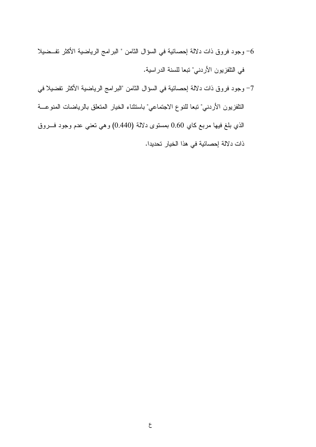- وجود فروق ذات دلالة إحصائية في السؤال الثامن " البرامج الرياضية الأكثر تفــضيلا  $\sim$ في التلفزيون الأردني" تبعا للسنة الدراسية.
- 7– وجود فروق ذات دلالة إحصائية في السؤال الثامن "البرامج الرياضية الأكثر تفضيلا في التلفزيون الأردني" نبعا للنوع الاجتماعي" باستثناء الخيار المتعلق بالرياضات المنوعـــة الذي بلغ فيها مربع كاي 0.60 بمستوى دلالة (0.440) وهي تعني عدم وجود فسروق ذات دلالة إحصائية في هذا الخيار تحديدا.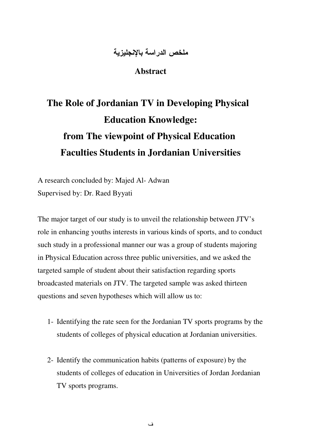### ملخص الدراسة بالإنجليزية

**Abstract**

# **The Role of Jordanian TV in Developing Physical Education Knowledge: from The viewpoint of Physical Education Faculties Students in Jordanian Universities**

A research concluded by: Majed Al- Adwan Supervised by: Dr. Raed Byyati

The major target of our study is to unveil the relationship between JTV's role in enhancing youths interests in various kinds of sports, and to conduct such study in a professional manner our was a group of students majoring in Physical Education across three public universities, and we asked the targeted sample of student about their satisfaction regarding sports broadcasted materials on JTV. The targeted sample was asked thirteen questions and seven hypotheses which will allow us to:

- 1- Identifying the rate seen for the Jordanian TV sports programs by the students of colleges of physical education at Jordanian universities.
- 2- Identify the communication habits (patterns of exposure) by the students of colleges of education in Universities of Jordan Jordanian TV sports programs.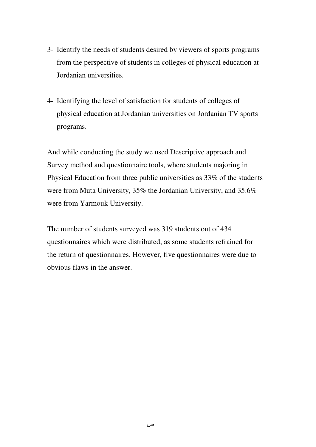- 3- Identify the needs of students desired by viewers of sports programs from the perspective of students in colleges of physical education at Jordanian universities.
- 4- Identifying the level of satisfaction for students of colleges of physical education at Jordanian universities on Jordanian TV sports programs.

And while conducting the study we used Descriptive approach and Survey method and questionnaire tools, where students majoring in Physical Education from three public universities as 33% of the students were from Muta University, 35% the Jordanian University, and 35.6% were from Yarmouk University.

The number of students surveyed was 319 students out of 434 questionnaires which were distributed, as some students refrained for the return of questionnaires. However, five questionnaires were due to obvious flaws in the answer.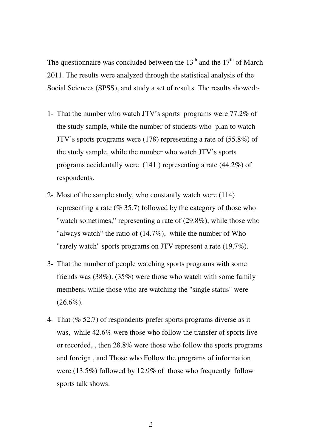The questionnaire was concluded between the  $13<sup>th</sup>$  and the  $17<sup>th</sup>$  of March 2011. The results were analyzed through the statistical analysis of the Social Sciences (SPSS), and study a set of results. The results showed:-

- 1- That the number who watch JTV's sports programs were 77.2% of the study sample, while the number of students who plan to watch JTV's sports programs were (178) representing a rate of (55.8%) of the study sample, while the number who watch JTV's sports programs accidentally were (141 ) representing a rate (44.2%) of respondents.
- 2- Most of the sample study, who constantly watch were (114) representing a rate ( $\%$  35.7) followed by the category of those who "watch sometimes," representing a rate of  $(29.8\%)$ , while those who "always watch" the ratio of  $(14.7\%)$ , while the number of Who "rarely watch" sports programs on JTV represent a rate (19.7%).
- 3- That the number of people watching sports programs with some friends was (38%). (35%) were those who watch with some family members, while those who are watching the "single status" were  $(26.6\%).$
- 4- That (% 52.7) of respondents prefer sports programs diverse as it was, while 42.6% were those who follow the transfer of sports live or recorded, , then 28.8% were those who follow the sports programs and foreign , and Those who Follow the programs of information were (13.5%) followed by 12.9% of those who frequently follow sports talk shows.

ق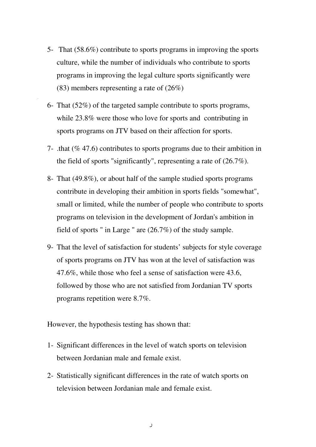- 5- That (58.6%) contribute to sports programs in improving the sports culture, while the number of individuals who contribute to sports programs in improving the legal culture sports significantly were (83) members representing a rate of (26%)
- 6- That (52%) of the targeted sample contribute to sports programs, while 23.8% were those who love for sports and contributing in sports programs on JTV based on their affection for sports.

.

- 7- .that (% 47.6) contributes to sports programs due to their ambition in the field of sports "significantly", representing a rate of (26.7%).
- 8- That (49.8%), or about half of the sample studied sports programs contribute in developing their ambition in sports fields "somewhat", small or limited, while the number of people who contribute to sports programs on television in the development of Jordan's ambition in field of sports " in Large " are (26.7%) of the study sample.
- 9- That the level of satisfaction for students' subjects for style coverage of sports programs on JTV has won at the level of satisfaction was 47.6%, while those who feel a sense of satisfaction were 43.6, followed by those who are not satisfied from Jordanian TV sports programs repetition were 8.7%.

However, the hypothesis testing has shown that:

- 1- Significant differences in the level of watch sports on television between Jordanian male and female exist.
- 2- Statistically significant differences in the rate of watch sports on television between Jordanian male and female exist.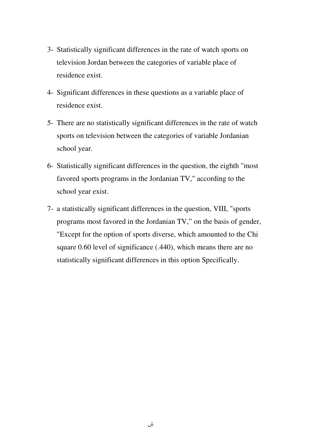- 3- Statistically significant differences in the rate of watch sports on television Jordan between the categories of variable place of residence exist.
- 4- Significant differences in these questions as a variable place of residence exist.

.

- 5- There are no statistically significant differences in the rate of watch sports on television between the categories of variable Jordanian school year.
- 6- Statistically significant differences in the question, the eighth "most favored sports programs in the Jordanian TV," according to the school year exist.
- 7- a statistically significant differences in the question, VIII, "sports programs most favored in the Jordanian TV," on the basis of gender, "Except for the option of sports diverse, which amounted to the Chi square 0.60 level of significance (.440), which means there are no statistically significant differences in this option Specifically.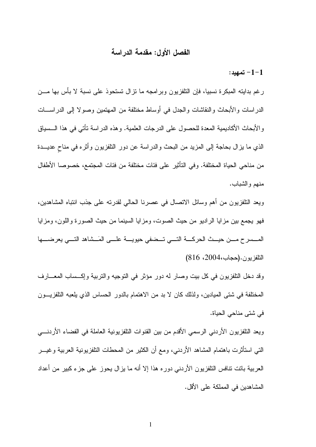#### الفصل الأول: مقدمة الدراسة

 $-1-1$ تمهيد:

رغم بدايته المبكرة نسبياً، فإن النلفزيون وبرامجه ما نزال نستحوذ على نسبة لا بأس بها مـــن الدراسات والأبحاث والنقاشات والجدل في أوساط مختلفة من المهتمين وصولا إلىي الدراســـات والأبحاث الأكاديمية المعدة للحصول على الدرجات العلمية. وهذه الدراسة تأتي في هذا الـــسياق الذي ما بزال بحاجة إلى المزيد من البحث والدراسة عن دور النلفزيون وأثره في مناح عديـــدة من مناحي الحياة المختلفة. وفي التأثير على فئات مختلفة من فئات المجتمع، خصوصا الأطفال منهم و الشباب.

ويعد التلفزيون من أهم وسائل الاتصال في عصرنا الحالي لقدرته على جذب انتباه المشاهدين، فهو يجمع بين مزايا الراديو من حيث الصوت، ومزايا السينما من حيث الصورة واللون، ومزايا المسسرح مسن حيسث الحركسة التسي تسضفي حيويسة علسى المَسشاهد التسي يعرضسها النلفزيون.(حجاب،2004، 816)

وقد دخل النلفزيون في كل بيت وصار له دور مؤثر في النوجيه والنربية وإكساب المعـــارف المختلفة في شتى المبادين، ولذلك كان لا بد من الاهتمام بالدور الحساس الذي بلعبه التلفزيـــون في شتي مناحي الحياة.

ويعد النلفزيون الأردنبي الرسمي الأقدم من بين القنوات النلفزيونية العاملة في الفضاء الأردنــــي النَّبي استأثَّرت باهتمام المشاهد الأردنـي، ومـع أن الكثير من المحطات النَّلفزيونية الـعربية وغيـــر العربية باتت نتافس التلفزيون الأردنبي دوره هذا إلا أنه ما بزال يحوز على جزء كبير من أعداد المشاهدين في المملكة على الأقل.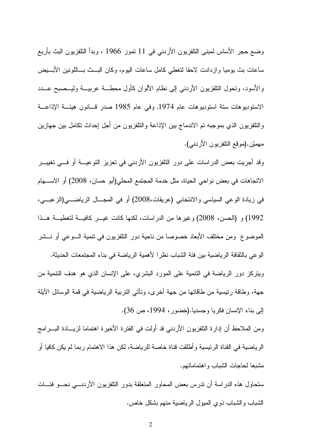وضع حجر الأساس لمبنى التلفزيون الأردني في 11 تموز 1966 ، وبدأ التلفزيون البث بأربع ساعات بث يوميا وازدادت لاحقا لتغطي كامل ساعات اليوم، وكان البسث بساللونين الأبسيض والأسود، وتحول التلفزيون الأردنبي إلىي نظام الألوان كأول محطـــة عربيـــة وليـــصبح عـــدد الاستوديوهات ستة استوديوهات عام 1974, وفي عام 1985 صدر قـــانون هيئـــة الإذاعـــة والتلفزيون الذي بموجبه نم الاندماج بين الإذاعة والتلفزيون من أجل إحداث نكامل بين جهازين مهميّن.(موقع النلفزيون الأردني).

وقد أجريت بعض الدراسات على دور النلفزيون الأردني في نعزيز النوعيـــة أو فـــي نغييـــر الاتجاهات في بعض نواحي الحياة، مثل خدمة المجتمع المحلي(أبو حسان، 2008) أو الاســـهام في زيادة الوعي السياسي والانتخابي (عريقات،2008) أو في المجـــال الرياضــــي(الزعبــــي، 1992) و (الحسن، 2008) وغير ها من الدر اسات، لكنها كانت غيـــر كافيـــة لتغطيـــة هـــذا الموضوع ومن مختلف الأبعاد خصوصا من ناحية دور التلفزيون في نتمية الـــوعي أو نـــشر الوعي بالثقافة الرياضية بين فئة الشباب نظر الأهمية الرياضة في بناء المجتمعات الحديثة. ويتركز دور الرياضة في التتمية على المورد البشري، على الإنسان الذي هو هدف التتمية من جهة، وطاقة رئيسية من طاقاتها من جهة أخرى، وتأتى التربية الرياضية في قمة الوسائل الآيلة إلى بناء الإنسان فكريا وجسديا.(خضور، 1994، ص 36).

ومن الملاحظ أن إدارة النلفزيون الأردني قد أولت في الفترة الأخيرة اهتماما لزيـــادة البــــرامج الرياضية في القناة الرئيسية وأطلقت قناة خاصة للرياضة، لكن هذا الاهتمام ربما لم يكن كافيا أو مشبعا لحاجات الشباب واهتماماتهم.

ستحاول هذه الدراسة أن ندرس بعض المحاور المتعلقة بدور التلفزيون الأردنسي نحسو فئسات الشباب و الشباب ذو ي المبول الرياضية منهم بشكل خاص.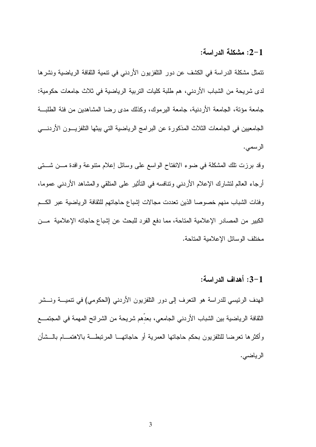#### :2-1 مشكلة الدراسة:

تتمثَّل مشكلة الدراسة في الكشف عن دور النلفزيون الأردنبي في نتمية الثقافة الرياضية ونشرها لدى شريحة من الشباب الأردني، هم طلبة كليات التربية الرياضية في ثلاث جامعات حكومية: جامعة مؤنة، الجامعة الأردنية، جامعة اليرموك، وكذلك مدى رضا المشاهدين من فئة الطلبـــة الجامعيين في الجامعات الثلاث المذكورة عن البر امج الرياضية التي يبثها التلفزيـــون الأردنــــي الرسمى.

وقد برزت نلك المشكلة في ضوء الانفتاح الواسع على وسائل إعلام متنوعة وافدة مـــن شـــتي أرجاء العالم لتشارك الإعلام الأردنبي ونتافسه في التأثير على المنلقي والمشاهد الأردنبي عموما، وفئات الشباب منهم خصوصا الذين تعددت مجالات إشباع حاجاتهم للثقافة الرياضية عبر الكسم الكبير من المصادر الإعلامية المناحة، مما دفع الفرد للبحث عن إشباع حاجاته الإعلامية مـــن مختلف الوسائل الإعلامية المتاحة.

#### 3-1: أهداف الدر اسة:

الهدف الرئيسي للدراسة هو النعرف إلى دور النلفزيون الأردني (الحكومي) في نتميـــة ونـــشر الثقافة الرياضية بين الشباب الأردني الجامعي، بعدِّهم شريحة من الشرائح المهمة في المجتمـــع وأكثرها تعرضا للنلفزيون بحكم حاجاتها العمرية أو حاجاتهـــا المرتبطـــة بالاهتمـــام بالـــشأن الرياضي.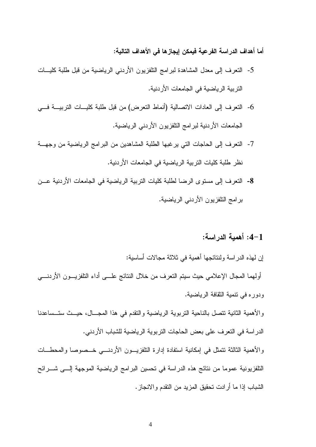أما أهداف الدراسة الفرعية فيمكن إيجازها في الأهداف التالية:

- 5- النعرف إلى معدل المشاهدة لبرامج النلفزيون الأردني الرياضية من قبل طلبة كليـــات النّز بية الر باضية في الجامعات الأر دنية.
- 6- النعرف إلى العادات الاتصالية (أنماط التعرض) من قبل طلبة كليسات التربيسة فسي الجامعات الأردنية لبرامج التلفزيون الأردني الرياضية.
- 7- النعرف إلى الحاجات التي يرغبها الطلبة المشاهدين من البرامج الرياضية من وجهــة نظر طلبة كليات التربية الرياضية في الجامعات الأردنية.
- 8- النعرف إلى مستوى الرضا لطلبة كليات النربية الرياضية في الجامعات الأردنية عــن برامج النلفزيون الأردني الرياضية.

## 1-4: أهمبة الدر اسة:

إن لهذه الدراسة ولنتائجها أهمية في ثلاثة مجالات أساسية: أولهما المجال الإعلامي حيث سيتم النعرف من خلال النتائج علـــي أداء النلفزيـــون الأردنــــي ودوره في تتمية الثقافة الرياضية. و الأهمية الثانية تتصل بالناحية التربوية الرياضية والتقدم في هذا المجـــال، حيـــث ستــساعدنا الدراسة في النعرف على بعض الحاجات التربوية الرياضية للشباب الأردني. والأهمية الثالثة نتمثل في إمكانية استفادة إدارة النلفزيـــون الأردنــــي خـــصوصـا والمحطـــات النلفزيونية عموما من نتائج هذه الدراسة في تحسين البرامج الرياضية الموجهة إلـــي شـــرائح الشباب إذا ما أرادت تحقيق المزيد من النقدم والانجاز .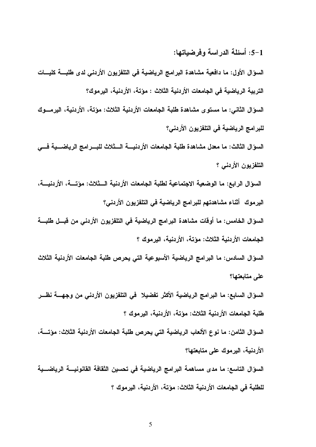:5-1 أسئلة الدراسة وفرضياتها:

السوّال الأول: ما دافعية مشاهدة البرامج الرياضية في التلفزيون الأردني لدى طلبـــة كليـــات التربية الرياضية في الجامعات الأردنية الثلاث : مؤتة، الأردنية، اليرموك؟ السوّال الثانـي: ما مستوى مشاهدة طلبة الجامعات الأردنية الثلاث: مؤتـة، الأردنيـة، اليرمـــوك للبرامج الرياضية في التلفزيون الأردني؟

السوَّال الثالث: ما معدل مشاهدة طلبة الجامعات الأردنيــــة الـــثلاث للبــــرامج الرياضــــية فــــى التلفزيون الأردني ؟

السؤال الرابع: ما الوضعية الاجتماعية لطلبة الجامعات الأردنية الـــثلاث: مؤتــــة، الأردنيــــة، اليرموك أثناء مشاهدتهم للبرامج الرياضية في التلفزيون الأردني؟

السوّال الخامس: ما أوقات مشاهدة البرامج الرياضية في التلفزيون الأردني من قبــل طلبـــة الجامعات الأردنية الثلاث: مؤتة، الأردنية، اليرموك ؟

السوّال السادس: ما البرامج الرياضية الأسبوعية التي يحرص طلبة الجامعات الأردنية الثلاث على متابعتها؟

السوّال السابع: ما البرامج الرياضية الأكثر تفضيلا ۖ في التلفزيون الأردني من وجهــــة نظـــر طلبة الجامعات الأردنية الثلاث: مؤتة، الأردنية، البرموك ؟

السوَّال الثّامن: ما نوع الألعاب الرياضية التي يحرص طلبة الجامعات الأردنية الثلاث: مؤتــــة، الأردنية، اليرموك على متابعتها؟

السوّال التاسع: ما مدى مساهمة البرامج الرياضية في تحسين الثقافة القانونيــــة الرياضـــية للطلبة في الجامعات الأردنية الثلاث: مؤتة، الأردنية، اليرموك ؟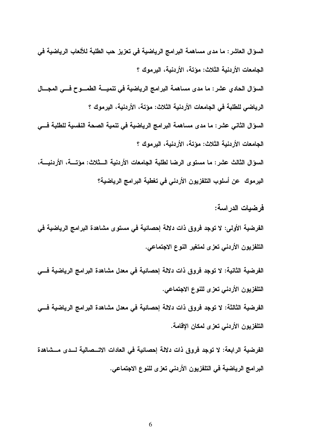السوَّال العاشر : ما مدى مساهمة البرامج الرياضية في تعزيز حب الطلبة للألعاب الرياضية في الجامعات الأردنية الثلاث: مؤتة، الأردنية، البرموك ؟ السؤال الحادي عشر : ما مدى مساهمة البرامج الرياضية في تنميـــة الطمـــوح فـــي المجـــال الرياضي للطلبة في الجامعات الأردنية الثلاث: مؤتة، الأردنية، اليرموك ؟ السوَّال الثاني عشر : ما مدى مساهمة البرامج الرياضية في تنمية الصحة النفسية للطلبة فـــي الجامعات الأردنية الثلاث: مؤتة، الأردنية، البرموك ؟ السوّال الثالث عشر: ما مستوى الرضا لطلبة الجامعات الأردنية الــثلاث: مؤتـــة، الأردنيـــة، اليرموك عن أسلوب التلفزيون الأردنى فى تغطية البرامج الرياضية؟

فر ضبات الدر اسة:

الفرضية الأولى: لا توجد فروق ذات دلالة إحصائية في مستوى مشاهدة البرامج الرياضية في التلفزيون الأردني تعزى لمتغير النوع الاجتماعي.

الفرضية الثانية: لا توجد فروق ذات دلالة إحصائية في معدل مشاهدة البرامج الرياضية فـــي التلفزيون الأردني تعزى للنوع الاجتماعي.

الفرضية الثالثة: لا توجد فروق ذات دلالة إحصائية في معدل مشاهدة البرامج الرياضية فـــي التلفزيون الأردنى تعزى لمكان الإقامة.

الفرضية الرابعة: لا توجد فروق ذات دلالة إحصائية في العادات الاتـــصالية لـــدى مـــشاهدة البرامج الرياضية في التلفزيون الأردني تعزى للنوع الاجتماعي.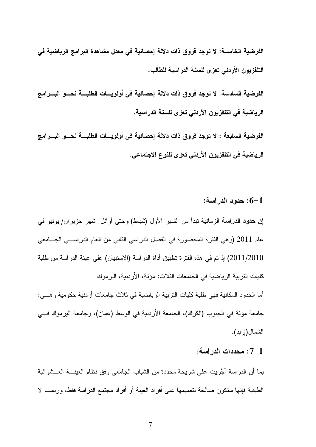الفرضية الخامسة: لا توجد فروق ذات دلالة إحصائية في معدل مشاهدة البرامج الرياضية في التلفزيون الأردنى تعزى للسنة الدراسية للطالب.

الفرضية السادسة: لا توجد فروق ذات دلالة إحصائية في أولويـــات الطلبـــة نحـــو البــــرامج الرياضية في التلفزيون الأردني تعزى للسنة الدراسية.

الفرضية السابعة : لا توجد فروق ذات دلالة إحصائية في أولويسات الطلبــــة نحــــو البــــرامج الرياضية في التلفزيون الأردني تعزى للنوع الاجتماعي.

: حدود الدر اسة:  $6 - 1$ 

**إن حدود الدراسة** الزمانية نبدأ من الشهر الأول (شباط) وحتى أوائل شهر حزيران/ يونيو في عام 2011 (و هي الفترة المحصورة في الفصل الدراسي الثاني من العام الدراســـي الـجـــامعي 2011/2010) إذ تم في هذه الفتر ة تطبيق أداة الدر اسة (الاستبيان) على عينة الدر اسة من طلبة كليات التربية الرياضية في الجامعات الثلاث: مؤتة، الأردنية، اليرموك أما الحدود المكانية فهي طلبة كليات التربية الرياضية في ثلاث جامعات أردنية حكومية وهـــي:

جامعة مؤنة في الجنوب (الكرك)، الجامعة الأردنية في الوسط (عمان)، وجامعة اليرموك فـــي الشمال(إربد).

#### 7–1 : محددات الدر اسة:

بما أن الدراسة أجُريت على شريحة محددة من الشباب الجامعي وفق نظام العينــــة العـــشوائية الطبقية فإنها ستكون صالحة لتعميمها على أفراد العينة أو أفراد مجتمع الدراسة فقط، وربمـــا لا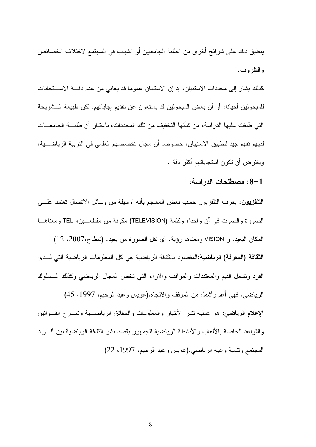ينطبق ذلك على شركتح أخرى من الطلبة الجامعيين أو الشباب في المجتمع لاختلاف الخصائص و الظر و ف.

كذلك يشار إلى محددات الاستبيان، إذ إن الاستبيان عموما قد يعاني من عدم دقـــة الاســـتجابات للمبحوثين أحيانـا، أو أن بعض المبحوثين قد يمتنعون عن تقديم إجابـاتهم. لكن طبيعة الـــشريحة التي طبقت عليها الدر اسة، من شأنها التخفيف من تلك المحددات، باعتبار أن طلبـــة الجامعـــات لديهم نفهم جيد لتطبيق الاستبيان، خصوصا أن مجال تخصصهم العلمي في التربية الرياضــــية، ويفترض أن نكون استجاباتهم أكثر دقة .

1–8: مصطلحات الدر اسة:

**التلفزيون:** يعرف النلفزيون حسب بعض المعاجم بأنه "وسيلة من وسائل الاتصال تعتمد علــــ<sub>ي</sub> الصورة والصوت في آن واحد"، وكلمة (TELEVISION) مكونة من مقطعــين، TEL ومعناهــا

المكان البعيد، و VISION ومعناها رؤية، أي نقل الصورة من بعيد. (شطاح،2007، 12) الثقافة (المعرفة) الرياضية:المقصود بالثقافة الرياضية هي كل المعلومات الرياضية التي لــدى الفرد ونشمل القيم والمعتقدات والمواقف والأراء التبي نخص المجال الرياضيي وكذلك السلوك

الرياضي، فهي أعم وأشمل من الموقف والاتجاه.(عويس وعبد الرحيم، 1997، 45) **الإعلام الرياضي:** هو عملية نشر الأخبار والمعلومات والحقائق الرياضــــية وشــــرح القــــوانين والقواعد الخاصة بالألعاب والأنشطة الرياضية للجمهور بقصد نشر الثقافة الرياضية بين أفــراد المجتمع ونتمية وعيه الرياضي.(عويس وعبد الرحيم، 1997، 22)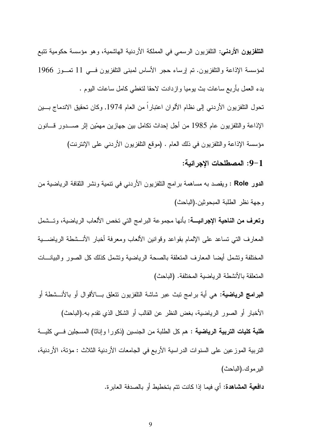**التلفزيون الأردني:** التلفزيون الرسمي في المملكة الأردنية الهاشمية، وهو مؤسسة حكومية تتبع لمؤسسة الإذاعة والنلفزيون. تم إرساء حجر الأساس لمبنى النلفزيون فسي 11 تصـوز 1966 بدء العمل بأربع ساعات بث يوميا وازدادت لاحقا لتغطي كامل ساعات اليوم .

تحول التلفزيون الأردني إلى نظام الألوان اعتبارا من العام 1974, وكان تحقيق الاندماج بسين الإذاعة والنلفزيون عام 1985 من أجل إحداث نكامل بين جهازين مهمّين إثر صــــدور فـــانون مؤسسة الإذاعة والتلفزيون في ذلك العام . (موقع النلفزيون الأردني على الإنترنت)

9-1: المصطلحات الاجر ائبة:

الدور Role : ويقصد به مساهمة برامج التلفزيون الأردني في نتمية ونشر الثقافة الرياضية من وجهة نظر الطلبة المبحوثين.(الباحث)

**وتعرف من الناحية الإجرائيــــة:** بأنها مجموعة البرامج التي تخص الألعاب الرياضية، وتـــشمل المعارف النبي نساعد على الإلمام بقواعد وقوانين الألعاب ومعرفة أخبار الأنـــشطة الرياضــــية المختلفة وتشمل أيضا المعارف المتعلقة بالصحة الرياضية وتشمل كذلك كل الصور والبيانـــات المتعلقة بالأنشطة الرياضية المختلفة. (الباحث)

**البرامج الرياضية:** هي أية برامج نبث عبر شاشة النلفزيون نتعلق بـــالأقوال أو بالأنـــشطة أو الأخبار أو الصور الرياضية، بغض النظر عن القالب أو الشكل الذي نقدم به.(الباحث) **طلبة كليات التربية الرياضية :** هم كل الطلبة من الجنسين (ذكورا وإناثا) المسجلين فـــي كليـــة النَّربية الموزعين على السنوات الدراسية الأربع في الجامعات الأردنية الثلاث : مؤتة، الأردنية، الير مو ك. (الباحث)

**دافعية المشاهدة:** أي فيما إذا كانت نتم بتخطيط أو بالصدفة العابر ة.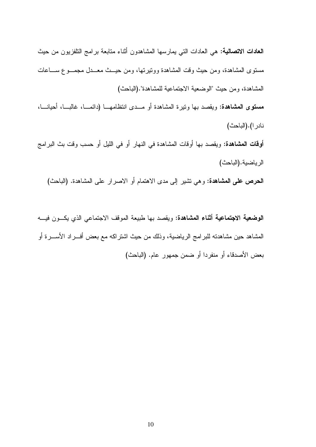**الـعادات الاتصاليـة:** هي الـعادات التـي يمارسـها المشاهدون أنثـاء متابـعة برامـج النافزيون من حيث مستوى المشاهدة، ومن حيث وقت المشاهدة وونيرتها، ومن حيــث معــدل مجمــوع ســـاعات المشاهدة، ومن حيث "الوضعية الاجتماعية للمشاهدة".(الباحث)

مستوى المشاهدة: ويقصد بها ونيرة المشاهدة أو مــدى انتظامهـــا (دائمـــا، غالبـــا، أحيانـــا، نادر ا).(الباحث)

**أوقات المشاهدة:** ويقصد بها أوقات المشاهدة في النهار أو في الليل أو حسب وقت بث البرامج الرياضية. (الباحث)

**الحرص على المشاهدة:** وهي نشير إلى مدى الاهتمام أو الاصرار على المشاهدة. (الباحث)

**الوضعية الاجتماعية أثناء المشاهدة:** ويقصد بها طبيعة الموقف الاجتماعي الذي يكــون فيـــه المشاهد حين مشاهدته للبرامج الرياضية، وذلك من حيث اشتراكه مع بعض أفـــراد الأســــرة أو بعض الأصدقاء أو منفردا أو ضمن جمهور عام. (الباحث)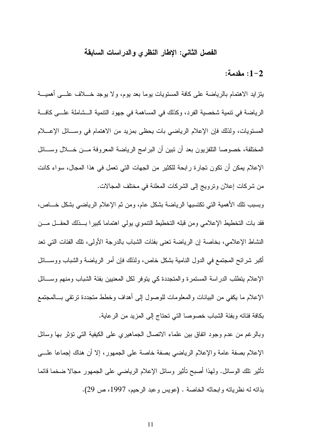#### الفصل الثانى: الإطار النظري والدراسات السابقة

#### 1-2: مقدمة:

بِتزايدِ الاهتمام بالرياضة على كافة المستويات يوما بعد يوم، ولا يوجد خــــلاف علــــي أهميــــة الرياضة في نتمية شخصية الفرد، وكذلك في المساهمة في جهود النتمية الـشاملة علـــي كافــة المستويات، ولذلك فإن الإعلام الرياضيي بات يحظى بمزيد من الاهتمام في وســـائل الإعــــلام المختلفة، خصوصا النلفزيون بعد أن نبين أن البرامج الرياضة المعروفة مـــن خـــلال وســــائل الإعلام بمكن أن تكون تجارٍ ة رابحة للكثير من الجهات التي تعمل في هذا المجال، سواء كانت من شركات إعلان ونرويج إلى الشركات المعلنة في مختلف المجالات.

وبسبب نلك الأهمية التي نكتسبها الرياضة بشكل عام، ومن ثم الإعلام الرياضي بشكل خـــاص، فقد بات التخطيط الإعلامي ومن قبله التخطيط النتموي يولى اهتماما كبيرا بسذلك الحقسل مسن النشاط الإعلامي، بخاصة إن الرياضة نعني بفئات الشباب بالدرجة الأولى، نلك الفئات التي نعد أكبر شرائح المجتمع في الدول النامية بشكل خاص، ولذلك فإن أمر الرياضة والشباب ووســـائل الإعلام يتطلب الدراسة المستمرة والمتجددة كبي يتوفر لكل المعنيين بفئة الشباب ومنهم وســـائل الإعلام ما يكفي من البيانات والمعلومات للوصول إلىي أهداف وخطط متجددة ترتقي بسالمجتمع بكافة فئاته وبفئة الشباب خصوصا التي تحتاج إلى المزيد من الرعاية.

وبالرغم من عدم وجود انفاق بين علماء الاتصال الجماهيري على الكيفية التي تؤثر بها وسائل الإعلام بصفة عامة والإعلام الرياضيي بصفة خاصة على الجمهور، إلا أن هناك إجماعا علـــي تأثير نلك الوسائل. ولهذا أصبح تأثير وسائل الإعلام الرياضي على الجمهور مجالا ضخما قائما بذاته له نظرياته وابحاثه الخاصة . (عويس وعبد الرحيم، 1997، ص 29).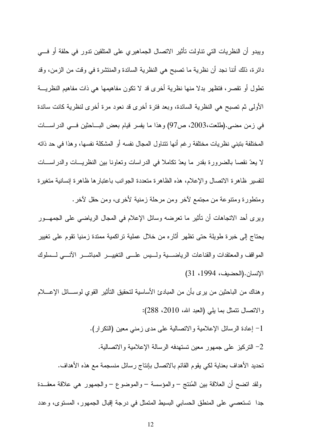ويبدو أن النظريات التي نتاولت تأثير الاتصال الجماهيري على المتلقين ندور في حلقة أو فسي دائرة، ذلك أننا نجد أن نظرية ما نصبح هي النظرية السائدة والمنتشرة في وقت من الزمن، وقد تطول أو تقصر، فتظهر بدلًا منها نظرية أخرى قد لا تكون مفاهيمها هي ذات مفاهيم النظريــــة الأولِّي ثم تصبح هي النظرية السائدة، وبعد فترة أخرى قد نعود مرة أخرى لنظرية كانت سائدة في زمن مضبي.(طلعت،2003، ص97) وهذا ما يفسر قيام بعض البـــاحثين فـــي الدراســـات المختلفة بنبني نظريات مختلفة رغم أنها نتتاول المجال نفسه أو المشكلة نفسها، وهذا في حد ذاته لا يعدّ نقصاً بالضرورة بقدر ما يعدّ نكاملاً في الدراسات وتعاونا بين النظريـــات والدراســـات لتفسير ظاهرة الاتصال والإعلام، هذه الظاهرة متعددة الجوانب باعتبارها ظاهرة إنسانية متغيرة ومنطورة ومننوعة من مجتمع لأخر ومن مرحلة زمنية لأخرى، ومن حقل لأخر.

ويرى أحد الانجاهات أن نأثير ما نعرضه وسائل الإعلام في المجال الرياضـي علـى الـجمهـــور يحتاج إلى خبرة طويلة حتى نظهر أثاره من خلال عملية نراكمية ممتدة زمنيا نقوم على نغيير المواقف والمعتقدات والقناعات الرياضــــبة ولـــــبس علــــي التغييــــر المباشــــر الأنــــي لــــسلوك الإنسان.(الحضيف، 1994، 31)

وهناك من الباحثين من يرى بأن من المبادئ الأساسية لتحقيق التأثير القوى لوســـائل الإعــــلام والاتصال نتمثل بما يلي (العبد الله، 2010، 288):

1– إعادة الرسائل الإعلامية والاتصالية على مدى زمني معين (النكر ار). 2– التركيز على جمهور معين تستهدفه الرسالة الإعلامية والاتصالية. تحديد الأهداف بعناية لكي يقوم القائم بالاتصال بإنتاج رسائل منسجمة مع هذه الأهداف. ولقد انضح أن العلاقة بين المُنتج – والمؤسسة – والموضوع – والجمهور هي علاقة معقــدة جداً تستعصبي على المنطق الحسابي البسيط المتمثل في درجة إقبال الجمهور، المستوى، وعدد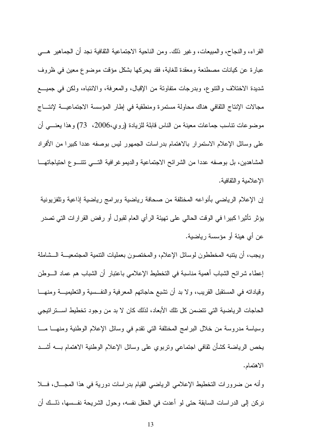القراء، والنجاح، والمبيعات، وغير ذلك. ومن الناحية الاجتماعية الثقافية نجد أن الجماهير ٍ هـــي عبارة عن كيانات مصطنعة ومعقدة للغاية، فقد يحركها بشكل مؤقت موضوع معين في ظروف شديدة الاختلاف والنتوع، وبدرجات متفاوتة من الإقبال، والمعرفة، والانتباه، ولكن في جميـــع مجالات الإنتاج الثقافي هناك محاولة مستمرة ومنطقية في إطار المؤسسة الاجتماعيــــة لإنتــــاج موضوعات نتاسب جماعات معينة من الناس قابلة للزيادة (روى،2006، 73) وهذا يعنــــي أن على وسائل الإعلام الاستمر ار بالاهتمام بدر اسات الجمهور ليس بوصفه عددا كبير ا من الأفر اد المشاهدين، بل بوصفه عددًا من الشرائح الاجتماعية والديموغرافية التــــي تتتــــوع احتياجاتهــــا الإعلامبة والنقافية.

إن الإعلام الرياضي بأنواعه المختلفة من صحافة رياضية وبرامج رياضية إذاعية وتلفزيونية يؤثر. تأثير ا كبير ا في الوقت الحالي على تهيئة الر أي العام لقبول أو رفض القرار ات التي تصدر عن أي هيئة أو مؤسسة رياضية.

ويجب، أن يتنبه المخططون لوسائل الإعلام، والمختصون بعمليات النتمية المجتمعيـــة الـــشاملة إعطاء شرائح الشباب أهمية مناسبة في التخطيط الإعلامي باعتبار أن الشباب هم عماد الـــوطن وقياداته في المستقبل القريب، ولا بد أن نشبع حاجاتهم المعرفية والنفــسية والنعليميــــة ومنهــــا الحاجات الرياضية التي تتضمن كل تلك الأبعاد، لذلك كان لا بد من وجود تخطيط استتراتيجي وسياسة مدروسة من خلال البرامج المختلفة التي نقدم في وسائل الإعلام الوطنية ومنهـــا مـــا يخص الرياضة كشأن نقافي اجتماعي ونربوي علىى وسائل الإعلام الوطنية الاهتمام بسه أشسد الاهتمام.

وأنه من ضرورات التخطيط الإعلامي الرياضي القيام بدراسات دورية في هذا المجـــال، فــــلا نركن إلى الدراسات السابقة حتى لو أعدت في الحقل نفسه، وحول الشريحة نفـــسها، ذلـــك أن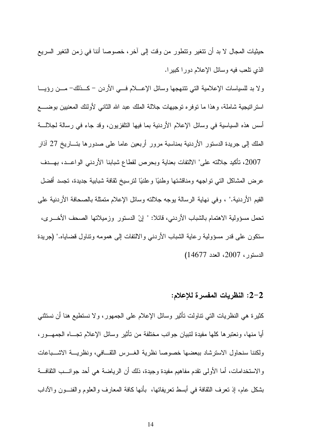حيثيات المجال لا بد أن تتغير وتتطور من وقت إلى آخر ، خصوصا أننا في زمن التغير السريع الذي نلعب فيه وسائل الإعلام دورا كبيرا.

ولا بد للسياسات الإعلامية التي نتتهجها وسائل الإعــــلام فــــي الأردن – كـــذلك– مـــن رؤيــــا استر انيجية شاملة، و هذا ما نوفر ه نوجيهات جلالة الملك عبد الله الثانبي لأولئك المعنيين بوضــــع أسس هذه السياسية في وسائل الإعلام الأردنية بما فيها التلفزيون، وقد جاء في رسالة لجلالـــة الملك إلى جريدة الدستور الأردنية بمناسبة مرور أربعين عاما على صدورها بتساريخ 27 آذار 2007، نأكيد جلالته على" الالتفات بعناية وبحرص لقطاع شبابنا الأردنبي الواعــد، بهــدف عرض المشاكل التي تواجهه ومناقشتها وطنيًا وعلنيًا لترسيخ ثقافة شبابية جديدة، تجسد أفضل القيم الأردنية." ، وفي نهاية الرسالة يوجه جلالته وسائل الإعلام متمثلة بالصحافة الأردنية على تحمل مسؤولية الاهتمام بالشباب الأردني، فائلا: " إنّ الدستور وز ميلاتها الصحف الأخـــر ي، ستكون على قدر مسؤولية رعاية الشباب الأردنبي والالتفات إلى همومه ونتاول قضاياه." (جريدة  $(14677 \cdot 2007)$ الدستور، 2007، العدد

#### 2–2: النظريات المفسرة للإعلام:

كثيرة هي النظريات التي نتاولت نأثير وسائل الإعلام على الجمهور، ولا نستطيع هنا أن نستثني أيا منها، ونعتبر ها كلَّها مفيدة لتبيان جوانب مختلفة من تأثير وسائل الإعلام تجــاه الجمهــور ، ولكننا سنحاول الاستر شاد ببعضها خصوصا نظرية الغبرس الثقبافي، ونظريبة الاشبياعات والاستخدامات، أما الأولىي نقدم مفاهيم مفيدة وجيدة، ذلك أن الرياضة هي أحد جوانـــب الثقافـــة بشكل عام، إذ نعرف الثقافة في أبسط نعريفاتها، بأنها كافة المعارف والعلوم والفنـــون والآداب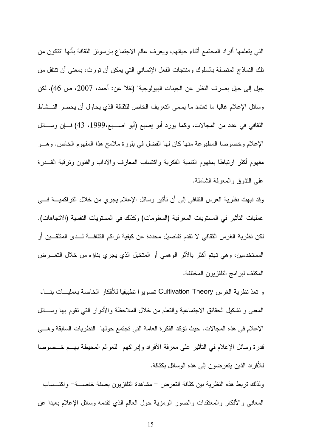النبي يتعلمها أفراد المجتمع أثناء حياتهم، ويعرف عالم الاجتماع بارسونز الثقافة بأنها "تتكون من تلك النماذج المتصلة بالسلوك ومنتجات الفعل الإنساني التي يمكن أن تورث، بمعنى أن تتتقل من جيل إلى جيل بصرف النظر عن الجينات البيولوجية" (نقلا عن: أحمد، 2007، ص 46). لكن وسائل الإعلام غالبًا ما نعتمد ما يسمى النعريف الخاص للثقافة الذي يحاول أن يحصر النـــشاط الثقافي في عدد من المجالات، وكما يورد أبو إصبع (أبو اصـــبع،1999، 43) فـــإن وســـائل الإعلام وخصوصا المطبوعة منها كان لها الفضل في بلورة ملامح هذا المفهوم الخاص. وهــو مفهوم أكثر ارتباطا بمفهوم التتمية الفكرية واكتساب المعارف والأداب والفنون وترفية القـــدرة علي النذوق والمعرفة الشاملة.

وقد نبهت نظرية الغرس الثقافي إلى أن تأثير وسائل الإعلام يجرى من خلال التراكميـــة فــــي عمليات التأثير في المستويات المعر فية (المعلو مات) و كذلك في المستويات النفسية (الاتجاهات). لكن نظرية الغرس الثقافي لا تقدم تفاصيل محددة عن كيفية تراكم الثقافـــة لـــدى المتلقـــين أو المستخدمين، وهي تهتم أكثر بالأثر الوهمي أو المتخيل الذي يجري بناؤه من خلال التعـــرض المكثف لبرامج التلفزيون المختلفة.

و نعدّ نظرية الغرس Cultivation Theory تصويرا تطبيقيا للأفكار الخاصة بعمليـــات بنـــاء المعنبي و نشكيل الحقائق الاجتماعية والنعلم من خلال الملاحظة والأدوار التبي نقوم بها وســائل الإعلام في هذه المجالات. حيث نؤكد الفكرة العامة التي تجتمع حولها النظريات السابقة وهـــي قدرة وسائل الإعلام في التأثير على معرفة الأفراد وإدراكهم للعوالم المحيطة بهـــم خـــصوصـا للأفراد الذين يتعرضون إلى هذه الوسائل بكثافة.

ولذلك نربط هذه النظرية بين كثافة النعرض – مشاهدة النلفزيون بصفة خاصــــة– واكتـــساب المعانبي والأفكار والمعتقدات والصور الرمزية حول العالم الذي نقدمه وسائل الإعلام بعيدا عن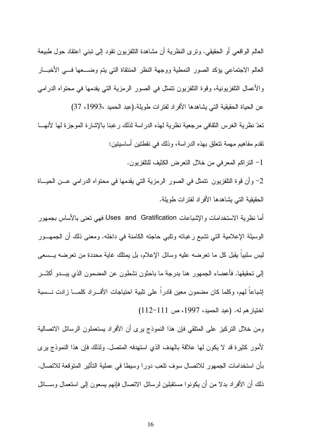العالم الواقعي أو الحقيقي. وترى النظرية أن مشاهدة التلفزيون تقود إلى تبني اعتقاد حول طبيعة العالم الاجتماعي بؤكد الصور النمطية ووجهة النظر المنتقاة التي يتم وضـــعها فـــي الأخبـــار والأعمال النلفزيونية، وقوة النلفزيون نتمثل في الصور الرمزية التي يقدمها في محتواه الدرامي عن الحياة الحقيقية التي يشاهدها الأفراد لفترات طويلة.(عبد الحميد ،1993، 37) تعدّ نظر ية الغر س الثقافي مرجعية نظر ية لهذه الدر اسة لذلك ر غبنا بالإشار ة الموجز ة لها لأنهـــا نقدم مفاهيم مهمة تتعلق بهذه الدر اسة، وذلك في نقطتين أساسيتين: 1- النراكم المعرفي من خلال النعرض الكثيف للنلفزيون.

الحقيقية التي يشاهدها الأفراد لفترات طويلة.

أما نظرية الاستخدامات و الإشباعات Uses and Gratification فهي تعني بالأساس بجمهور الوسيلة الإعلامية التي تشبع رغباته ونلبي حاجته الكامنة في داخله. ومعنى ذلك أن الجمهـــور ليس سلبيا يقبل كل ما نعرضه عليه وسائل الإعلام، بل يمتلك غاية محددة من نعرضه يـــسعى إلى تحقيقها. فأعضاء الجمهور هنا بدرجة ما باحثون نشطون عن المضمون الذي يبـــدو أكثـــر إشباعاً لمهم، وكلما كان مضمون معين قادراً على نلبية احتياجات الأفـــراد كلمــــا زادت نــــسبة اختيار هم له. (عبد الحميد، 1997، ص 111–112)

ومن خلال التركيز على المنلقى فإن هذا النموذج برى أن الأفراد بستعملون الرسائل الاتصالية لأمور كثيرة قد لا يكون لها علاقة بالهدف الذي استهدفه المتصل. ولذلك فإن هذا النموذج برى بأن استخدامات الجمهور للاتصال سوف نلعب دورا وسيطا في عملية التأثير المتوقعة للاتصال. ذلك أن الأفراد بدلا من أن يكونوا مستقبلين لرسائل الانصال فإنهم بسعون إلىي استعمال وســـائل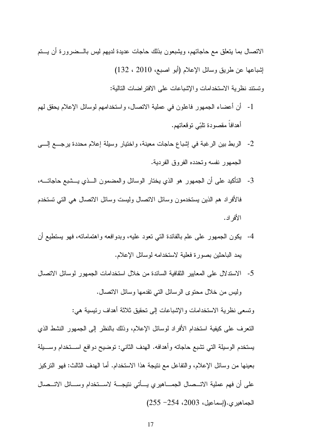الاتصال بما يتعلق مع حاجاتهم، ويشبعون بذلك حاجات عديدة لديهم ليس بالـــضرورة أن يـــتم إشباعها عن طريق وسائل الإعلام (أبو اصبع، 2010 ، 132)

وتستند نظرية الاستخدامات والإشباعات على الافتراضات التالية:

- 1- أن أعضاء الجمهور فاعلون في عملية الاتصال، واستخدامهم لوسائل الإعلام يحقق لمهم أهدافا مقصودة نلبّي نوقعاتهم.
- 2- الربط بين الرغبة في إشباع حاجات معينة، واختيار وسيلة إعلام محددة يرجـــع إلــــى الجمهور نفسه وتحدده الفروق الفردية.
- 3- التأكيد على أن الجمهور هو الذي يختار الوسائل والمضمون الـــذي يـــشبع حاجاتـــه، فالأفراد هم الذين يستخدمون وسائل الاتصال وليست وسائل الاتصال هي التي تستخدم الأفر اد.
- 4- يكون الجمهور علـى علم بالفائدة التـي تعود عليه، وبدوافعه واهتماماته، فهو يستطيع أن يمد الباحثين بصورة فعلية لاستخدامه لوسائل الإعلام.
- 5- الاستدلال على المعايير الثقافية السائدة من خلال استخدامات الجمهور لوسائل الاتصال وليس من خلال محتوى الرسائل التي نقدمها وسائل الاتصال.

وتسعى نظرية الاستخدامات والإشباعات إلى تحقيق ثلاثة أهداف رئيسية هي: النعرف على كيفية استخدام الأفراد لوسائل الإعلام، وذلك بالنظر إلىي الجمهور النشط الذي يستخدم الوسيلة التي تشبع حاجاته وأهدافه. الهدف الثاني: توضيح دوافع اســـتخدام وســـيلة بعينها من وسائل الإعلام، والنفاعل مع نتيجة هذا الاستخدام. أما الهدف الثالث: فهو النركيز على أن فهم عملية الاتـــصـال الـجمــــاهيري يــــاتـي نتيجــــة لاســـتخدام وســــائل الاتـــصـال الجماهيري.(إسماعيل، 2003، 254– 255)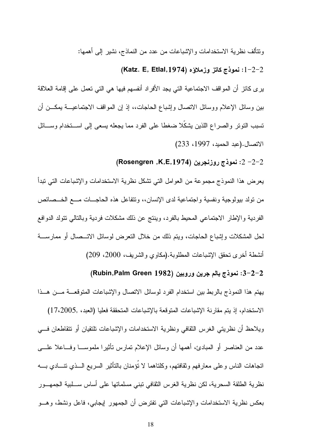ونتألف نظرية الاستخدامات والإشباعات من عدد من النماذج، نشير إلىي أهمها:

## (Katz. E, Etlal,1974) نموذج كاتز وزملاؤه (Katz. E

ير ى كانز أن المواقف الاجتماعية التي يجد الأفراد أنفسهم فيها هي التي تعمل على إقامة العلاقة بين وسائل الإعلام ووسائل الاتصال وإشباع الحاجات،، إذ إن المواقف الاجتماعيـــة بمكـــن أن نسبب النونر والصراع اللذين يشكلا ضغطا على الفرد مما يجعله بسعى إلى اســـنخدام وســـائل الاتصال.(عبد الحميد، 1997، 233)

### (Rosengren ,K,E,1974) نموذج روزنجرين (Rosengren ,K,E, $\rm 1974$

يعرض هذا النموذج مجموعة من العوامل التي تشكل نظرية الاستخدامات والإشباعات التي تبدأ من نولد بيولوجية ونفسية واجتماعية لدى الإنسان،، ونتفاعل هذه الحاجـــات مــــع الـخـــصـائص الفردية والإطار الاجتماعي المحيط بالفرد، وينتج عن ذلك مشكلات فردية وبالتالي نتولد الدوافع لحل المشكلات وإشباع الحاجات، ويتم ذلك من خلال النعرض لوسائل الاتـــصـال أو ممارســــة أنشطة أخرى تحقق الإشباعات المطلوبة.(مكاوي والشريف، 2000، 209)

#### 2−2−2: نموذج بالم جرين وروبين (Rubin,Palm Green  $1982)$

يهتم هذا النموذج بالربط بين استخدام الفرد لوسائل الاتصال والإشباعات المتوقعــة مـــن هـــذا الاستخدام، إذ يتم مقارنة الإشباعات المتوقعة بالإشباعات المتحققة فعليا (العبد، ,17،2005) ويلاحظ أن نظريتي الغرس الثقافي ونظرية الاستخدامات والإشباعات تلتقيان أو تتقاطعان فسي عدد من العناصر أو المبادئ، أهمها أن وسائل الإعلام تمارس ناثيرًا ملموســـا وفـــاعلا علــــي اتجاهات الناس وعلى معارفهم وثقافتهم، وكلتاهما لا نؤمنان بالناثير السريع الـــذي نتــــادي بــــه نظرية الطلقة السحرية، لكن نظرية الغرس الثقافي نبني مسلماتها على أساس ســـلبية الجمهـــور بعكس نظرية الاستخدامات والإشباعات التي تفترض أن الجمهور لِيجابي، فاعل ونشط، وهـــو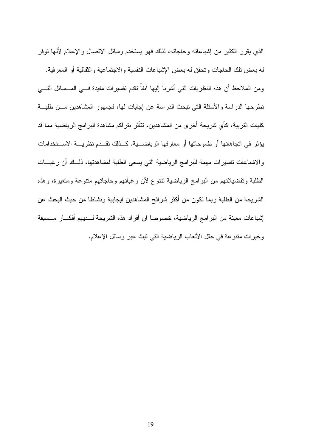الذي بقرر الكثير من إشباعاته وحاجاته، لذلك فهو يستخدم وسائل الاتصال والإعلام لأنها توفر له بعض نلك الحاجات وتحقق له بعض الإشباعات النفسية والاجتماعية والثقافية أو المعرفية. ومن الملاحظ أن هذه النظريات التي أشرنا إليها أنفاً نقدم نفسيرات مفيدة فـــي المـــسائل النــــي تطرحها الدر اسة والأسئلة التي تبحث الدر اسة عن إجابات لها، فجمهور المشاهدين مـــن طلبـــة كليات التر بية، كأى شر يحة أخر ي من المشاهدين، تتأثر بتر اكم مشاهدة البر امج الر ياضية مما قد يؤثر في اتجاهاتها أو طموحاتها أو معارفها الرياضية. كــذلك تقــدم نظريـــة الاســـتخدامات والاشباعات تفسيرات مهمة للبرامج الرياضية التي يسعى الطلبة لمشاهدتها، ذلــك أن رغبـــات الطلبة وتفضيلاتهم من البرامج الرياضية نتتوع لأن رغبانهم وحاجاتهم منتوعة ومتغيرة، وهذه الشريحة من الطلبة ربما نكون من أكثر شرائح المشاهدين إيجابية ونشاطا من حيث البحث عن إشباعات معينة من البر امج الر ياضية، خصوصا ان أفر اد هذه الشر يحة لـــديهم أفكـــار مـــسبقة وخبرات منتوعة في حقل الألعاب الرياضية التي نبث عبر وسائل الإعلام.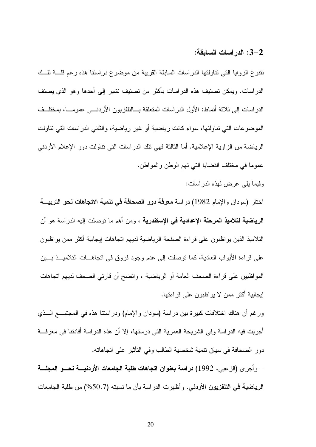#### 3–2: الدر اسات السابقة:

تتنوع الزوايا التبي نتاولتها الدراسات السابقة القريبة من موضوع دراستنا هذه رغم قلسة تلسك الدراسات. ويمكن تصنيف هذه الدراسات بأكثر من تصنيف نشير إلى أحدها وهو الذي يصنف الدراسات إلى ثلاثة أنماط: الأول الدراسات المتعلقة بـــالنلفزيون الأردنــــي عمومـــا، بمختلــف الموضوعات التي نتاولتها، سواء كانت رياضية أو غير رياضية، والثاني الدراسات التي نتاولت الرياضة من الزاوية الإعلامية. أما الثالثة فهي تلك الدراسات التي تناولت دور الإعلام الأردني عموما في مختلف القضايا التي نهم الوطن والمواطن.

وفيما يلي عرض لهذه الدراسات:

اختار (سودان والإمام 1982) در اسة **معرفة دور الصحافة في تنمية الاتجاهات نحو التربيـــة الرياضية لتلاميذ المرحلة الإعدادية في الإسكندرية** ، ومن أهم ما توصلت إليه الدراسة هو أن التلاميذ الذين يواظبون على قراءة الصفحة الرياضية لديهم اتجاهات إيجابية أكثر ممن يواظبون على قراءة الأبواب العادية، كما نوصلت إلى عدم وجود فروق في اتجاهـــات التلاميـــذ بـــين المواظبين على قراءة الصحف العامة أو الرياضية ، وانضح أن قارئي الصحف لديهم اتجاهات لِيجابية أكثر ممن لا يواظبون على قراءتها.

ورغم أن هناك اختلافات كبيرة بين در اسة (سودان والإمام) ودر استنا هذه في المجتمـــع الـــذي أجريت فيه الدراسة وفي الشريحة العمرية التي درستها، إلا أن هذه الدراسة أفادتنا في معرفـــة دور الصحافة في سياق نتمية شخصية الطالب وفي النأنثير على انجاهاته.

– وأجرى (الزعبي، 1992) دراسة بعنوان اتجاهات طلبة الجامعات الأردنيسة نحسو المجلسة **الرياضية في التلفزيون الأردني.** وأظهرت الدراسة بأن ما نسبته (50.7%) من طلبة الجامعات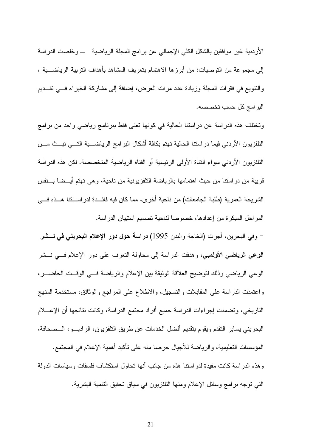الأردنية غير موافقين بالشكل الكلي الإجمالي عن برامج المجلة الرياضية موخلصت الدراسة إلى مجموعة من التوصيات: من أبرزها الاهتمام بتعريف المشاهد بأهداف التربية الرياضـــية ، والنتويع في فقرات المجلة وزيادة عدد مرات العرض، إضافة إلى مشاركة الخبراء في تقــديم البر امج كل حسب تخصصه.

وتختلف هذه الدراسة عن دراستنا الحالية في كونها تعني فقط ببرنامج رياضي واحد من برامج النلفزيون الأردني فيما دراستنا الحالية تهتم بكافة أشكال البرامج الرياضــــية التــــي تبـــث مـــن النلفزيون الأردني سواء القناة الأولى الرئيسية أو القناة الرياضية المتخصصة. لكن هذه الدراسة قريبة من دراستنا من حيث اهتمامها بالرياضة النلفزيونية من ناحية، وهي تهتم أيـــضا بـــنفس الشريحة العمرية (طلبة الجامعات) من ناحية أخرى، مما كان فيه فائـــدة لدراســـننا هـــذه فـــى المراحل المبكرة من إعدادها، خصوصا لناحية تصميم استبيان الدر اسة.

– وفي البحرين، أجرت (الخاجة والبدن 1995) **دراسة حول دور الإعلام البحريني في نــــشر الوعي الرياضي الأولمبي،** وهدفت الدراسة إلى محاولة التعرف على دور الإعلام فـــي نـــشر الوعي الرياضي وذلك لتوضيح العلاقة الوثيقة بين الإعلام والرياضة فسي الوقــت الحاضـــر ، واعتمدت الدراسة على المقابلات والتسجيل، والاطلاع على المراجع والوثائق، مستخدمة المنهج التاريخي، وتضمنت إجراءات الدراسة جميع أفراد مجتمع الدراسة، وكانت نتائجها أن الإعــــلام البحريني يساير النقدم ويقوم بنقديم أفضل الخدمات عن طريق النلفزيون، الراديـــو، الـــصـحافة، المؤسسات التعليمية، و الرياضة للأجيال حرصا منه على تأكيد أهمية الإعلام في المجتمع. وهذه الدراسة كانت مفيدة لدراستنا هذه من جانب أنها تحاول استكشاف فلسفات وسياسات الدولة التي توجه برامج وسائل الإعلام ومنها النلفزيون في سياق تحقيق التتمية البشرية.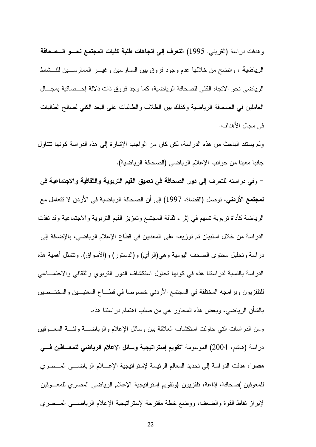و هدفت در اسة (القريني, 1995) ا**لتعرف إلى اتجاهات طلبة كليات المجتمع نحـــو الـــصحافة الرياضية** ، واتضح من خلالها عدم وجود فروق بين الممارسين وغيـــر الممارســـين للنـــشاط الرياضي نحو الاتجاه الكلي للصحافة الرياضية، كما وجد فروق ذات دلالة إحـــصائية بمجـــال العاملين في الصحافة الرياضية وكذلك بين الطلاب والطالبات على البعد الكلي لصالح الطالبات في محال الأهداف.

ولم يستفد الباحث من هذه الدراسة، لكن كان من الواجب الإشارة إلى هذه الدراسة كونها تتناول جانبا معينا من جوانب الإعلام الرياضي (الصحافة الرياضية).

- وفي در استه للتعرف إلى **دور الصحافة في تعميق القيم التربوية والثقافية والاجتماعية في لمجتمع الأردني،** توصل (القضاة، 1997) إلى أن الصحافة الرياضية في الأردن لا تتعامل مع الرياضة كأداة تربوية تسهم في إثراء ثقافة المجتمع وتعزيز القيم التربوية والاجتماعية وقد نفذت الدراسة من خلال استبيان تم توزيعه على المعنيين في قطاع الإعلام الرياضي، بالإضافة إلى در اسة وتحليل محتوى الصحف اليومية و هي(الرأي) و(الدستور) و(الأسواق). وتتمثَّل أهمية هذه الدراسة بالنسبة لدراستنا هذه في كونها نحاول استكشاف الدور النربوي والثقافي والاجتمــاعي للنلفزيون وبرامجه المختلفة في المجتمع الأردني خصوصا في قطـــاع المعنيـــين والمختـــصين بالشأن الرياضبي، وبعض هذه المحاور هي من صلب اهتمام در استنا هذه.

ومن الدر اسات التبي حاولت استكشاف العلاقة بين وسائل الإعلام والرياضــــة وفئـــة المعـــوقين دراسة (هاشم، 2004) الموسومة "تقويم إستراتيجية وسائل الإعلام الرياضى للمعــاقين فـــي مصر"، هدفت الدراسة إلى تحديد المعالم الرئيسة لإستراتيجية الإعسلام الرياضـــي المـــصري للمعوقين )صحافة، إذاعة، تلفزيون (ونقويم إستراتيجية الإعلام الرياضيي المصري للمعـــوقين لإبراز نقاط القوة والضعف، ووضع خطة مقترحة لإستراتيجية الإعلام الرياضــــى المـــصري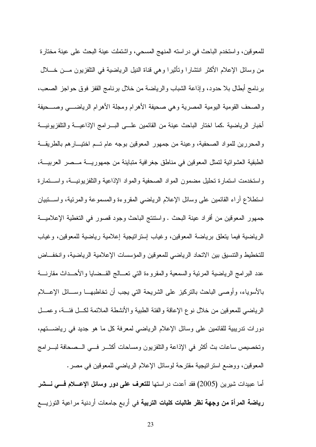للمعوقين، واستخدم الباحث في دراسته المنهج المسحى، واشتملت عينة البحث على عينة مختارة من وسائل الإعلام الأكثر انتشارًا ونَأثيرًا وهي قناة النيل الرياضية في التلفزيون مـــن خـــلال برنامج أبطال بلا حدود، وإذاعة الشباب والرياضة من خلال برنامج القفز فوق حواجز الصعب، والصحف القومية اليومية المصرية وهي صحيفة الأهرام ومجلة الأهرام الرياضي وصبحيفة أخبار الرياضية .كما اختار الباحث عينة من القائمين علـــى البـــر امج الإذاعيـــة و التلفز يو نيـــة والمحررين للمواد الصحفية، وعينة من جمهور المعوفين بوجه عام تــم اختيـــار هم بالطريقـــة الطبقية العشوائية لتمثل المعوقين في مناطق جغرافية متباينة من جمهوريــــة مـــصر العربيـــة، واستخدمت استمارة تحليل مضمون المواد الصحفية والمواد الإذاعية والتلفزيونيـــة، واســـتمارة استطلاع اراء القائمين على وسائل الإعلام الرياضي المقروءة والمسموعة والمرئية، واســـتبيان جمهور المعوفين من أفراد عينة البحث . واستنتج الباحث وجود قصور في التغطية الإعلاميـــة الرياضية فيما يتعلق برياضة المعوقين، وغياب إسترانيجية إعلامية رياضية للمعوقين، وغياب للتخطيط والنتسيق بين الاتحاد الرياضي للمعوقين والمؤسسات الإعلامية الرياضية، وانخفــاض عدد البرامج الرياضية المرئية والسمعية والمقروءة التبي تعسالج القــضايا والأحـــداث مقارنــــة بالأسوياء، وأوصبي الباحث بالنركيز على الشريحة النبي يجب أن نخاطبهـــا وســــائل الإعــــلام الرياضي للمعوفين من خلال نوع الإعاقة والفئة الطبية والأنشطة الملائمة لكـل فئــة، وعمــل دورات ندريبية للقائمين على وسائل الإعلام الرياضي لمعرفة كل ما هو جديد في رياضتهم، وتخصيص ساعات بث أكثر في الإذاعة والنلفزيون ومساحات أكثـــر فـــي الـــصحافة لبــــرامج المعوفين، ووضع استراتيجية مقترحة لوسائل الإعلام الرياضيي للمعوفين في مصر . أما عبيدات شيرين (2005) فقد أعدت در استها **للتعرف على دور وسائل الإعسلام فسى نسشر رياضة المرأة من وجهة نظر طالبات كليات التربية** في أربع جامعات أردنية مراعية التوزيــــع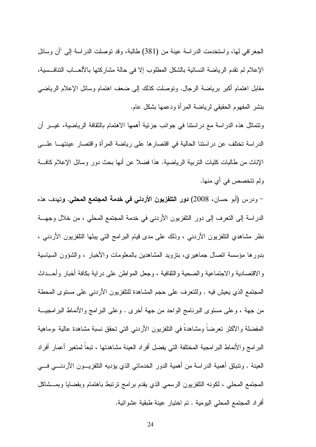الجغرافي لها، واستخدمت الدراسة عينة من (381) طالبة، وقد توصلت الدراسة إلى "أن وسائل الإعلام لم نقدم الرياضة النسائية بالشكل المطلوب إلا في حالة مشاركتها بالألعـــاب التنافـــسية، مقابل اهتمام أكبر برياضة الرجال. ونوصلت كذلك إلى ضعف اهتمام وسائل الإعلام الرياضي بنشر المفهوم الحقيقي لرياضة المرأة ودعمها بشكل عام.

ونتماثل هذه الدراسة مع دراستنا في جوانب جزئية أهمها الاهتمام بالثقافة الرياضية، غيـــر أن الدر اسة نختلف عن در استنا الحالية في اقتصار ها على رياضة المرأة واقتصار عينتهــا علـــي الإناث من طالبات كليات التربية الرياضية. هذا فضلا عن أنها بحث دور وسائل الإعلام كافة ولم نتخصص في أي منها.

– ودرس (أبو حسان، 2008) **دور التلفزيون الأردني في خدمة المجتمع المحلي. و**تهدف هذه الدراسة إلى النعرف إلى دور النلفزيون الأردني في خدمة المجتمع المحلي ، من خلال وجهـــة نظر مشاهدي النلفزيون الأردنبي ، وذلك على مدى قيام البرامج التي ببثها النلفزيون الأردنبي ، بدورها مؤسسة انصال جماهيري، بنزويد المشاهدين بالمعلومات والأخبار ، والشؤون السياسية والاقتصادية والاجتماعية والصحية والثقافية ، وجعل المواطن على دراية بكافة أخبار وأحــداث المجتمع الذي يعيش فيه . وللنعرف على حجم المشاهدة للنلفزيون الأردنـي علـي مستوى المحطة من جهة ، وعلى مستوى البرنامج الواحد من جهة أخرى . وعلى البرامج والأنماط البرامجيـــة المفضلة والأكثر تعرضاً ومشاهدةً في التلفزيون الأردنبي التي تحقق نسبة مشاهدة عالية ،وماهية البر امج و الأنماط البر امجية المختلفة التي يفضل أفر اد العينة مشاهدتها ، تبعاً لمتغير ۖ أعمار ۖ أفر اد العينة . ونتبثق أهمية الدراسة من أهمية الدور الخدماني الذي يؤديه التلفزيـــون الأردنــــي فــــي المجتمع المحلَّى ، لكونه التلفزيون الرسمي الذي يقدم برامج نرتبط باهتمام وبقضايا وبمـــشاكل أفراد المجتمع المحلي اليومية . تم اختيار عينة طبقية عشوائية.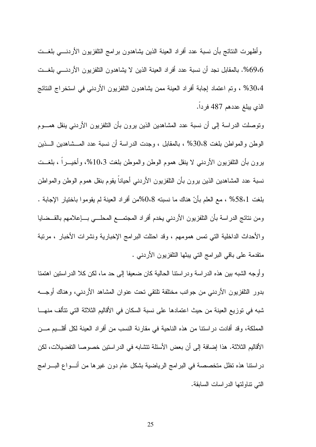وأظهرت النتائج بأن نسبة عدد أفراد العينة الذين بشاهدون برامج التلفزيون الأردنسي بلغست 69،6%. بالمقابل نجد أن نسبة عدد أفراد العينة الذين لا يشاهدون النلفزيون الأردنسي بلغــت 30،4% ، وتم اعتماد إجابة أفراد العينة ممن يشاهدون النلفزيون الأردني في استخراج النتائج الذي يبلغ عددهم 487 فردا.

وتوصلت الدراسة إلى أن نسبة عدد المشاهدين الذين يرون بأن النلفزيون الأردني ينقل همـــوم الوطن والمواطن بلغت 30،8% ، بالمقابل ، وجدت الدراسة أن نسبة عدد المـــشاهدين الــــذين برون بأن النلفزيون الأردنبي لا ينقل هموم الوطن والموطن بلغت 10،3%، وأخيـــراً ، بلغـــت نسبة عدد المشاهدين الذين يرون بأن النلفزيون الأردنبي أحياناً بقوم بنقل هموم الوطن والمواطن بلغت 58،1% ، مع العلم بأنّ هناك ما نسبته 0،8%من أفراد العينة لم يقوموا باختيار الإجابة . ومن نتائج الدراسة بأن النلفزيون الأردني يخدم أفراد المجتمــع المحلــي بـــإعلامهم بالقـــضايا والأحداث الداخلية النبي نمس همومهم ، وقد احتلت البرامج الإخبارية ونشرات الأخبار ، مرنبة منقدمة على باقى البرامج التي ببثها النلفزيون الأردنبي .

وأوجه الشبه بين هذه الدراسة ودراستنا الحالية كان ضعيفا إلى حد ما، لكن كلا الدراستين اهتمنا بدور النلفزيون الأردنبي من جوانب مختلفة نلتقى نحت عنوان المشاهد الأردنبي، وهناك أوجـــه شبه في توريع العينة من حيث اعتمادها على نسبة السكان في الأقاليم الثلاثة التي تتألف منهـــا المملكة، وقد أفادت دراستنا من هذه الناحية في مقارنة النسب من أفراد العينة لكل أقلــيم مـــن الأقاليم الثلاثة. هذا إضافة إلى أن بعض الأسئلة تتشابه في الدراستين خصوصا التفضيلات، لكن دراستنا هذه نظل متخصصة في البرامج الرياضية بشكل عام دون غيرها من أنـــواع البـــرامج التي تناولتها الدراسات السابقة.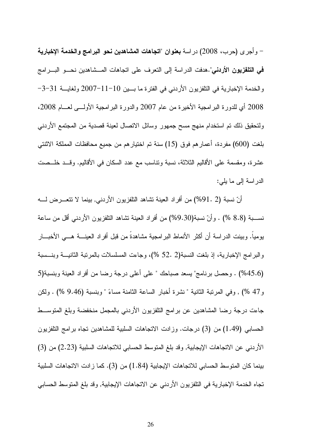– وأجرى (حرب، 2008) دراسة **بعنوان "اتجاهات المشاهدين نحو البرامج والخدمة الإخبارية** <mark>في التلفزيون الأردني".هدف</mark>ت الدراسة إلى التعرف على اتجاهات المـــشاهدين نحـــو البــــرامج والخدمة الإخبارية في النلفزيون الأردنبي في الفترة ما بسين 10−11−2007 ولغايسة 31−3− 2008 أي للدورة البرامجية الأخيرة من عام 2007 والدورة البرامجية الأولـــي لعـــام 2008، ولتحقيق ذلك تم استخدام منهج مسح جمهور وسائل الاتصال لعينة قصدية من المجتمع الأردنبي بلغت (600) مفردة، أعمار هم فوق (15) سنة تم اختيار هم من جميع محافظات المملكة الاثنتي عشرة، ومقسمة على الأقاليم الثلاثة، نسبة ونتاسب مع عدد السكان في الأقاليم. وقــد خلــصت الدراسة إلى ما يلي:

أنّ نسبة (91. 2%) من أفراد العينة تشاهد التلفزيون الأردنبي, بينما لا تتعـــرض لــــه نســـبة (8.8 %) . وأنّ نسبة(9.30%) من أفراد العينة تشاهد النلفزيون الأردنبي أقل من ساعة يومياً. وبينت الدراسة أن أكثر الأنماط البرامجية مشاهدة من قبل أفراد العينــــة هـــي الأخبــــار والبرامج الإخبارية، إذ بلغت النسبة(2 .52 %)، وجاءت المسلسلات بالمرتبة الثانيـــة وبنـــسبة (45.6%) . وحصل برنامج" يسعد صباحك " على أعلى درجة رضا من أفراد العينة وبنسبة(5 و47 %) , وفي المرتبة الثانية " نشرة أخبار الساعة الثامنة مساءً " وبنسبة (9.46 %) . ولكن جاءت درجة رضا المشاهدين عن برامج التلفزيون الأردنبي بالمجمل منخفضة وبلغ المنوســط الحسابي (1.49) من (3) درجات. وزادت الاتجاهات السلبية للمشاهدين نجاه برامج النلفزيون الأردني عن الاتجاهات الإيجابية, وقد بلغ المتوسط الحسابي للاتجاهات السلبية (2.23) من (3) بينما كان المتوسط الحسابي للاتجاهات الإيجابية (1.84) من (3). كما زادت الاتجاهات السلبية تجاه الخدمة الإخبارية في التلفزيون الأردني عن الاتجاهات الإيجابية, وقد بلغ المتوسط الحسابي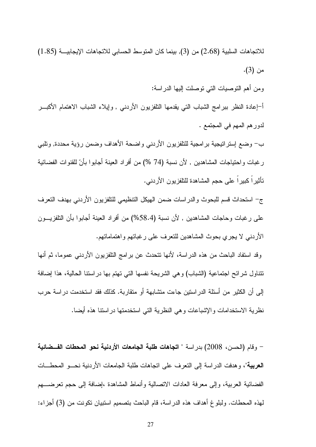للاتجاهات السلبية (2.68) من (3), بينما كان المتوسط الحسابي للاتجاهات الإيجابيـــة (1.85) من (3).

ومن أهم النوصيات التبي نوصلت إليها الدراسة:

أ–إعادة النظر ببرامج الشباب التبي يقدمها النلفزيون الأردنبي , وإيلاء الشباب الاهتمام الأكبـــر لدور هم المهم في المجتمع .

ب– وضع إستراتيجية برامجية للتلفزيون الأردني واضحة الأهداف وضمن رؤية محددة, وتلبي ر غبات واحتياجات المشاهدين , لأن نسبة (74 %) من أفراد العينة أجابوا بأنّ للقنوات الفضائية تأثيراً كبيراً على حجم المشاهدة للتلفزيون الأردني.

ج– استحداث قسم للبحوث والدراسات ضمن الهيكل التنظيمي للتلفزيون الأردنبي بهدف التعرف على رغبات وحاجات المشاهدين , لأن نسبة (58.4%) من أفراد العينة أجابوا بأن النلفزيـــون الأردنبي لا يجرى بحوث المشاهدين للنعرف على رغباتهم واهتماماتهم.

وقد استفاد الباحث من هذه الدراسة، لأنها نتحدث عن برامج النلفزيون الأردنبي عموما، ثم أنها نتتاول شرائح اجتماعية (الشباب) وهي الشريحة نفسها التي تهتم بها دراستنا الحالية، هذا إضافة إلى أن الكثير من أسئلة الدراستين جاءت متشابهة أو متقاربة. كذلك فقد استخدمت دراسة حرب نظرية الاستخدامات والإشباعات وهي النظرية التي استخدمتها در استنا هذه أيضا.

– وقام (الحسن، 2008) بدراسة " اتجاهات طلبة الجامعات الأردنية نحو المحطات الفــضائية **العربية**"، وهدفت الدراسة إلى النعرف على انجاهات طلبة الجامعات الأردنية نحـــو المحطــــات الفضائية العربية، وإلى معرفة العادات الاتصالية وأنماط المشاهدة ،إضافة إلى حجم تعرضــــهم لهذه المحطات. ولبلو غ أهداف هذه الدراسة، قام الباحث بتصميم استبيان تكونت من (3) أجزاء: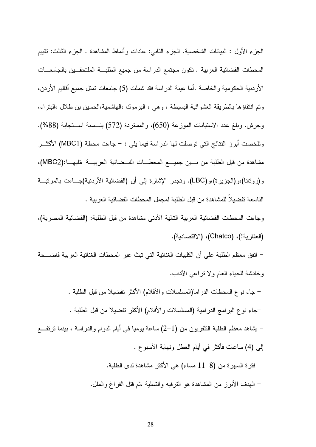الجزء الأول : البيانات الشخصية. الجزء الثاني: عادات وأنماط المشاهدة . الجزء الثالث: تقييم المحطات الفضائية العربية . تكون مجتمع الدراسة من جميع الطلبـــة الملتحقـــين بالجامعـــات الأردنية الحكومية والخاصة .أما عينة الدراسة فقد شملت (5) جامعات نمثل جميع أقاليم الأردن، وتم انتقاؤها بالطريقة العشوائية البسيطة ، وهي ، اليرموك ،الهاشمية،الحسين بن طلال ،البتراء، وجرش. وبلغ عدد الاستبانات الموزعة (650)، والمستردة (572) بنسسبة استجابة (88%). وتلخصت أبرز النتائج التي توصلت لها الدراسة فيما يلي : – جاءت محطة (MBC1) الأكثـــر مشاهدة من قبل الطلبة من بسين جميسع المحطـــات الفــضائية العربيـــة ،تليهـــا:(MBC2)، و(رونانا)،و(الجزيرة)،و(LBC). ونجدر الإشارة إلى أن (الفضائية الأردنية)جـــاءت بالمرنبـــة الناسعة تفضيلاً للمشاهدة من قبل الطلبة لمجمل المحطات الفضائية العربية .

و جاءت المحطات الفضائية العربية التالية الأدنى مشاهدة من قبل الطلبة: (الفضائية المصر ية)، (العقارية!)، (Chatco)، (الاقتصادية).

– اتفق معظم الطلبة على أن الكليبات الغنائية التي نبث عبر المحطات الغنائية العربية فاضــــحة وخادشة للحياء العام ولا نراعي الأداب.

– جاء نوع المحطات الدر اما(المسلسلات والأفلام) الأكثر تفضيلا من قبل الطلبة . –جاء نو ع البر امج الدر امية (المسلسلات والأفلام) الأكثر تفضيلا من قبل الطلبة . – يشاهد معظم الطلبة النلفزيون من (1–2) ساعة يوميا في أيام الدوام والدراسة ، بينما نرتفـــع إلى (4) ساعات فأكثر في أيام العطل ونهاية الأسبوع . – فترة السهرة من (8–11 مساء) هي الأكثر مشاهدة لدى الطلبة. – المهدف الأبرز من المشاهدة هو النرفيه والتسلية ،ثم قُتل الفراغ والملل.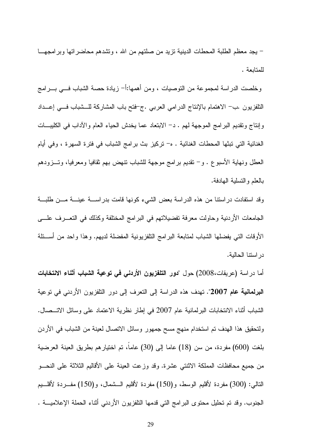– يجد معظم الطلبة المحطات الدينية نزيد من صلتهم من الله ، وتشدهم محاضر اتها وبر امجهـــا للمتابعة .

وخلصت الدراسة لمجموعة من التوصيات ، ومن أهمها:أ– زيادة حصة الشباب فـــي بــــرامج التلفزيون ـب– الاهتمام بالإنتاج الدرامي العرببي ـج-فتح باب المشاركة للـــشباب فــــي إعـــداد وإنتاج وتقديم البرامج الموجهة لهم . د– الابتعاد عما يخدش الحياء العام والأداب في الكليبـــات الغنائية التي تبثها المحطات الغنائية . ه- تركيز بث برامج الشباب في فترة السهرة ، وفي أيام العطل ونهاية الأسبوع . و – نقديم برامج موجهة للشباب نتهض بهم ثقافيا ومعرفيا، وتـــزودهم بالعلم والتسلية الهادفة.

وقد استفادت دراستنا من هذه الدراسة بعض الشيء كونها قامت بدراســـة عينـــة مـــن طلبـــة الجامعات الأردنية وحاولت معرفة تفضيلاتهم في البر امج المختلفة وكذلك في التعـــرف علــــي الأوقات التبي يفضلها الشباب لمتابعة البرامج التلفزيونية المفضلة لديهم. وهذا واحد من أســـئلة در استنا الحالبة.

أما دراسة (عريقات،2008) حول "**دور التلفزيون الأردنى فى توعية الشباب أثناء الانتخابات البرلمانية عام 2007**". تهدف هذه الدراسة إلى النعرف إلى دور التلفزيون الأردني في توعية الشباب أثناء الانتخابات البرلمانية عام 2007 في إطار نظرية الاعتماد على وسائل الاتـــصـال. ولتحقيق هذا الهدف تم استخدام منهج مسح جمهور وسائل الاتصال لعينة من الشباب في الأردن بلغت (600) مفردة، من سن (18) عاما إلى (30) عاما، تم اختيارهم بطريق العينة العرضية من جميع محافظات المملكة الاثنتي عشرة. وقد وزعت العينة على الأقاليم الثلاثة على النحـــو النالبي: (300) مفردة لأقليم الوسط، و(150) مفردة لأقليم الـــشمال، و(150) مفـــردة لأقلـــيم الْجنوب. وقد تم تَحْلَيْل مَحْتُوي البرَّامج الَّتِي قَدْمَهَا التَّلْفُزِيونِ الأَرْدَنِي أَنْتَاءَ الحملة الإعلاميـــة .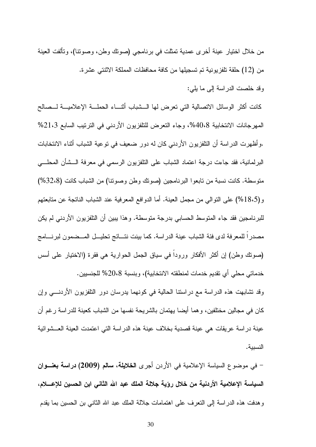من خلال اختيار عينة أخرى عمدية تمثلت في برنامجي (صونك وطن، وصونتا)، وتألفت العينة من (12) حلقة تلفزيونية تم تسجيلها من كافة محافظات المملكة الاثنتي عشرة.

وقد خلصت الدراسة إلى ما يلي:

كانت أكثر الوسائل الاتصالية التي تعرض لها الــشباب أثنـــاء الحملـــة الإعلاميـــة لـــصالح المهرجانات الانتخابية 40،8%، وجاء التعرض للتلفزيون الأردني في الترتيب السابع 21،3% .وأظهرت الدر اسة أن التلفزيون الأردني كان له دور ضعيف في توعية الشباب أثناء الانتخابات البرلمانية، فقد جاءت درجة اعتماد الشباب على التلفزيون الرسمي في معرفة الـــشأن المحلـــي متوسطة. كانت نسبة من نابعوا البرنامجين (صونك وطن وصونتا) من الشباب كانت (32،8%) و (18،5%) على النوالي من مجمل العينة. أما الدوافع المعرفية عند الشباب الناتجة عن متابعتهم للبر نامجين فقد جاء المنوسط الحسابي بدرجة منوسطة. و هذا يبين أن النلفزيون الأريني لم يكن مصدراً للمعرفة لدى فئة الشباب عينة الدراسة. كما بينت نتـــائج تحليـــل المـــضمون لبرنـــــامج (صونك وطن) إن أكثر الأفكار ورودا في سياق الجمل الحوارية هي فقرة (الاختيار على أسس خدماتي محلِّي أي تقديم خدمات لمنطقته الانتخابية)، وبنسبة 20،8% للجنسيين.

وقد تشابهت هذه الدراسة مع دراستنا الحالية في كونهما يدرسان دور النلفزيون الأردنــــي وإن كان في مجالين مختلفين، و هما أيضا بـهتمان بـالشر بـحة نفسها من الشباب كـعبنـة للدر اسـة ر غم أن عينة در اسة عريقات هي عينة قصدية بخلاف عينة هذه الدر اسة التي اعتمدت العينة العــشوائية النسبية.

– في موضوع السياسة الإعلامية في الأردن أجرى ا**لخلايلة، سالم (2009) دراسة بعنـــوان** السياسة الإعلامية الأردنية من خلال رؤية جلالة الملك عبد الله الثاني ابن الحسين للإعسلام، و هدفت هذه الدر اسة إلى النعر ف على اهتمامات جلالة الملك عبد الله الثاني بن الحسين بما يقدم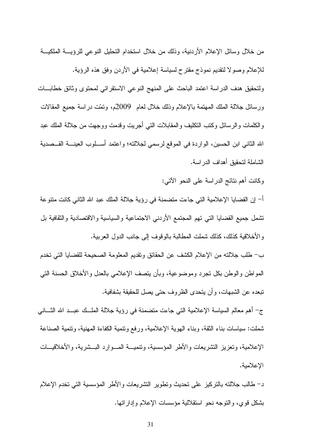من خلال وسائل الإعلام الأردنية، وذلك من خلال استخدام التحليل النوعي للرؤيسة الملكيـــة للإعلام وصولا لنقديم نموذج مقترح لسياسة إعلامية في الأردن وفق هذه الرؤية. ولتحقيق هدف الدراسة اعتمد الباحث على المنهج النوعي الاستقرائي لمحتوى وثائق خطابات ورسائل جلالة الملك المهتمة بالإعلام وذلك خلال لعام 2009م، ونَمَّت دراسة جميع المقالات و الكلمات و الر سائل وكتب التكليف و المقابلات التي أجر بت و قدمت و و جهت من جلالة الملك عبد الله الثاني ابن الحسين، الواردة في الموقع لرسمي لجلالته؛ واعتمد أســـلوب العينــــة القـــصدية الشاملة لتحقيق أهداف الدر اسة.

وكانت أهم نتائج الدراسة على النحو الآتي:

أ– إن القضايا الإعلامية التي جاءت متضمنة في رؤية جلالة الملك عبد الله الثاني كانت متنوعة تشمل جميع القضايا التبي تهم المجتمع الأردنبي الاجتماعية والسياسية والاقتصادية والثقافية بل وِ الأخلاقية كذلك، كذلك شملت المطالبة بالوقوف إلى جانب الدول العربية.

ب– طلب جلالته من الإعلام الكشف عن الحقائق وتقديم المعلومة الصحيحة للقضايا التي تخدم المواطن والوطن بكل نجرد وموضوعية، وبأن يتصف الإعلامي بالعدل والأخلاق الحسنة التبي تبعده عن الشبهات، وأن يتحدى الظروف حتى يصل للحقيقة بشفافية.

ج- أهم معالم السياسة الإعلامية التي جاءت متضمنة في رؤية جلالة الملَّــك عبــد الله النَّـــاني شملت: سياسات بناء الثقة، وبناء الهوية الإعلامية، ورفع ونتمية الكفاءة المهنية، ونتمية الصناعة الإعلامية، وتعزيز التشريعات والأطر المؤسسية، وتنميـــة المـــوارد البـــشرية، والأخلاقيـــات الإعلامية.

د– طالب جلالته بالنركيز على نحديث ونطوير التشريعات والأطر المؤسسية التي نخدم الإعلام بشكل قوى، والنوجه نحو استقلالية مؤسسات الإعلام وإداراتها.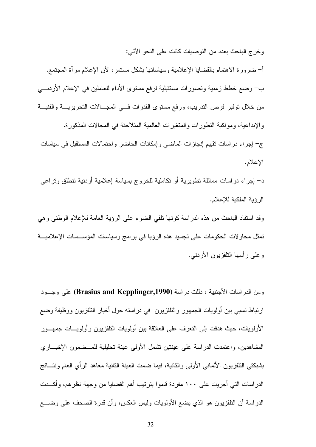وخرج الباحث بعدد من التوصيات كانت على النحو الآتي:

أ– ضرورة الاهتمام بالقضايا الإعلامية وسياساتها بشكل مستمر، لأن الإعلام مرآة المجتمع. ب– وضع خطط زمنية وتصورات مستقبلية لرفع مستوى الأداء للعاملين في الإعلام الأردنسي من خلال نوفير فرص الندريب، ورفع مستوى القدرات فسي المجـــالات النحريريــــة والفنيـــة و الإبداعية، ومو اكبة النطور ات و المنغير ات العالمية المنلاحقة في المجالات المذكور ة. ج- إجراء در اسات نقييم إنجاز ات الماضبي وإمكانات الحاضر وإحتمالات المستقبل في سياسات الإعلام.

د– إجراء دراسات مماثلة نطويرية أو نكاملية للخروج بسياسة إعلامية أردنية نتطلق ونراعى الر ؤية الملكية للإعلام.

وقد استفاد الباحث من هذه الدر اسة كونها نلقى الضوء على الرؤية العامة للإعلام الوطني وهي تمثَّل محاولات الحكومات على نجسيد هذه الرؤيا في برامج وسياسات المؤســسات الإعلاميـــة وعلى رأسها النلفزيون الأردني.

ومن الدراسات الأجنبية ، دللت دراسة (Brasius and Kepplinger,1990) على وجسود ارتباط نسبي بين أولويات الجمهور والنلفزيون في دراسته حول أخبار النلفزيون ووظيفة وضع الأولويات، حيث هدفت إلى النعرف على العلاقة بين أولويات التلفزيون وأولويسات جمهـــور المشاهدين، واعتمدت الدراسة على عينتين نشمل الأولى عينة تحليلية للمـــضمون الإخبـــاري بشبكتي النلفزيون الألماني الأولى والثانية، فيما ضمت العينة الثانية معاهد الرأي العام ونتـــائج الدراسات التي أجريت على ١٠٠ مفردة قاموا بترنيب أهم القضايا من وجهة نظرهم، وأكـــدت الدراسة أن النلفزيون هو الذي يضع الأولويات وليس العكس، وأن قدرة الصحف على وضــــع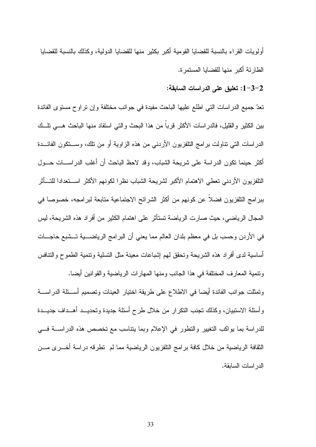أو لو بات القر اء بالنسبة للقضابا القو مبة أكبر بكثير منها للقضابا الدولية، وكذلك بالنسبة للقضابا الطار ئة أكبر منها للقضايا المستمر ة.

## 1-3-2: تعليق على الدراسات السابقة:

تعدّ جميع الدر اسات التي اطلع عليها الباحث مفيدة في جوانب مختلفة وإن تراوح مستوى الفائدة بين الكثير و القليل، فالدر اسات الأكثر قر با من هذا البحث و التي استفاد منها الباحث هـــي تلـــك الدراسات التي نتاولت برامج النلفزيون الأردنبي من هذه الزاوية أو من نلك، وســـنكون الفائـــدة أكثر حينما نكون الدراسة على شريحة الشباب، وقد لاحظ الباحث أن أغلب الدراســـات حـــول النلفزيون الأردني تعطي الاهتمام الأكبر لشريحة الشباب نظرا لكونهم الأكثر اسستعدادا للتسأثر ببرامج النلفزيون فضلاً عن كونهم من أكثر الشرائح الاجتماعية متابعة لبرامجه، خصوصا في المجال الرياضي، حيث صارت الرياضة تستأثر على اهتمام الكثير من أفراد هذه الشريحة، ليس في الأردن وحسب بل في معظم بلدان العالم مما يعني أن البرامج الرياضــــبة تـــشبع حاجــــات أساسية لدى أفراد هذه الشريحة وتحقق لمهم إشباعات معينة مثل التسلية وتنمية الطموح والتنافس ونتمية المعارف المختلفة في هذا الجانب ومنها المهارات الرياضية والقوانين أيضا.

وتمثلت جوانب الفائدة أيضا في الاطلاع على طريقة اختيار العينات وتصميم أســئلة الدراســـة وأسئلة الاستبيان، وكذلك تجنب التكرار من خلال طرح أسئلة جديدة وتحديــد أهــداف جديـــدة للدراسة بما يواكب التغيير والتطور في الإعلام وبما يتناسب مع تخصص هذه الدراســـة فـــي الثقافة الرياضية من خلال كافة بر امج التلفزيون الرياضية مما لم تطرقه در اسة أخـــر ي مـــن الدر اسات السابقة.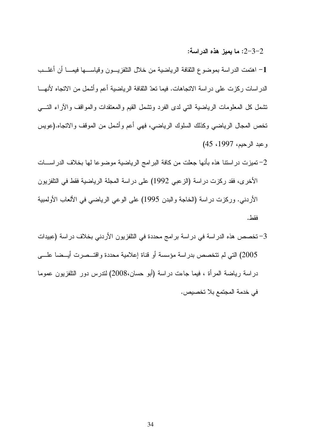: ما يميز هذه الدراسة:  $2\hbox{--}3\hbox{--}2$ 

1– اهتمت الدراسة بموضوع الثقافة الرياضية من خلال التلفزيـــون وقياســــها فيمــــا أن أغلــــب الدراسات ركزت على دراسة الاتجاهات. فيما نعدّ الثقافة الرياضية أعم واشمل من الانجاه لأنهـــا نتسمل كل المعلومات الرياضية التي لدى الفرد ونشمل القيم والمعتقدات والمواقف والاراء التــــي تخص المجال الرياضـي وكذلك السلوك الرياضـي، فهي أعم وأشمل من الموقف والاتجاه.(عويس وعبد الرحيم، 1997، 45)

- 2– تميزت در استنا هذه بأنـها جعلت من كـافة البر امـج الرياضية موضوعا لـها بخلاف الدر اســـات الأخرى، فقد ركزت دراسة (الزعبي 1992) على دراسة المجلة الرياضية فقط في التلفزيون الأردني. وركزت دراسة (الخاجة والبدن 1995) على الوعي الرياضي في الألعاب الأولمبية فقط.
- 3– تخصص هذه الدر اسة في در اسة بر امج محددة في التلفزيون الأردني بخلاف در اسة (عبيدات 2005) التي لم تتخصص بدراسة مؤسسة أو قناة إعلامية محددة واقتــصرت أيــضـا علــــي در اسة رياضة المرأة ، فيما جاءت دراسة (أبو حسان،2008) لتدرس دور التلفزيون عموما في خدمة المجتمع بلا تخصيص.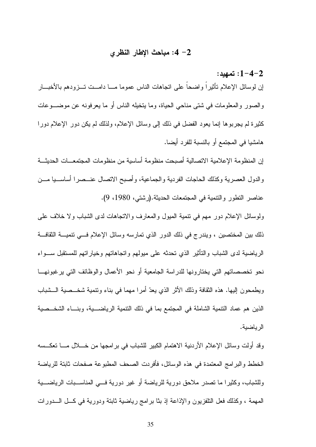### 2– 4: مباحث الإطار النظرى

1−4−2: تمهيد: إن لوسائل الإعلام نأثيراً واضحاً على اتجاهات الناس عموما مـــا دامــت تـــزودهم بالأخبـــار والصور والمعلومات في شتبي مناحي الحياة، وما يتخيله الناس أو ما يعرفونه عن موضـــوعات كثيرة لم يجربوها إنما يعود الفضل في ذلك إلى وسائل الإعلام، ولذلك لم يكن دور الإعلام دورا هامشيا في المجتمع أو بالنسبة للفرد أيضا.

إن المنظومة الإعلامية الاتصالية أصبحت منظومة أساسية من منظومات المجتمعــات الحديثـــة والدول العصرية وكذلك الحاجات الفردية والجماعية، وأصبح الاتصال عنــصرا أساســـيا مـــن عناصر النطور والنتمية في المجتمعات الحديثة.(رشتي، 1980، 9).

ولوسائل الإعلام دور مهم في نتمية المبول والمعارف والانجاهات لدى الشباب ولا خلاف على ذلك بين المختصين ، ويندر ج في ذلك الدور الذي تمارسه وسائل الإعلام فـــي تتميـــة الثقافـــة الرياضية لدى الشباب والنأثير الذي نحدثه على ميولهم واتجاهاتهم وخياراتهم للمستقبل ســـواء نحو تخصصاتهم التي يختارونها للدراسة الجامعية أو نحو الأعمال والوظائف التي يرغبونهــا ويطمحون إليها. هذه الثقافة وذلك الأثر الذي يعدّ أمرًا مهما في بناء ونتمية شخــصية الـــشباب الذين هم عماد النتمية الشاملة في المجتمع بما في ذلك النتمية الرياضــــية، وبنـــاء الشخـــصية الرياضية.

وقد أولت وسائل الإعلام الأردنية الاهتمام الكبير للشباب في برامجها من خــــلال مـــــا تعكـــسه الخطط و البر امج المعتمدة في هذه الوسائل، فأفريت الصحف المطبوعة صفحات ثابتة للرياضة وللشباب، وكثيرًا ما نصدر ملاحق دورية للرياضة أو غير دورية فـــي المناســبات الرياضـــية المهمة ، وكذلك فعل النلفزيون والإذاعة إذ بثا برامج رياضية ثابتة ودورية في كــل الـــدورات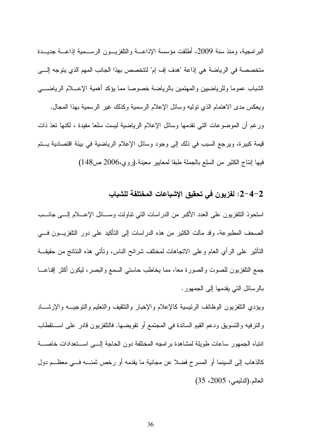البر امجية، ومنذ سنة 2009، أطلقت مؤسسة الإذاعـــة والتلفزيـــون الرســـمية إذاعـــة جديـــدة متخصصة في الرياضة هي إذاعة "هدف إف إم" لنتخصص بهذا الجانب المهم الذي يتوجه إلـــى الشباب عموما وللرياضيين والمهتمين بالرياضة خصوصا مما يؤكد أهمية الإعسلام الرياضــــي ويعكس مدى الاهتمام الذي نوليه وسائل الإعلام الرسمية وكذلك غير الرسمية بهذا المجال. ور غم أن الموضوعات التي تقدمها وسائل الإعلام الرياضية ليست سلعا مفيدة ، لكنها تعدّ ذات قيمة كبير ة، ويرجع السبب في ذلك إلى وجود وسائل الإعلام الرياضية في بيئة اقتصادية يستم فيها إنتاج الكثير من السلع بالجملة طبقا لمعايير معينة.(روى،2006 ص148)

### 2–4–2: لفزيون في تحقيق الإشباعات المختلفة للشباب

استحوذ النتلفزيون على العدد الأكبر من الدراسات التي نتاولت وســـائل الإعــــلام إلــــي جانــــب الصـحف المطبوعة، وقد مالت الكثير من هذه الدراسات إلى التأكيد على دور النلفزيـــون فــــى النَّاثير على الرأي العام وعلى الانجاهات لمختلف شرائح الناس، ونأتـي هذه النتائج من حقيقـــة جمع التلفزيون للصوت والصورة معا، مما يخاطب حاستي السمع والبصر ، ليكون أكثر إقناعـــا بالرسائل التي يقدمها إلى الجمهور.

ويؤدي النلفزيون الوظائف الرئيسية كالإعلام والإخبار والنثقيف والنعليم والنوجيـــه والإرشــــاد والنزفيه والتسويق ودعم القيم السائدة في المجتمع أو نقويضها. فالنلفزيون قادر على استقطاب انتباه الجمهور ساعات طويلة لمشاهدة برامجه المختلفة دون الحاجة إلـــي اســـتعدادات خاصــــة كالذهاب إلى السينما أو المسرح فضلا عن مجانية ما يقدمه أو رخص ثمنــــه فــــى معظــــم دول العالم.(الدليمي، 2005، 35)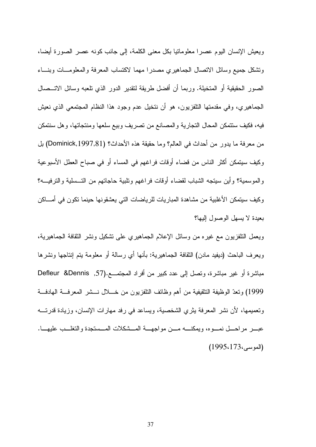ويعيش الإنسان اليوم عصر ا معلوماتيا بكل معنى الكلمة، إلى جانب كونه عصر الصورة أيضا، ونتثىكل جميع وسائل الانصال الجماهيري مصدرا مهما لاكتساب المعرفة والمعلومسات وبنساء الصور الحقيقية أو المتخيلة. وربما أن أفضل طريقة لنقدير الدور الذي تلعبه وسائل الاتـــصـال الجماهير ي، وفي مقدمتها التلفزيون، هو أن نتخيل عدم وجود هذا النظام المجتمعي الذي نعيش فيه، فكيف سنتمكن المحال النجارية والمصانع من تصريف وبيع سلعها ومنتجاتها، وهل سنتمكن من معرفة ما يدور من أحداث في العالم؟ وما حقيقة هذه الأحداث؟ (Dominick,1997,81) بل وكيف سيتمكن أكثر الناس من قضاء أوقات فراغهم في المساء أو في صباح العطل الأسبوعية والموسمية؟ وأين سيتجه الشباب لقضاء أوقات فراغهم ونلبية حاجاتهم من التــسلية والترفيـــه؟ وكيف سيتمكن الأغلبية من مشاهدة المباريات للرياضات التي يعشقونها حينما نكون في أمـــاكن بعيدة لا يسهل الوصول اليها؟

ويعمل النلفزيون مع غيره من وسائل الإعلام الجماهيري على نشكيل ونشر الثقافة الجماهيرية، ويعرف الباحث (ديفيد مادن) الثقافة الجماهيرية: بأنها أي رسالة أو معلومة بنم إنتاجها ونشرها مباشرة أو غير مباشرة، ونصل إلى عدد كبير من أفراد المجتمـــع.(57, Defleur &Dennis 1999) وتعدّ الوظيفة التثقيفية من أهم وظائف التلفزيون من خـــلال نـــشر المعرفـــة الـهادفـــة وتعميمها، لأن نشر المعرفة بنر ي الشخصية، وبساعد في رفد مهار ات الإنسان، وزبادة قدر تـــه عبسر مراحسل نمسوه، وبمكنسه مسن مواجهسة المسشكلات المسستجدة والتغلسب عليهسا.  $(1995.173)$ الموسى)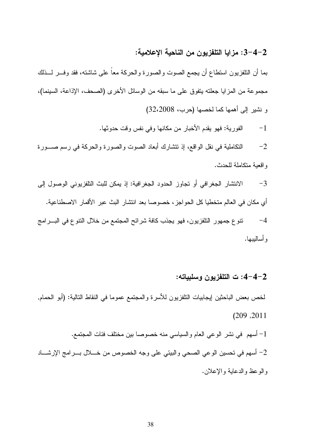## 2–3-4: مزايا التلفزيون من الناحية الإعلامية:

بما أن التلفزيون استطاع أن يجمع الصوت والصورة والحركة معا على شاشته، فقد وفـــر لـــذلك مجموعة من المزايا جعلته يتفوق على ما سبقه من الوسائل الأخرى (الصحف، الإذاعة، السينما)، و نشير إلى أهمها كما لخصها (حرب، 32،2008)

> الفورية: فهو يقدم الأخبار من مكانها وفي نفس وقت حدوثها.  $-1$

لتكاملية في نقل الواقع، إذ نتشارك أبعاد الصوت والصورة والحركة في رسم صــــورة  $-2$ واقعية متكاملة للحدث.

3− الانتشار الجغرافي أو تجاوز الحدود الجغرافية: إذ يمكن للبث التلفزيوني الوصول إلى أي مكان في العالم متخطيا كل الحواجز ، خصوصا بعد انتشار البث عبر الأقمار الاصطناعية. 4– تنوع جمهور النلفزيون، فهو يجذب كافة شرائح المجتمع من خلال النتوع في البـــرامج و أساليبها.

## 2–4–4: ت التلفزيون وسلبياته:

لخص بعض الباحثين إيجابيات النلفزيون للاسرة والمجتمع عموما في النقاط التالية: (أبو الحمام, ( 209 ,2011

- اسهم في نشر الوعي العام والسياسي منه خصوصا بين مختلف فئات المجتمع.  $\!-1$
- 2− أسهم في تحسين الوعي الصحي والبيئي على وجه الخصوص من خـــلال بــــرامج الإرشــــاد والوعظ والدعاية والإعلان.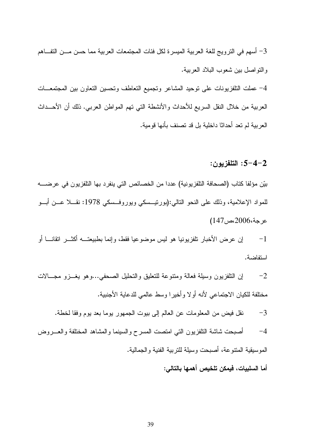سهم في النزويج للغة العربية الميسرة لكل فئات المجتمعات العربية مما حسن مـــن التفـــاهم $-3$ و التو اصل بين شعو ب البلاد العر بية.

4– عملت النلفزيونات على نوحيد المشاعر ونجميع النعاطف ونحسين النعاون بين المجتمعـــات العربية من خلال النقل السريع للأحداث والأنشطة التبي تهم المواطن العربي. ذلك أن الأحـــداث العر بية لم تعد أحداثا داخلية بل قد تصنف بأنها قومية.

#### : التلفز بو ن  $5 - 4 - 2$

بيّن مؤلفا كتاب (الصحافة التلفزيونية) عددا من الخصائص التي ينفرد بها التلفزيون في عرضــــه للمواد الإعلامية، وذلك على النحو التالبي:(بورنيـــسكي ويوروفـــسكي 1978: نقــــلا عـــن أبـــو عر جة،2006 مص147)

إن عرض الأخبار نلفزيونيا هو ليس موضوعيا فقط، وإنما بطبيعتـــه أكثـــر انقانــــا أو  $-1$ استفاضية.

إن التلفزيون وسيلة فعالة ومتنوعة للتعليق والتحليل الصحفى...وهو يغــزو مجـــالات  $-2$ مختلفة للكيان الاجتماعي لأنه أولا وأخيرا وسط عالمي للدعاية الأجنبية.

نقل فيض من المعلومات عن العالم إلى بيوت الجمهور يوما بعد يوم وفقا لخطة.  $-3$ 

4– أصبحت شاشة النلفزيون النبي امتصت المسرح والسينما والمشاهد المختلفة والعـــروض الموسيقية المنتوعة، أصبحت وسيلة للتربية الفنية والجمالية.

أما السلبيات، فيمكن تلخيص أهمها بالتالي: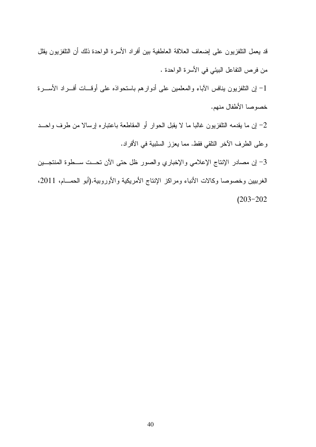| قد بعمل النافزيون على إضعاف العلاقة العاطفية بين أفراد الأسرة الواحدة ذلك أن النافزيون بقلل    |
|------------------------------------------------------------------------------------------------|
| من فرص النفاعل البيئي في الأسرة الواحدة .                                                      |
| 1– إن النلفزيون ينافس الأباء والمعلمين على أدوارهم باستحواذه على أوقـــات أفــــراد الأســــرة |
| خصوصا الأطفال منهم.                                                                            |
| 2– إن ما يقدمه النلفزيون غالبا ما لا يقبل الحوار أو المقاطعة باعتباره إرسالا من طرف واحـــد    |
| وعلى الطرف الأخر النلقي فقط. مما يعزز السلبية في الأفراد.                                      |
| 3- إن مصادر الإنتاج الإعلامي والإخباري والصور ظل حتى الأن تحــت ســطوة المنتجــين              |
| الغرببين وخصوصا وكالات الأنباء ومراكز الإنتاج الأمريكية والأوروبية.(أبو الحمــام، 2011،        |
| $(203 - 202)$                                                                                  |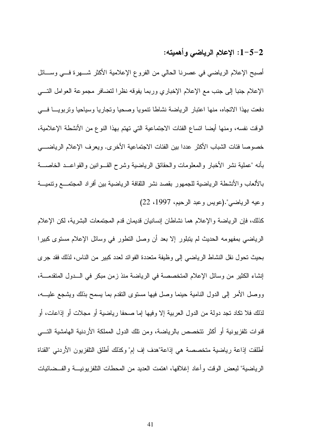## 1-5-2: الإعلام الرياضي وأهميته:

أصبح الإعلام الرياضيي في عصرنا الحالي من الفروع الإعلامية الأكثر شــــهرة فـــي وســــائل الإعلام جنبا إلى جنب مع الإعلام الإخباري وربما يفوقه نظرا لتضافر مجموعة العوامل التسي دفعت بهذا الاتجاه، منها اعتبار الرياضة نشاطا تتمويا وصحيا وتجاريا وسياحيا وتربويـــا فـــي الوقت نفسه، ومنها أيضا اتساع الفئات الاجتماعية التي تهتم بهذا النوع من الأنشطة الإعلامية، خصوصا فئات الشباب الأكثر عددا بين الفئات الاجتماعية الأخرى. ويعرف الإعلام الرياضــــى بأنه "عملية نشر الأخبار والمعلومات والحقائق الرياضية وشرح القـــوانين والقواعـــد الخاصــــة بالألعاب والأنشطة الرياضية للجمهور بقصد نشر الثقافة الرياضية بين أفراد المجتمـــع وتنميـــة وعيه الرياضي".(عويس وعبد الرحيم، 1997، 22)

كذلك، فإن الرياضة والإعلام هما نشاطان إنسانيان قديمان قدم المجتمعات البشرية، لكن الإعلام الرياضي بمفهومه الحديث لم يتبلور إلا بعد أن وصل النطور في وسائل الإعلام مستوى كبيرا بحيث تحول نقل النشاط الرياضي إلى وظيفة متعددة الفوائد لعدد كبير من الناس، لذلك فقد جرى إنشاء الكثير من وسائل الإعلام المتخصصة في الرياضة منذ زمن مبكر في الـــدول المتقدمــــة، ووصل الأمر إلى الدول النامية حينما وصل فيها مستوى النقدم بما يسمح بذلك ويشجع عليـــه، لذلك فلا نكاد نجد دولة من الدول العربية إلا وفيها إما صحفا رياضية أو مجلات أو إذاعات، أو قنوات تلفزيونية أو أكثر تتخصص بالرياضة، ومن تلك الدول المملكة الأردنية الهامشية التـــي أطلقت إذاعة رياضية متخصصة هي إذاعة"هدف إف إم" وكذلك أطلق النلفزيون الأردني "القناة الر باضبة" لبعض الوقت و أعاد إغلاقها، اهتمت العدبد من المحطات التلفز بو نبسة و الفــضائبات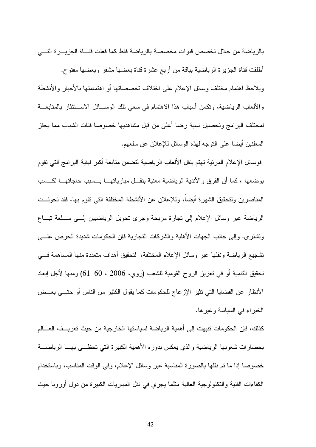بالر باضة من خلال تخصص قنو ات مخصصة بالر باضة فقط كما فعلت قنساة الجز بسر ة التسي أطلقت قناة الجزيرة الرياضية بباقة من أربع عشرة قناة بعضها مشفر وبعضها مفتوح. ويلاحظ اهتمام مختلف وسائل الإعلام على اختلاف تخصصاتها أو اهتمامتها بالأخبار والأنشطة و الألعاب الرياضية، وتكمن أسباب هذا الاهتمام في سعى تلك الوســـائل الاســـتئثار بالمتابعـــة لمختلف البر امج و تحصبل نسبة ر ضا أعلى من قبل مشاهديها خصوصا فئات الشباب مما يحفز المعلنين أيضا على التوجه لهذه الوسائل للإعلان عن سلعهم.

فوسائل الإعلام المرئية تهتم بنقل الألعاب الرياضية لتضمن متابعة أكبر لبقية البرامج التي تقوم بوضعها ، كما أن الفرق والأندية الرياضية معنية بنقــل مبارياتهـــا بـــسبب حاجاتهـــا لكـــسب المناصرين ولتحقيق الشهرة أيضآ، وللإعلان عن الأنشطة المختلفة التي تقوم بها، فقد تحولــت الرياضة عبر وسائل الإعلام إلى نجارة مربحة وجرى نحويل الرياضيين إلـــى ســـلعة نبـــاع وتشتر ي. وإلى جانب الجهات الأهلية والشركات التجارية فإن الحكومات شديدة الحرص علــــى تشجيع الرياضة ونقلها عبر وسائل الإعلام المختلفة، لتحقيق أهداف متعددة منها المساهمة فسي تَحقيق النَّنمية أو في تعزيز الروح القومية للشعب (روي، 2006 ، 60−61) ومنـها لأجل إبـعاد الأنظار عن القضايا التي تثير الإزعاج للحكومات كما يقول الكثير من الناس أو حتـــي بعــض الخبر اء في السباسة وغبر ها.

كذلك، فإن الحكومات نتبهت إلى أهمية الرياضة لسياستها الخارجية من حيث تعريسف العسالم بحضارات شعوبها الرياضية والذى يعكس بدوره الأهمية الكبيرة التي تحظـــي بهـــا الرياضــــة خصوصا إذا ما تم نقلها بالصورة المناسبة عبر وسائل الإعلام، وفي الوقت المناسب، وباستخدام الكفاءات الفنية والنكنولوجية العالية مثلما يجري في نقل المباريات الكبيرة من دول أوروبا حيث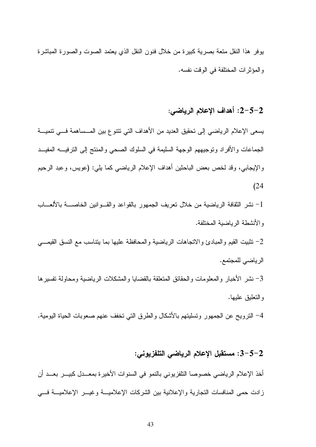يوفر ٍ هذا النقل متعة بصرية كبيرة من خلال فنون النقل الذي يعتمد الصوت والصورة المباشرة والمؤثرات المختلفة في الوقت نفسه.

# 2-5-2: أهداف الإعلام الرياضي:

يسعى الإعلام الرياضي إلى تحقيق العديد من الأهداف التي نتتوع بين المــساهمة فـــي نتميـــة الجماعات والأفراد وتوجيههم الوجهة السليمة في السلوك الصحي والمنتج إلى الترفيـــــه المفيـــد والإيجابي، وقد لخص بعض الباحثين أهداف الإعلام الرياضي كما يلي: (عويس، وعبد الرحيم  $(24)$ 

1– نشر الثقافة الرياضية من خلال نعريف الجمهور بالقواعد والقسوانين الخاصسة بالألعساب والأنشطة الرياضية المختلفة.

2- تثبيت القيم والمبادئ والاتجاهات الرياضية والمحافظة عليها بما ينتاسب مع النسق القيمـــي

الرياضي للمجتمع.

3– نشر الأخبار والمعلومات والحقائق المتعلقة بالقضايا والمشكلات الرياضية ومحاولة تفسيرها والنعليق عليها.

4– النرويح عن الجمهور وتسليتهم بالأشكال والطرق التبي تخفف عنهم صعوبات الحياة اليومية.

## 2–5–3: مستقبل الإعلام الرياضى التلفزيونى:

أخذ الإعلام الرياضي خصوصا النلفزيوني بالنمو في السنوات الأخيرة بمعـــدل كبيـــر بعـــد أن زادت حمى المنافسات النجارية والإعلانية بين الشركات الإعلاميـــة وغيـــر الإعلاميـــة فــــى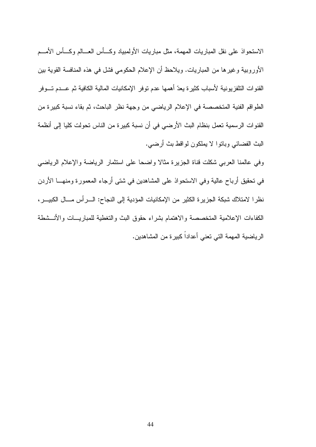الاستحواذ على نقل المباريات المهمة، مثل مباريات الأولمبياد وكسأس العسالم وكسأس الأمسم الأوروبية وغيرها من المباريات. ويلاحظ أن الإعلام الحكومي فشل في هذه المنافسة القوية بين القنوات النلفزيونية لأسباب كثيرة يعدّ أهمها عدم نوفر الإمكانيات المالية الكافية ثم عــدم تـــوفر الطواقم الفنية المتخصصة في الإعلام الرياضي من وجهة نظر الباحث، ثم بقاء نسبة كبيرة من القنوات الرسمية تعمل بنظام البث الأرضيي في أن نسبة كبيرة من الناس تحولت كليا إلى أنظمة البث الفضائي وباتوا لا يملكون لواقط بث أرضي.

وفي عالمنا العربي شكلت قناة الجزيرة مثالا واضحا على استثمار الرياضة والإعلام الرياضي في نحقيق أرباح عالية وفي الاستحواذ على المشاهدين في شتى أرجاء المعمورة ومنهـــا الأردن نظرا لامتلاك شبكة الجزيرة الكثير من الإمكانيات المؤدية إلى النجاح: الـــرأس مـــال الكبيـــر، الكفاءات الإعلامية المتخصصة والاهتمام بشراء حقوق البث والتغطية للمباريسات والأنسشطة الرياضية المهمة التي تعني أعداداً كبيرة من المشاهدين.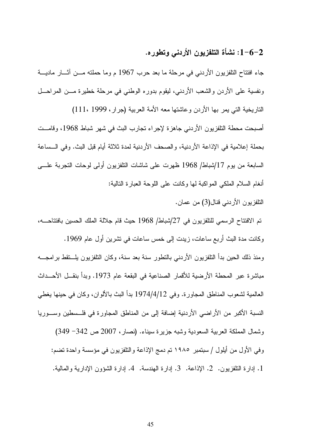## 1-6-2: نشأة التلفزيون الأردني وتطوره.

جاء افتتاح النلفزيون الأردنبي في مرحلة ما بعد حرب 1967 م وما حملته مـــن أثـــار ماديــــة ونفسية على الأردن والشعب الأردني، ليقوم بدوره الوطني في مرحلة خطيرة مـــن المراحـــل

الناريخية التي يمر بها الأردن وعاشتها معه الأمة العربية (جرار، 1999 ،111)

أصبحت محطة النلفزيون الأردني جاهزة لإجراء نجارب البث في شهر شباط 1968، وفامــت بحملة إعلامية في الإذاعة الأردنية، والصحف الأردنية لمدة ثلاثة أيام قبل البث. وفي الــساعة السابعة من بوم 17/شباط/ 1968 ظهرت على شاشات النلفزيون أولى لوحات النجربة علـــي أنغام السلام الملكي المواكبة لها وكانت على اللوحة العبارة النالية:

التلفزيون الأردني قنال(3) من عمان.

تم الافتتاح الرسمي للنلفزيون في 27/شباط/ 1968 حيث قام جلالة الملك الحسين بافتتاحـــه، وكانت مدة البث أربع ساعات، زيدت إلى خمس ساعات في نشرين أول عام 1969.

ومنذ ذلك الحين بدأ النافزيون الأردني بالنطور سنة بعد سنة، وكان النافزيون بلـــنقط برامجـــه مباشرة عبر المحطة الأرضية للأقمار الصناعية في البقعة عام 1973. وبدأ بنقــل الأحـــداث العالمية لشعوب المناطق المجاورة. وفي 1974/4/12 بدأ البث بالألوان، وكان في حينها يغطي النسبة الأكبر من الأراضبي الأردنية إضافة إلى من المناطق المجاورة في فلــسطين وســـوريا

وشمال المملكة العربية السعودية وشبه جزيرة سيناء. (نصار، 2007 ص 342- 349) وفي الأول من أيلول / سبتمبر ١٩٨٥ تم دمج الإذاعة والتلفزيون في مؤسسة واحدة تضم: 1. إدار ة النلفزيون. 2. الإذاعة. 3. إدار ة الهندسة. 4. إدار ة الشؤون الإدارية و المالية.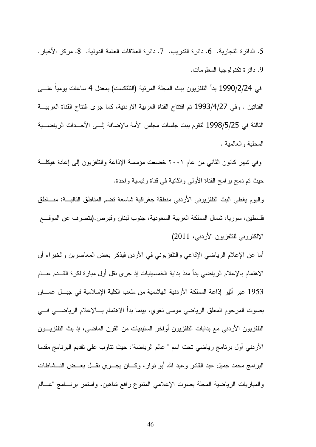5. الدائر ة النجار بة. 6. دائر ة الندر بب. 7. دائر ة العلاقات العامة الدولبة. 8. مركز الأخبار . 9. دائر ة تكنولوجيا المعلومات.

في 1990/2/24 بدأ النلفزيون ببث المجلة المرئية (النلنكست) بمعدل 4 ساعات يوميا علـــي القنانين . وفي 1993/4/27 تم افتتاح القناة العربية الاردنية، كما جرى افتتاح القناة العربيـــة الثالثة في 1998/5/25 لتقوم ببث جلسات مجلس الأمة بالإضافة إلـــي الأحـــداث الر ياضــــية المحلية والعالمية .

وفي شهر كانون الثاني من عام ٢٠٠١ خضعت مؤسسة الإذاعة والتلفزيون إلى إعادة هيكلة حيث تم دمج برامح القناة الأولى والثانية في قناة رئيسية واحدة.

واليوم يغطي البث النلفزيوني الأردنبي منطقة جغرافية شاسعة نضم المناطق الناليسة: منساطق فلسطين، سوريا، شمال المملكة العربية السعودية، جنوب لبنان وقبرص.(بنصرف عن الموقـــع الإلكتروني للتلفزيون الأردني، 2011)

أما عن الإعلام الرياضـي الإذاعـي والنلفزيونـي فـي الأردن فيذكر بـعض المعاصرين والخبراء أن الاهتمام بالإعلام الرياضيي بدأ منذ بداية الخمسينيات إذ جرى نقل أول مبارة لكرة القـــدم عــــام 1953 عبر أثير إذاعة المملكة الأردنية الهاشمية من ملعب الكلية الإسلامية في جبــل عمـــان بصوت المرحوم المعلق الرياضيي موسى نغوى، بينما بدأ الاهتمام بسالإعلام الرياضسي فسي النلفزيون الأردني مع بدايات النلفزيون أواخر السنينيات من القرن الماضيي، إذ بث النلفزيـــون الأردنـي أول برنـامـج ريـاضـي نـحت اسم " عالم الريـاضـة"، حيث نتـاوب علـي نقديم البرنـامـج مقدمـا البرامج محمد جميل عبد القادر وعبد الله أبو نوار، وكـــان يجــــري نقـــل بعـــض النـــشاطات والمباريات الرياضية المجلة بصوت الإعلامي المتنوع رافع شاهين، واستمر برنسامج "عسالم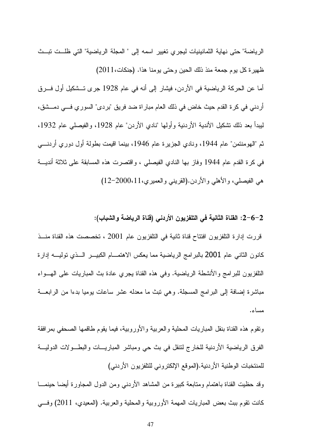الرياضة" حتى نهاية الثمانينيات ليجري تغيير اسمه إلى " المجلة الرياضية" التي ظلــت تبــث ظهيرة كل يوم جمعة منذ ذلك الحين وحتى يومنا هذا. (جنكات،2011) أما عن الحركة الرياضية في الأردن، فيشار إلى أنه في عام 1928 جرى تـــشكيل أول فـــرق أردني في كر ة القدم حيث خاض في ذلك العام مبار اة ضد فريق "بردي" السور ي فـــي دمـــشق، لبيداً بعد ذلك تشكيل الأندية الأردنية وأولَّها "نادي الأردن" عام 1928، والفيصلي عام 1932، ثم "الهومنتمن" عام 1944، ونادي الجزيرة عام 1946، بينما اقيمت بطولة أول دوري أردنــــي في كرة القدم عام 1944 وفاز بها النادي الفيصلي ، واقتصرت هذه المسابقة على ثلاثة أنديـــة هي الفيصلي، والأهلي والأردن.(القريني والعميري،11،2000-12)

#### 2–6–2: القناة الثانية في التلفزيون الأردني (قناة الرياضة والشباب):

قررت إدارة التلفزيون افتتاح قناة ثانية في التلفزيون عام 2001 ، تخصصت هذه القناة منــذ كانون الثاني عام 2001 بالبرامج الرياضية مما يعكس الاهتمـــام الكبيــــر الــــذي توليــــه إدارة النُّلفزيون للبرامج والأنشطة الرياضية. وفي هذه القناة يجري عادة بث المباريات على الـهـــواء مباشرة إضافة إلى البرامج المسجلة. وهي نبث ما معدله عشر ساعات بومبا بدءا من الرابعـــة مساء.

ونقوم هذه القناة بنقل المباريات المحلية والعربية والأوروبية، فيما يقوم طاقمها الصحفي بمرافقة الفرق الرياضية الأردنية للخارج لنتقل في بث حي ومباشر المباريـــات والبطـــولات الدوليـــة للمنتخبات الوطنية الأردنية.(الموقع الإلكتروني للتلفزيون الأردني) وقد حظيت القناة باهتمام ومنابعة كبيرة من المشاهد الأردنبي ومن الدول المجاورة أيضا حينمـــا كانت نقوم ببث بعض المباريات المهمة الأوروبية والمحلية والعربية. (المعيدي، 2011) وفسى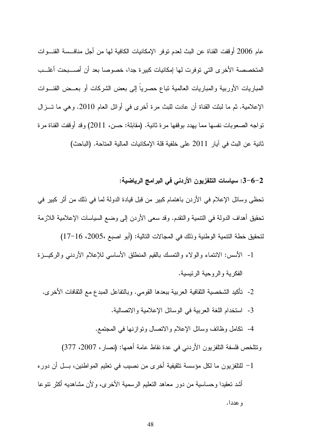عام 2006 أوقفت القناة عن البث لعدم توفر الإمكانيات الكافية لها من أجل منافــسة القنـــوات المتخصصة الأخرى التي توفرت لها إمكانيات كبيرة جدا، خصوصا بعد أن أصـــبحت أغلـــب المباريات الأوربية والمباريات العالمية نباع حصرياً إلى بعض الشركات أو بعــض القنـــوات الإعلامية. ثم ما لبثت القناة أن عادت للبث مرة أخرى في أوائل العام 2010. و هي ما تـــز ال تو اجه الصعوبات نفسها مما يهدد بوقفها مر ة ثانية. (مقابلة: حسن، 2011) وقد أوقفت القناة مر ة ثانية عن البث في آيار 2011 على خلفية قلة الإمكانيات المالية المتاحة. (الباحث)

2–6–3: سياسات التلفزيون الأردني في البرامج الرياضية:

تحظى وسائل الإعلام في الأردن باهتمام كبير من قبل قيادة الدولة لما في ذلك من أثر كبير في تحقيق أهداف الدولة في التتمية والتقدم. وقد سعى الأردن إلى وضع السياسات الإعلامية اللازمة لتحقيق خطة التنمية الوطنية وذلك في المجالات التالية: (أبو اصبع ،2005، 16−17)

- 1- الأسس: الانتماء والولاء والتمسك بالقيم المنطلق الأساسي للإعلام الأردنبي والركيـــزة الفكر بة و الر و حية الر ئيسية.
	- 2- تأكيد الشخصية الثقافية العربية ببعدها القومي. وبالتفاعل المبدع مع الثقافات الأخرى.
		- 3- استخدام اللغة العربية في الوسائل الإعلامية والاتصالية.
		- 4- نكامل وظائف وسائل الإعلام والاتصال ونوازنها في المجتمع.

ونتلخص فلسفة النلفزيون الأردني في عدة نقاط عامة أهمها: (نصار، 2007، 377)

1– للتلفزيون ما لكل مؤسسة نتقيفية أخرى من نصيب في تعليم المواطنين، بــل أن دوره أشد تعقيدا وحساسية من دور معاهد التعليم الرسمية الأخرى، ولأن مشاهديه أكثر نتوعا و عددا.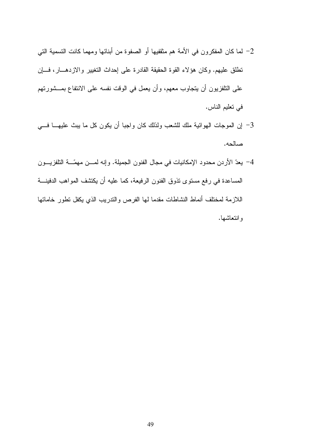- 2– لما كان المفكرون في الأمة هم مثقفيها أو الصفوة من أبنائها ومهما كانت التسمية التي نطلق عليهم. وكان هؤلاء القوة الحقيقة القادرة على إحداث النغيير والازدهـــار، فـــاٍن على النلفزيون أن يتجاوب معهم، وأن يعمل في الوقت نفسه على الانتفاع بمـــشورتهم في تعليم الناس.
- 3– إن الموجات الهوائية ملك للشعب ولذلك كان واجبا أن يكون كل ما يبث عليهـــا فـــي صالحه.
- 4– يعدّ الأردن محدود الإمكانيات في مجال الفنون الجميلة. وإنه لمـــن مهمّـــة النلفزيـــون المساعدة في رفع مستوى نذوق الفنون الرفيعة، كما عليه أن يكتشف المواهب الدفينـــة اللازمة لمختلف أنماط النشاطات مقدما لمها الفرص والندريب الذى يكفل نطور خاماتها و انتعاشها.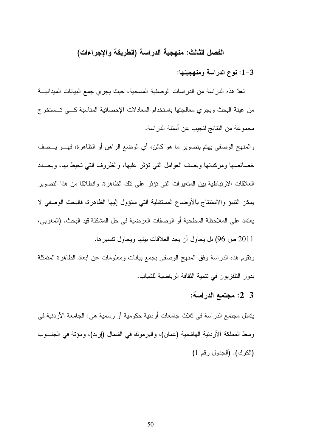### الفصل الثالث: منهجية الدراسة (الطريقة والإجراءات)

## 1-3: نوع الدراسة ومنهجيتها:

تعدّ هذه الدراسة من الدراسات الوصفية المسحية، حيث يجرى جمع البيانات الميدانيـــة من عينة البحث ويجري معالجتها باستخدام المعادلات الإحصائية المناسبة كسي تـــستخرج مجموعة من النتائج لتجيب عن أسئلة الدراسة.

والمنهج الوصفي يهتم بتصوير ما هو كائن، أي الوضع الراهن أو الظاهرة، فهـــو يـــصف خصائصها ومركباتها ويصف العوامل التبي نؤثر عليها، والظروف التبي نحيط بها، ويحسدد العلاقات الارتباطية بين المتغير ات التي تؤثر على تلك الظاهر ة. و انطلاقا من هذا التصوير يمكن النتبؤ والاستنتاج بالأوضاع المستقبلية التي ستؤول إليها الظاهرة، فالبحث الوصفى لا يعتمد على الملاحظة السطحية أو الوصفات العرضية في حل المشكلة قيد البحث. (المغربي، 2011 ص 96) بل يحاول أن يجد العلاقات بينها ويحاول تفسير ها.

ونقوم هذه الدراسة وفق المنهج الوصفى بجمع بيانات ومعلومات عن ابعاد الظاهرة المتمثلة بدور التلفزيون في نتمية الثقافة الرياضية للشباب.

## 2-3: مجتمع الدراسة:

يتمثِّل مجتمع الدراسة في ثلاث جامعات أردنية حكومية أو رسمية هي: الجامعة الأردنية في وسط المملكة الأردنية الـهاشمية (عمان)، واليرموك في الشمال (إربد)، ومؤنَّة في الـجنـــوب (الكرك). (الجدول رقم 1)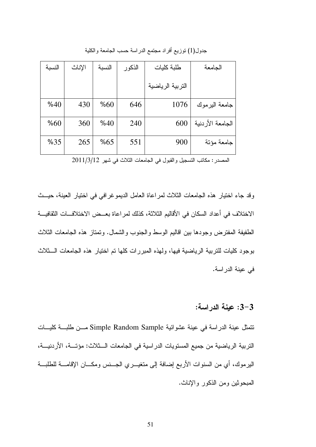| النسبة | الإناث | النسبة | الذكور | طلبة كليات       | الجامعة          |
|--------|--------|--------|--------|------------------|------------------|
|        |        |        |        | التربية الرياضية |                  |
| %40    | 430    | %60    | 646    | 1076             | جامعة البرموك    |
| %60    | 360    | %40    | 240    | 600              | الجامعة الأردنية |
| %35    | 265    | %65    | 551    | 900              | جامعة مؤتة       |

جدول(1) نتوزيع افراد مجتمع الدراسة حسب الجامعة والكلية

المصدر : مكانب النسجيل والقبول في الجامعات الثلاث في شهر 2011/3/12

وقد جاء اختيار هذه الجامعات الثلاث لمراعاة العامل الديموغرافي في اختيار العينة، حيـــث الاختلاف في أعداد السكان في الأقاليم الثلاثة، كذلك لمر اعاة بعــض الاختلافـــات الثقافيـــة الطفيفة المفترض وجودها بين اقاليم الوسط والجنوب والشمال. وتمتاز هذه الجامعات الثلاث بوجود كليات للتربية الرياضية فيها، ولـهذه المبررات كلـها تم اختيار هذه الـجامعات الــــثلاث في عينة الدراسة.

## 3–3: عينة الدراسة:

نتمثل عينة الدراسة في عينة عشوائية Simple Random Sample مـــن طلبـــة كليـــات التربية الرياضية من جميع المستويات الدراسية في الجامعات الـــثلاث: مؤتـــة، الأردنيـــة، اليرموك، أي من السنوات الأربع إضافة إلى متغيـــري الـجـــنس ومكــــان الإقامــــة للطلبـــة المبحوثين ومن الذكور والإناث.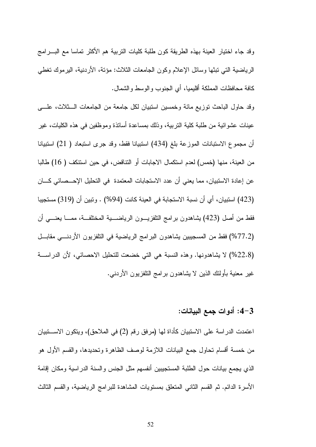وقد جاء اختيار العينة بهذه الطريقة كون طلبة كليات التربية هم الأكثر تماسا مع البـــرامج الرياضية التي تبثها وسائل الإعلام وكون الجامعات الثلاث: مؤنة، الأردنية، اليرموك تغطي كافة محافظات المملكة أقليميا، أي الجنوب والوسط والشمال.

وقد حاول الباحث توزيع مائة وخمسين استبيان لكل جامعة من الجامعات الـــثلاث، علــــي عينات عشو ائية من طلبة كلية النر بية، وذلك بمساعدة أساتذة وموظفين في هذه الكليات، غير أن مجموع الاستبانات الموزعة بلغ (434) استبيانا فقط، وقد جرى استبعاد ( 21) استبيانا من العينة، منها (خمس) لعدم استكمال الاجابات أو النتاقض، في حين استنكف ( 16) طالبا عن إعادة الاستبيان، مما يعني أن عدد الاستجابات المعتمدة في التحليل الإحـــصـائي كــــان (423) استبيان، أي أن نسبة الاستجابة في العينة كانت (94%) . وتبين أن (319) مستجيبا فقط من أصل (423) بِشاهدون بر امج التلفزيــــون الرياضـــــية المختلفـــة، ممــــا يعنـــــي أن (77.2%) فقط من المسجيبين يشاهدون البرامج الرياضية في النلفزيون الأردنسي مقابـــل (22.8%) لا يشاهدونها. وهذه النسبة هي التي خضعت للتحليل الاحصائي، لأن الدراســـة غير معنية بأولئك الذين لا يشاهدون برامج النلفزيون الأردنبي.

#### 3–4: أدوات جمع البيانات:

اعتمدت الدراسة على الاستبيان كأداة لها (مرفق رقم (2) في الملاحق)، ويتكون الاســــتبيان من خمسة أقسام تحاول جمع البيانات اللازمة لوصف الظاهرة وتحديدها، والقسم الأول هو الذي يجمع بيانات حول الطلبة المستجيبين أنفسهم مثل الجنس والسنة الدر اسية ومكان إقامة الأسرة الدائم. ثم القسم الثانبي المتعلق بمستويات المشاهدة للبرامج الرياضية، والقسم الثالث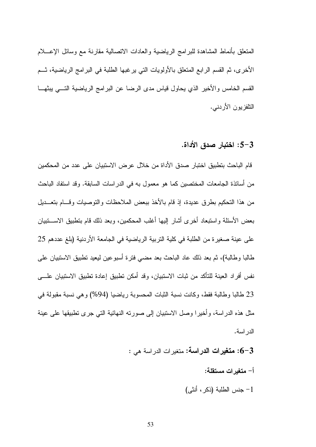المتعلق بأنماط المشاهدة للبرامج الرياضية والعادات الانصالية مقارنة مع وسائل الإعسلام الأخرى، ثم القسم الرابع المتعلق بالأولويات التي يرغبها الطلبة في البرامج الرياضية، ثـــم القسم الخامس والأخير الذي يحاول قياس مدى الرضا عن البرامج الرياضية التـــي يبثهـــا النلفزيون الأردنبي.

3–5: اختبار صدق الأداة.

قام الباحث بتطبيق اختبار صدق الأداة من خلال عرض الاستبيان على عدد من المحكمين من أساتذة الجامعات المختصبن كما هو معمول به في الدر اسات السابقة. وقد استفاد الباحث من هذا التحكيم بطرق عديدة، إذ قام بالأخذ ببعض الملاحظات والتوصيات وقسام بتعـــديل بعض الأسئلة واستبعاد أخرى أشار إليها أغلب المحكمين، وبعد ذلك قام بتطبيق الاســـتبيان على عينة صغير ة من الطلبة في كلية التربية الرياضية في الجامعة الأردنية (بلغ عددهم 25 طالبا وطالبة)، ثم بعد ذلك عاد الباحث بعد مضبي فترة أسبوعين ليعيد نطبيق الاستبيان على نفس أفر اد العينة للتأكد من ثبات الاستبيان، وقد أمكن تطبيق إعادة تطبيق الاستبيان علــــى 23 طالبا وطالبة فقط، وكانت نسبة الثبات المحسوبة رياضيا (94%) وهي نسبة مقبولة في مثل هذه الدراسة، وأخيرًا وصل الاستبيان إلى صورته النهائية التي جرى تطبيقها على عينة الدر اسة.

- 6-3: متغيرات الدر اسة: متغير ات الدر اسة هي :
	- أ– متغبر ات مستقلة:
	- 1- جنس الطلبة (ذكر ، أنثى)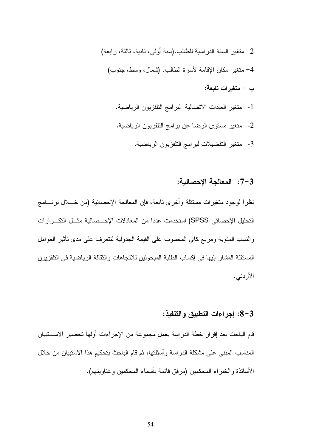2- متغير السنة الدر اسية للطالب.(سنة أولى، ثانية، ثالثة، رابعة) 4– منغير مكان الإقامة لأسرة الطالب. (شمال، وسط، جنوب) ب – متغير ات تابعة:

- 1- متغير العادات الاتصالية لبرامج التلفزيون الرياضية.
- 2- متغير مستوى الرضا عن برامج التلفزيون الرياضية.
	- 3- متغير التفضيلات لبرامج التلفزيون الرياضية.

## 7-3: المعالجة الإحصائية:

نظرًا لوجودٍ متغيراتٍ مستقلَّةٍ وأخرى نابعةٍ، فإن المعالجةِ الإحصائيةِ (من خـــلال برنــــامج التحليل الإحصائي SPSS) استخدمت عددا من المعادلات الإحــصائية مثــل التكــر ار ات والنسب المئوية ومربع كاي المحسوب على القيمة الجدولية لنتعرف على مدى نأثير العوامل المستقلة المشار إليها في إكساب الطلبة المبحوثين للانجاهات والثقافة الرياضية في التلفزيون الأردني.

## 3-8: إجراءات التطبيق والتنفيذ:

قام الباحث بعد إقرار خطة الدراسة بعمل مجموعة من الإجراءات أولها تحضير الاســـــنبيان المناسب المبنى على مشكلة الدر اسة وأسئلتها، ثم قام الباحث بتحكيم هذا الاستبيان من خلال الأساتذة والخبراء المحكمين (مرفق قائمة بأسماء المحكمين وعناوينهم).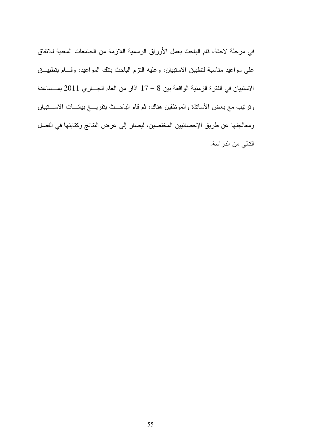في مرحلة لاحقة، قام الباحث بعمل الأوراق الرسمية اللازمة من الجامعات المعنية للاتفاق على مواعيد مناسبة لتطبيق الاستبيان، وعليه النزم الباحث بتلك المواعيد، وقــام بتطبيــق الاستبيان في الفترة الزمنية الواقعة بين 8 – 17 آذار من العام الجساري 2011 بمسساعدة وترتيب مع بعض الأساتذة والموظفين هناك، ثم قام الباحــث بتفريـــغ بيانـــات الاســـتبيان ومعالجتها عن طريق الإحصائيين المختصين، ليصار إلى عرض النتائج وكتابتها في الفصل النالي من الدراسة.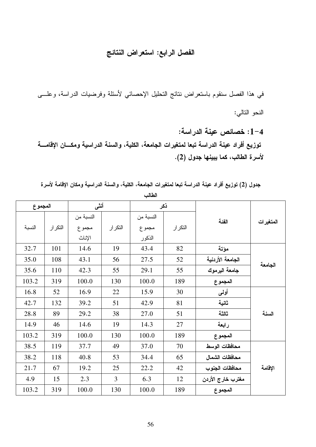# الفصل الرابع: استعراض النتائج

في هذا الفصل سنقوم باستعراض نتائج التحليل الإحصائي لأسئلة وفرضيات الدراسة، وعلـــي النحو التالي:

1-4: خصائص عينة الدراسة: توزيع أفراد عينة الدراسة تبعا لمتغيرات الجامعة، الكلية، والسنة الدراسية ومكـــان الإقامــــة لأسرة الطالب، كما يبينها جدول (2).

جدول (2) توزيع أفراد عينة الدراسة تبعا لمتغيرات الجامعة، الكلية، والسنة الدراسية ومكان الإقامة لأسرة

| المجموع |         | أنشى      |                | ذكر       |         |                   |           |
|---------|---------|-----------|----------------|-----------|---------|-------------------|-----------|
|         |         | النسبة من |                | النسبة من |         | الفئة             |           |
| النسبة  | التكرار | مجموع     | التكرار        | مجموع     | التكرار |                   | المتغيرات |
|         |         | الإناث    |                | الذكور    |         |                   |           |
| 32.7    | 101     | 14.6      | 19             | 43.4      | 82      | مؤتة              |           |
| 35.0    | 108     | 43.1      | 56             | 27.5      | 52      | الجامعة الأردنية  | الجامعة   |
| 35.6    | 110     | 42.3      | 55             | 29.1      | 55      | جامعة اليرموك     |           |
| 103.2   | 319     | 100.0     | 130            | 100.0     | 189     | المجموع           |           |
| 16.8    | 52      | 16.9      | 22             | 15.9      | 30      | أولمي             |           |
| 42.7    | 132     | 39.2      | 51             | 42.9      | 81      | ثانية             |           |
| 28.8    | 89      | 29.2      | 38             | 27.0      | 51      | ثالثة             | السنة     |
| 14.9    | 46      | 14.6      | 19             | 14.3      | 27      | رابعة             |           |
| 103.2   | 319     | 100.0     | 130            | 100.0     | 189     | المجموع           |           |
| 38.5    | 119     | 37.7      | 49             | 37.0      | 70      | محافظات الوسط     |           |
| 38.2    | 118     | 40.8      | 53             | 34.4      | 65      | محافظات الشمال    |           |
| 21.7    | 67      | 19.2      | 25             | 22.2      | 42      | محافظات الجنوب    | الإقامة   |
| 4.9     | 15      | 2.3       | $\overline{3}$ | 6.3       | 12      | مغترب خارج الأردن |           |
| 103.2   | 319     | 100.0     | 130            | 100.0     | 189     | المجموع           |           |

الطالب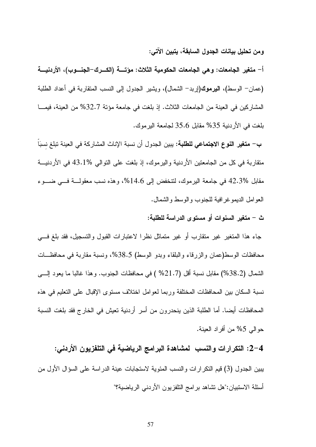ومن تحليل بيانات الجدول السابقة، يتبين الآتي:

أ– متغير الجامعات: وهي الجامعات الحكومية الثلاث: مؤتــــة (الكـــرك–الجنــــوب)، الأردنيــــة (عمان– الوسط)، ا**ليرموك(**إربد– الشمال)، ويشير الجدول إلى النسب المنقاربة في أعداد الطلبة المشار كين في العينة من الجامعات الثلاث. إذ بلغت في جامعة مؤتة 32.7% من العينة، فيمـــا بلغت في الأردنية 35% مقابل 35.6 لجامعة اليرموك.

ب— م**تغير النوع الاجتماعي للطلبة:** يبين الجدول أن نسبة الإناث المشاركة في العينة تبلغ نسبَاً متقاربة في كل من الجامعتين الأردنية واليرموك، إذ بلغت على التوالي %43.1 في الأردنيـــة مقابل %42.3 في جامعة اليرموك، لتتخفض إلى 14.6%، وهذه نسب معقولـــة فـــي ضــــوء العو امل الديموغر افية للجنوب والوسط والشمال.

ث – متغير السنوات أو مستوى الدراسة للطلبة:

جاء هذا المتغير غير متقارب أو غير متماثل نظرا لاعتبارات القبول والتسجيل، فقد بلغ في محافظات الوسط(عمان والزرقاء والبلقاء وبدو الوسط) 38.5%، ونسبة مقاربة في محافظـــات الشمال (38.2%) مقابل نسبة أقل (21.7% ) في محافظات الجنوب. وهذا غالبا ما يعود إلــــي نسبة السكان بين المحافظات المختلفة وربما لعوامل اختلاف مستوى الإقبال على التعليم في هذه المحافظات أيضا. أما الطلبة الذين ينحدرون من أسر أردنية تعيش في الخارج فقد بلغت النسبة حو البي 5% من أفر اد العينة.

2–4: التكرارات والنسب لمشاهدة البرامج الرياضية في التلفزيون الأردني: يبين الجدول (3) قيم النكر ارات والنسب المئوية لاستجابات عينة الدراسة على السؤال الأول من أسئلة الاستبيان:"هل تشاهد برامج النلفزيون الأردنبي الرياضية؟"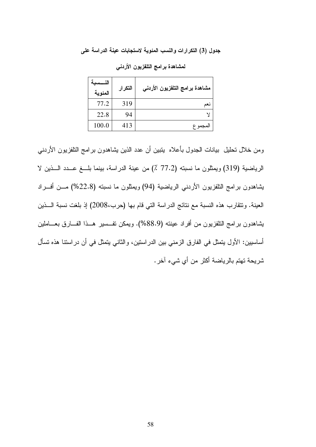جدول (3) التكرارات والنسب المئوية لاستجابات عينة الدراسة على

| الذ<br>ــسىه<br>المئوية | التكرار | مشاهدة برامج التلفزيون الأردنمى |
|-------------------------|---------|---------------------------------|
| 77.2                    | 319     | ے د                             |
| 22.8                    | 94      |                                 |
| 100.0                   | 413     | لمجموع                          |

لمشاهدة برامج التلفزيون الأردنى

ومن خلال تحليل بيانات الجدول بأعلاه يتبين أن عدد الذين يشاهدون برامج التلفزيون الأردنبي الرياضية (319) ويمثلون ما نسبته (77.2 ٪) من عينة الدراسة، بينما بلــغ عــدد الـــذين لا يشاهدون برامج النلفزيون الأردنبي الرياضية (94) ويمثلون ما نسبته (22.8%) مـــن أفـــراد العينة. وتتقارب هذه النسبة مع نتائج الدراسة التي قام بها (حرب،2008) إذ بلغت نسبة الـــذين يشاهدون برامج التلفزيون من أفراد عينته (88.9%). ويمكن تفسير هــذا الفـــارق بعـــاملين أساسيين: الأول يتمثَّل في الفارق الزيمني بين الدر استين، و الثاني يتمثَّل في أن در استنا هذه تسأل شريحة تهتم بالرياضة أكثر من أي شيء آخر .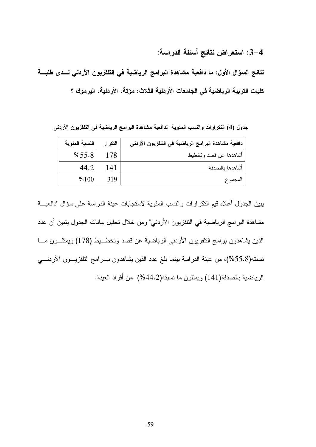3-4: استعراض نتائج أسئلة الدراسة:

نتائج السؤال الأول: ما دافعية مشاهدة البرامج الرياضية في التلفزيون الأردني لسدى طلبة كليات التربية الرياضية في الجامعات الأردنية الثلاث: مؤتة، الأردنية، اليرموك ؟

جدول (4) التكرارات والنسب المئوية لدافعية مشاهدة البرامج الرياضية في التلفزيون الأردني

| النسبة المئوية | التكرار | دافعية مشاهدة البرامج الرياضية في التلفزيون الأردني |
|----------------|---------|-----------------------------------------------------|
| %55.8          | 178     | أشاهدها عن قصد وتخطيط                               |
| 44.2           | 141     | أشاهدها بالصدفة                                     |
| %100           | 319     | المجمو ع                                            |

يبين الجدول أعلاه قيم النكرارات والنسب المئوية لاستجابات عينة الدراسة على سؤال "دافعيـــة مشاهدة البرامج الرياضية في النلفزيون الأردني" ومن خلال تحليل بيانات الجدول يتبين أن عدد الذين بشاهدون برامج التلفزيون الأردنبي الرياضية عن قصد وتخطـــبط (178) ويمثلـــون مــــا نسبته(55.8%)، من عينة الدراسة بينما بلغ عدد الذين يشاهدون بـــرامج النلفزيــــون الأردنـــــي الرياضية بالصدفة(141) ويمثلون ما نسبته(44.2%) من أفراد العينة.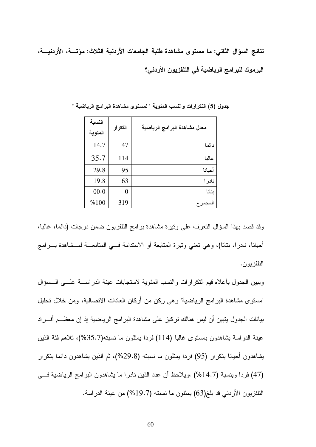نتائج السوّال الثاني: ما مستوى مشاهدة طلبة الجامعات الأردنية الثلاث: مؤتسة، الأردنيسة، اليرموك للبرامج الرياضية في التلفزيون الأردني؟

| النسبة<br>المئوية | التكرار | معدل مشاهدة البرامج الرياضية |
|-------------------|---------|------------------------------|
| 14.7              | 47      | دائما                        |
| 35.7              | 114     | غالبا                        |
| 29.8              | 95      | أحيانا                       |
| 19.8              | 63      | نادر ا                       |
| 00.0              | 0       | بتاتا                        |
| %100              | 319     | لمجمو ع                      |

جدول (5) التكرارات والنسب المئوية " لمستوى مشاهدة البرامج الرياضية "

وقد قصد بهذا السؤال النعرف على ونيرة مشاهدة برامج النلفزيون ضمن درجات (دائما، غالبا، أحيانا، نادرًا، بناناً)، وهي نعني ونيرة المنابعة أو الاستدامة فـــي المنابعـــة لمـــشاهدة بـــرامج النلفز يو ن.

ويبين الجدول بأعلاه فيم النكرارات والنسب المئوية لاستجابات عينة الدراســـة علــــى الـــسؤال "مستوى مشاهدة البر امج الرياضية" وهي ركن من أركان العادات الاتصالية، ومن خلال تحليل بيانات الجدول يتبين أن ليس هنالك تركيز على مشاهدة البرامج الرياضية إذ إن معظـــم أفـــراد عينة الدراسة يشاهدون بمستوى غالبا (114) فردا بمثلون ما نسبته(35.7%)، تلاهم فئة الذين يشاهدون أحيانا بنكرار (95) فردا بمثلون ما نسبته (29.8%)، ثم الذين يشاهدون دائما بنكرار (47) فردا وبنسبة (14.7%) ،ويلاحظ أن عدد الذين نادرا ما يشاهدون البرامج الرياضية في النلفزيون الأردنبي قد بلغ(63) يمثلون ما نسبته (19.7%) من عينة الدراسة.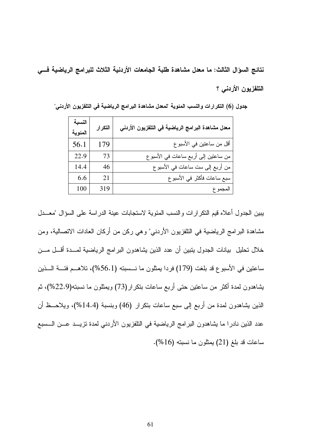نتائج السوّال الثالث: ما معدل مشاهدة طلبة الجامعات الأردنية الثلاث للبرامج الرياضية فـــى التلفزيون الأردنبي ؟

| النسبة<br>المئوية | التكرار | معدل مشاهدة البرامج الرياضية في التلفزيون الأردني |
|-------------------|---------|---------------------------------------------------|
| 56.1              | 179     | أقل من ساعتين في الأسبوع                          |
| 22.9              | 73      | من ساعتين إلى أربع ساعات في الأسبو ع              |
| 14.4              | 46      | من أربع إلى ست ساعات في الأسبو ع                  |
| 6.6               | 21      | سبع ساعات فأكثر في الأسبو ع                       |
| 100               | 319     | المجمو ع                                          |

جدول (6) التكرارات والنسب المئوية "لمعدل مشاهدة البرامج الرياضية في التلفزيون الأردني"

يبين الجدول أعلاه قيم النكر ارات والنسب المئوية لاستجابات عينة الدراسة على السؤال "معــدل مشاهدة البر امج الرياضية في النلفزيون الأريني" وهي ركن من أركان العادات الانصالية، ومن خلال نحليل بيانات الجدول يتبين أن عدد الذين يشاهدون البرامج الرياضية لمسدة أقسل مسن ساعتين في الأسبوع قد بلغت (179) فردا يمثلون ما نـــسبته (56.1%)، تلاهـــم فئــــة الــــذين يشاهدون لمدة أكثر من ساعتين حتى أربع ساعات بنكرار(73) ويمثلون ما نسبته(22.9%)، ثم الذين يشاهدون لمدة من أربع إلى سبع ساعات بتكرار (46) وبنسبة (14.4%)، ويلاحــظ أن عدد الذين نادرا ما يشاهدون البرامج الرياضية في التلفزيون الأردني لمدة تزيــد عـــن الـــسبع ساعات قد بلغ (21) يمثلون ما نسبته (16%).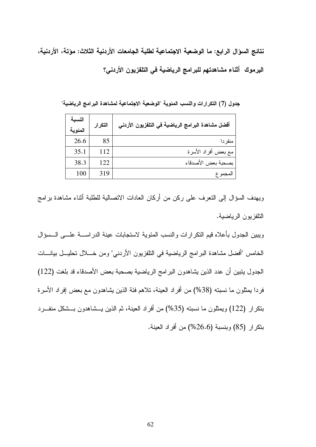نتائج السوّال الرابع: ما الوضعية الاجتماعية لطلبة الجامعات الأردنية الثلاث: مؤتة، الأردنية، اليرموك أثناء مشاهدتهم للبرامج الرياضية في التلفزيون الأردني؟

النسىة التكرار أفضل مشاهدة البرامج الرياضية في التلفزيون الأردني المئوية 26.6 85 منفر دا مع بعض أفراد الأسرة 35.1 112 بصحبة بعض الأصدقاء 38.3 122 100 319 المجموع

جدول (7) التكرارات والنسب المئوية "الوضعية الاجتماعية لمشاهدة البرامج الرياضية"

ويهدف السؤال إلى النعرف على ركن من أركان العادات الانصالية للطلبة أثناء مشاهدة برامج النلفزيون الرياضية.

ويبين الجدول بأعلاه قيم النكرارات والنسب المئوية لاستجابات عينة الدراســـة علــــى الــــسؤال الخامس "أفضل مشاهدة البرامج الرياضية في النلفزيون الأردني" ومن خــــلال تحليـــل بيانــــات الجدول بنبين أن عدد الذين بشاهدون البر امج الرياضية بصحبة بعض الأصدقاء قد بلغت (122) فردا يمثلون ما نسبته (38%) من أفراد العينة، تلاهم فئة الذين يشاهدون مع بعض إفراد الأسرة بتكرار (122) ويمثلون ما نسبته (35%) من أفراد العينة، ثم الذين يـــشاهدون بـــشكل منفـــرد بتكرار (85) وبنسبة (26.6%) من أفراد العينة.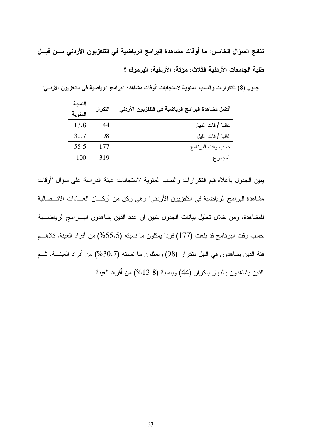نتائج السوّال الخامس: ما أوفّات مشاهدة البرامج الرياضية في التلفزيون الأردني مــن قبــل طلبة الجامعات الأردنية الثلاث: مؤتة، الأردنية، اليرموك ؟

جدول (8) التكرارات والنسب المئوية لاستجابات "أوقات مشاهدة البرامج الرياضية في التلفزيون الأردني"

| أفضل مشاهدة البرامج الرياضية في التلفزيون الأردني | التكرار | النسبة<br>المئوية |
|---------------------------------------------------|---------|-------------------|
| غالبا أوقات النهار                                | 44      | 13.8              |
| غالبا أوقات الليل                                 | 98      | 30.7              |
| حسب وقت البرنامج                                  | 177     | 55.5              |
| المجمو ع                                          | 319     | 100               |

يبين الجدول بأعلاه قيم النكرارات والنسب المئوية لاستجابات عينة الدراسة على سؤال "أوقات مشاهدة البرامج الرياضية في النلفزيون الأردني" وهي ركن من أركـــان العـــادات الاتـــصـالية للمشاهدة، ومن خلال نحليل بيانات الجدول يتبين أن عدد الذين يشاهدون البـــرامج الرياضــــية حسب وقت البرنامج قد بلغت (177) فردا بمثلون ما نسبته (55.5%) من أفراد العينة، تلاهــم فئة الذين يشاهدون في الليل بتكرار (98) ويمثلون ما نسبته (30.7%) من أفراد العينــــة، شــم الذين يشاهدون بالنهار بنكرار (44) وبنسبة (13.8%) من أفراد العينة.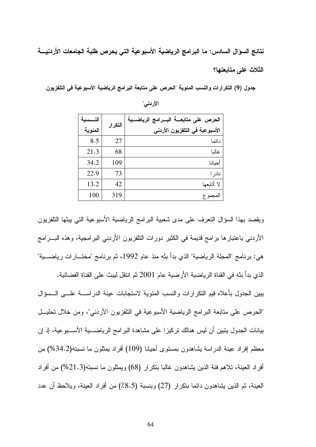نتائج السؤال السادس: ما البرامج الرياضية الأسبوعية التي يحرص طلبة الجامعات الأردنيـــة الثلاث على متابعتها؟

جدول (9) التكرارات والنسب المئوية "الحرص على متابعة البرامج الرياضية الأسبوعية في التلفزيون

| النسسبة | التكرار | الحرص على متابعــــة البـــــرامج<br>الرياضـــية |
|---------|---------|--------------------------------------------------|
| المئوية |         | الأسبوعية في التلفزيون الأردني                   |
| 8.5     | 27      | دائما                                            |
| 21.3    | 68      | غالبا                                            |
| 34.2    | 109     | أحيانا                                           |
| 22.9    | 73      | نادر ا                                           |
| 13.2    | 42      | لا أتابعها                                       |
| 100     | 319     | المجموع                                          |

الأردني"

ويقصد بهذا السؤال النعرف على مدى شعبية البرامج الرياضية الأسبوعية التي يبثها النلفزيون الأردني باعتبارها برامج قديمة في الكثير دورات التلفزيون الأردني البرامجية، وهذه البـــرامج هي: برنامج "المجلة الرياضية" الذي بدأ بثه منذ عام 1992، ثم برنامج "مختـــارات رياضــــية" الذي بدأ بثه في القناة الرياضية الأرضية عام 2001 ثم انتقل ليبث على القناة الفضائية. يبين الجدول بأعلاه قيم النكرارات والنسب المئوية لاستجابات عينة الدراســـة علــــى الـــسؤال "الحرص على متابعة البرامج الرياضية الأسبوعية في التلفزيون الأردني"، ومن خلال تحليـــل بيانات الجدول يتبين أن ليس هنالك تركيزًا على مشاهدة البر امج الرياضـــــية الأســــبوعية، إذ إن معظم إفراد عينة الدراسة بشاهدون بمستوى أحيانا (109) أفراد بمثلون ما نسبته(34.2%) من افراد العينة، تلاهم فئة الذين يشاهدون غالبا بنكرار (68) ويمثلون ما نسبته(21.3%) من أفراد العينة، ثم الذين يشاهدون دائما بنكرار (27) وبنسبة (8.5٪) من أفراد العينة، ويلاحظ أن عدد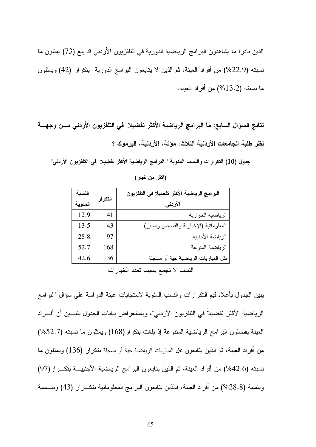الذين نادرًا ما يشاهدون البرامج الرياضية الدورية في التلفزيون الأردني قد بلغ (73) يمثلون ما نسبته (22.9%) من أفراد العينة، ثم الذين لا يتابعون البرامج الدورية بنكرار (42) ويمثلون ما نسبته (13.2%) من أفراد العينة.

نتائج السؤال السابع: ما البرامج الرياضية الأكثر تفضيلا في التلفزيون الأردنى مــن وجهـــة نظر طلبة الجامعات الأردنية الثلاث: مؤتة، الأردنية، اليرموك ؟

جدول (10) التكرارات والنسب المئوية " البرامج الرياضية الأكثر تفضيلا في التلفزيون الأردني"

| النسبة  |                                                                                            | البرامج الرياضية الأكثر تفضيلا في التلفزيون |  |  |  |
|---------|--------------------------------------------------------------------------------------------|---------------------------------------------|--|--|--|
| المئوية | التكرار                                                                                    | الأردني                                     |  |  |  |
| 12.9    | 41                                                                                         | الرياضية الحوارية                           |  |  |  |
| 13.5    | 43                                                                                         | المعلوماتية (الإخبارية والقصص والسير)       |  |  |  |
| 28.8    | 97                                                                                         | الرياضة الأجنبية                            |  |  |  |
| 52.7    | 168                                                                                        | الرياضية المنوعة                            |  |  |  |
| 42.6    | 136                                                                                        | نقل المباريات الرياضية حية أو مسجلة         |  |  |  |
|         | $\mathcal{F}$ that the second contract $\mathcal{F}$ is the second theory of $\mathcal{F}$ |                                             |  |  |  |

(اكثر من خيار)

النسب لا تجمع بسبب تعدد الخيار ات

يبين الجدول بأعلاه قيم التكر ارات والنسب المئوية لاستجابات عينة الدراسة على سؤال "البرامج الرياضية الأكثر تفضيلاً في التلفزيون الأردني"، وباستعراض بيانات الجدول يتبـــين أن أفـــراد العينة يفضلون البرامج الرياضية المنتوعة إذ بلغت بتكرار (168) ويمثلون ما نسبته (52.7%) من أفراد العينة، ثم الذين يتابعون نقل المباريات الرياضية حية أو مسجلة بتكرار (136) ويمثلون ما نسبته (42.6%) من أفراد العينة، ثم الذين يتابعون البر امج الرياضية الأجنبيـــة بتكـــر ار (97) وبنسبة (28.8%) من أفراد العينة، فالذين يتابعون البرامج المعلومانية بنكـــرار (43) وبنـــسبة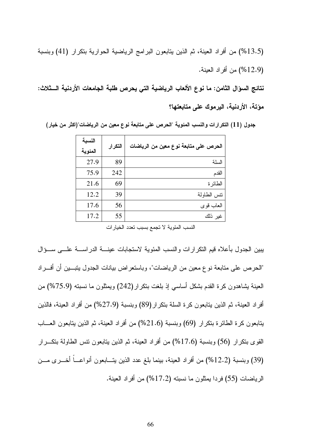(13.5%) من أفراد العينة، ثم الذين يتابعون البرامج الرياضية الحوارية بتكرار (41) وبنسبة (12.9%) من أفر اد العينة.

نتائج السوّال الثامن: ما نوع الألعاب الرياضية التي يحرص طلبة الجامعات الأردنية الـــثلاث: مؤتة، الأردنية، اليرموك على متابعتها؟

| النسبة<br>المئوية | التكرار | الحرص على متابعة نوع معين من الرياضات |
|-------------------|---------|---------------------------------------|
| 27.9              | 89      | السلة                                 |
| 75.9              | 242     | القدم                                 |
| 21.6              | 69      | الطائرة                               |
| 12.2              | 39      | نتس الطاولة                           |
| 17.6              | 56      | العاب قوى                             |
| 17.2              | 55      | غير ذلك                               |

جدول (11) التكر ارات والنسب المئوية "الحرص على متابعة نوع معين من الرياضات"(اكثر من خيار)

النسب المئوية لا تجمع بسبب تعدد الخيارات

بيبين الجدول بأعلاه فيم النكرارات والنسب المئوية لاستجابات عينــــة الدراســــة علــــي ســــؤال "الحرص على متابعة نوع معين من الرياضات"، وباستعراض بيانات الجدول يتبـــين أن أفـــراد العينة بشاهدون كرة القدم بشكل أساسي إذ بلغت بنكر ار (242) ويمثلون ما نسبته (75.9%) من أفراد العينة، ثم الذين يتابعون كرة السلة بنكرار (89) وبنسبة (27.9%) من أفراد العينة، فالذين يتابعون كرة الطائرة بتكرار (69) وبنسبة (21.6%) من أفراد العينة، ثم الذين يتابعون العساب القوى بنكر ار (56) وبنسبة (17.6%) من أفراد العينة، ثم الذين يتابعون نتس الطاولة بنكـــرار (39) وبنسبة (12.2%) من أفراد العينة، بينما بلغ عدد الذين يتـــابعون أنواعــــاً أخــــرى مـــن الرياضات (55) فردا بمثلون ما نسبته (17.2%) من أفراد العينة.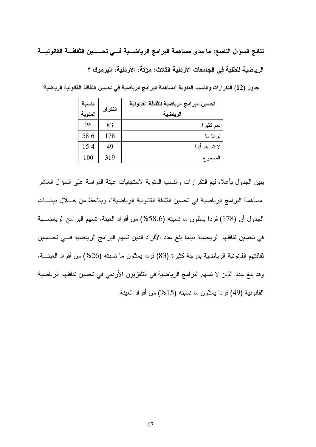نتائج السوّال التاسع: ما مدى مساهمة البرامج الرياضـــية فـــى تحـــسين الثقافـــة القانونيـــة الرياضية للطلبة في الجامعات الأردنية الثلاث: مؤتة، الأردنية، اليرموك ؟

جدول (12) التكرارات والنسب المئوية "مساهمة البرامج الرياضية في تحسين الثقافة القانونية الرياضية"

| النسبة  | التكرار | تحسين البرامج الرياضية للثقافة القانونية |
|---------|---------|------------------------------------------|
| المئوية |         | الرياضية                                 |
| 26      | 83      | نعم كثير ا                               |
| 58.6    | 178     | نو عا ما                                 |
| 15.4    | 49      | لا تساهم أبدا                            |
| 100     | 319     | المجموع                                  |

بيبين الجدول بأعلاه قيم التكرارات والنسب المئوية لاستجابات عينة الدراسة على السؤال العاشر "مساهمة البرامج الرياضية في تحسين الثقافة القانونية الرياضية"، ويلاحظ من خـــلال بيانـــات الجدول أن (178) فردا يمثلون ما نسبته (58.6%) من أفراد العينة، تسهم البرامج الرياضــــية في تحسين ثقافتهم الرياضية بينما بلغ عدد الأفراد الذين تسهم البرامج الرياضية فـــي تحـــسين ثقافتهم القانونية الرياضية بدرجة كثيرة (83) فردا يمثلون ما نسبته (26%) من أفراد العينــــة، وقد بلغ عدد الذين لا تسهم البرامج الرياضية في التلفزيون الأردني في تحسين ثقافتهم الرياضية القانونية (49) فردا يمثلون ما نسبته (15%) من أفراد العينة.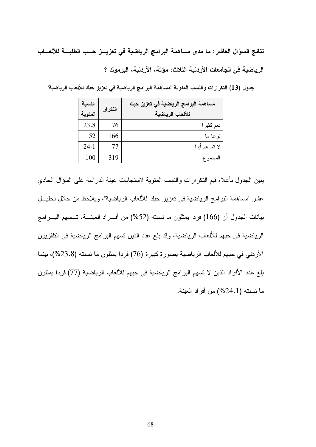نتائج السوّال العاشر : ما مدى مساهمة البرامج الرياضية في تعزيـــز حــب الطلبـــة للألعـــاب الرياضية في الجامعات الأردنية الثلاث: مؤتة، الأردنية، اليرموك ؟

جدول (13) التكرارات والنسب المئوية "مساهمة البرامج الرياضية في تعزيز حبك للألعاب الرياضية"

| النسبة<br>المئوية | التكرار | مساهمة البرامج الرياضية في تعزيز حبك<br>للألعاب الرياضية |
|-------------------|---------|----------------------------------------------------------|
| 23.8              | 76      | نعم كثير ا                                               |
| 52                | 166     | نو عا ما                                                 |
| 24.1              | T       | لا تساهم أبدا                                            |
| 100               | 319     | المجموع                                                  |

يبين الجدول بأعلاه قيم التكرارات والنسب المئوية لاستجابات عينة الدراسة على السؤال الحادي عشر "مساهمة البرامج الرياضية في تعزيز حبك للألعاب الرياضية"، ويلاحظ من خلال تحليــل بيانات الجدول أن (166) فردا يمثلون ما نسبته (52%) من أفـــراد العينـــة، تـــسهم البــــرامج الرياضية في حبهم للألعاب الرياضية، وقد بلغ عدد الذين نسهم البر امج الرياضية في النلفزيون الأردني في حبهم للألعاب الرياضية بصورة كبيرة (76) فردا يمثلون ما نسبته (23.8%)، بينما بلغ عدد الأفراد الذين لا تسهم البرامج الرياضية في حبهم للألعاب الرياضية (77) فردا يمثلون ما نسبته (24.1%) من أفراد العينة.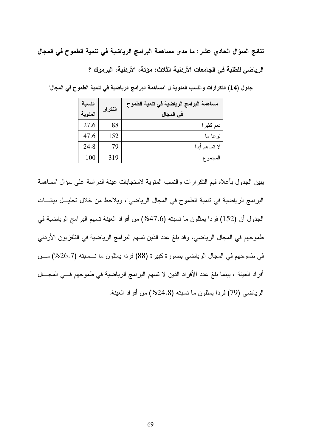نتائج السوّال الحادي عشر : ما مدى مساهمة البرامج الرياضية في تنمية الطموح في المجال الرياضي للطلبة في الجامعات الأردنية الثلاث: مؤتة، الأردنية، اليرموك ؟

جدول (14) التكرارات والنسب المئوية ل "مساهمة البرامج الرياضية في تنمية الطموح في المجال"

| النسبة  | التكرار | مساهمة البرامج الرياضية في تنمية الطموح |
|---------|---------|-----------------------------------------|
| المئوية |         | في المجال                               |
| 27.6    | 88      | نعم كثيرا                               |
| 47.6    | 152     | نو عا ما                                |
| 24.8    | 79      | لا تساهم أبدا                           |
| 100     | 319     | المجموع                                 |

يبين الجدول بأعلاه قيم التكر ارات والنسب المئوية لاستجابات عينة الدراسة على سؤال "مساهمة البرامج الرياضية في نتمية الطموح في المجال الرياضي"، ويلاحظ من خلال تحليــل بيانـــات الجدول أن (152) فردا بمثلون ما نسبته (47.6%) من أفراد العينة تسهم البرامج الرياضية في طموحهم في المجال الرياضي، وقد بلغ عدد الذين نسهم البر امج الرياضية في النلفزيون الأردني في طموحهم في المجال الرياضي بصورة كبيرة (88) فردا يمثلون ما نـــسبته (26.7%) مـــن أفراد العينة ، بينما بلغ عدد الأفراد الذين لا تسهم البرامج الرياضية في طموحهم فـــي المجـــال الرياضي (79) فردا يمثلون ما نسبته (24.8%) من أفراد العينة.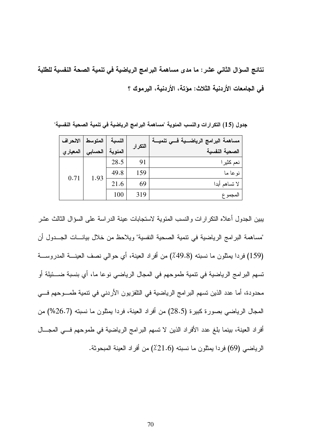نتائج السؤال الثاني عشر : ما مدى مساهمة البرامج الرياضية في تنمية الصحة النفسية للطلبة في الجامعات الأربنية الثلاث: مؤتة، الأربنية، اليرموك ؟

مساهمة البرامج الرياضــية فـــى تنميـــة | الانحراف المتوسط النسبة التكر إر المئوية الصحية النفسية المعيار ي الحسابى 28.5 91 نعم كثيرا 159 49.8 نو عا ما 1.93  $0.71$  $21.6$ 69 لا تساهم أيدا 319 100 المجموع

جدول (15) التكرارات والنسب المئوية "مساهمة البرامج الرياضية في تنمية الصحية النفسية"

يبين الجدول أعلاه التكرارات والنسب المئوية لاستجابات عينة الدراسة على السؤال الثالث عشر "مساهمة البرامج الرياضية في نتمية الصحية النفسية" ويلاحظ من خلال بيانــــات الجـــدول أن (159) فردا بمثلون ما نسبته (49.8٪) من أفراد العينة، أي حوالي نصف العينــــة المدروســــة تسهم البرامج الرياضية في تتمية طموحهم في المجال الرياضي نوعا ما، أي بنسبة ضـــئيلة أو محدودة، أما عدد الذين تسهم البر امج الرياضية في التلفزيون الأردني في تنمية طمـــوحهم فــــي المجال الرياضي بصورة كبيرة (28.5) من أفراد العينة، فردا يمثلون ما نسبته (26.7%) من أفراد العينة، بينما بلغ عدد الأفراد الذين لا تسهم البرامج الرياضية في طموحهم فــي المجـــال الرياضي (69) فردا بمثلون ما نسبته (21.6٪) من أفراد العينة المبحوثة.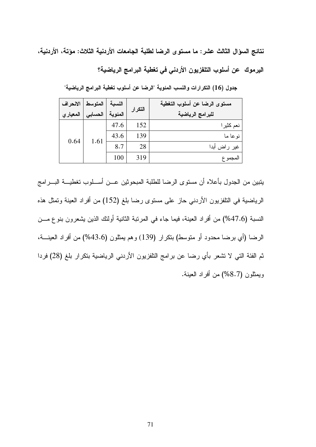نتائج السؤال الثالث عشر : ما مستوى الرضا لطلبة الجامعات الأردنية الثلاث: مؤتة، الأردنية،

اليرموك عن أسلوب التلفزيون الأردني في تغطية البرامج الرياضية؟

| الانحراف | النسبة   المتوسط |         | التكرار | مستوى الرضا عن أسلوب التغطية |
|----------|------------------|---------|---------|------------------------------|
| المعياري | الحسابى          | المئوية |         | للبرامج الرياضية             |
|          |                  | 47.6    | 152     | نعم كثيرا                    |
|          | 1.61             | 43.6    | 139     | نو عا ما                     |
| 0.64     |                  | 8.7     | 28      | غیر راض أبدا                 |
|          |                  | 100     | 319     | المجموع                      |

جدول (16) التكرارات والنسب المئوية "الرضا عن أسلوب تغطية البرامج الرياضية"

يتبين من الجدول بأعلاه أن مستوى الرضا للطلبة المبحوثين عــن أســلوب تغطيـــة البـــرامج الرياضية في النلفزيون الأردنبي حاز على مستوى رضا بلغ (152) من أفراد العينة وتمثل هذه النسبة (47.6%) من أفراد العينة، فيما جاء في المرتبة الثانية أولئك الذين يشعرون بنوع مـــن الرضا (أي برضا محدود أو متوسط) بنكرار (139) وهم يمثلون (43.6%) من أفراد العينــــة، ثم الفئة التي لا نشعر بأي رضا عن برامج النلفزيون الأردني الرياضية بتكرار بلغ (28) فردا ويمثلون (8.7%) من أفراد العينة.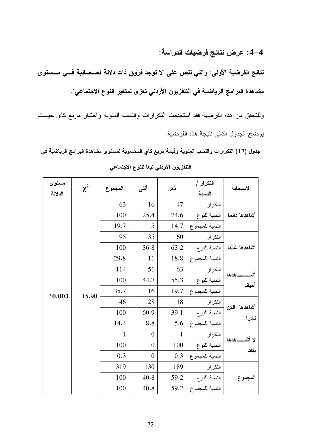4–4: عرض نتائج فرضيات الدراسة:

نتائج الفرضية الأولى: والتي تنص على "لا توجد فروق ذات دلالة إحـــصائية فـــي مـــستو ى مشاهدة البرامج الرياضية في التلفزيون الأردني تعزى لمتغير النوع الاجتماعي".

وللتحقق من هذه الفرضية فقد استخدمت التكرارات والنسب المئوية واختبار مربع كاي حيــث يوضىح الجدول النالي ننيجة هذه الفرضية.

جدول (17) التكرارات والنسب المئوية وقيمة مربع كاي المحسوبة لمستوى مشاهدة البرامج الرياضية في التلفزيون الأردني تبعا للنوع الاجتماعي

| مستوى<br>الدلالة | $\chi^2$ | المجموع      | أنشى             | نكر          | التكرار /<br>النسبة   | الاستجابة                                                                |  |
|------------------|----------|--------------|------------------|--------------|-----------------------|--------------------------------------------------------------------------|--|
|                  |          | 63           | 16               | 47           | التكرار               |                                                                          |  |
|                  |          | 100          | 25.4             | 74.6         | النسبة للنوع          | أشاهدها دائما                                                            |  |
|                  |          | 19.7         | 5                | 14.7         | النسبة للمجموع        |                                                                          |  |
|                  |          | 95           | 35               | 60           | التكرار               |                                                                          |  |
|                  |          | 100          | 36.8             | 63.2         | النسبة للنو ع         | أشاهدها غالبا                                                            |  |
|                  |          | 29.8         | 11               | 18.8         | النسبة للمجموع        | ـاهدها<br>أش                                                             |  |
|                  |          | 114          | 51               | 63           | التكر ار              |                                                                          |  |
|                  |          | 100          | 44.7             | 55.3         | النسبة للنو ع         |                                                                          |  |
| $*0.003$         | 15.90    | 35.7         | 16               | 19.7         | النسبة للمجموع        |                                                                          |  |
|                  |          | 46           | 28               | 18           | التكرار               |                                                                          |  |
|                  |          | 100          | 60.9             | 39.1         | النسبة للنوع          |                                                                          |  |
|                  |          | 14.4         | 8.8              | 5.6          | النسبة للمجموع        | أحيانا<br>أشاهدها الكن<br>نادر ا<br>لا أشــــــاهدها<br>بتاتا<br>المجموع |  |
|                  |          | $\mathbf{1}$ | $\boldsymbol{0}$ | $\mathbf{1}$ | التكرار               |                                                                          |  |
|                  |          | 100          | $\boldsymbol{0}$ | 100          | النسبة للنوع          |                                                                          |  |
|                  |          | 0.3          | $\boldsymbol{0}$ | 0.3          | النسبة للمجموع        |                                                                          |  |
|                  |          | 319          | 130              | 189          | التكر ار              |                                                                          |  |
|                  |          | 100          | 40.8             | 59.2         | النسبة للنوع          |                                                                          |  |
|                  |          | 100          | 40.8             |              | النسبة للمجموع   59.2 |                                                                          |  |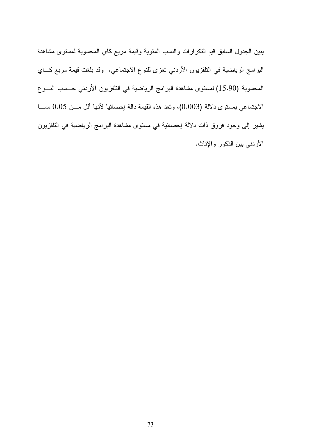يبين الجدول السابق قيم النكرارات والنسب المئوية وقيمة مربع كاي المحسوبة لمستوى مشاهدة البرامج الرياضية في التلفزيون الأردني تعزى للنوع الاجتماعي، وقد بلغت قيمة مربع كـــاي المحسوبة (15.90) لمستوى مشاهدة البرامج الرياضية في التلفزيون الأردني حــسب النـــوع الاجتماعي بمستوى دلالة (0.003)، وتعد هذه القيمة دالة إحصائيا لأنها أقل مـــن 0.05 ممـــا يشير إلى وجود فروق ذات دلالة إحصائية في مستوى مشاهدة البرامج الرياضية في التلفزيون الأردني بين الذكور والإناث.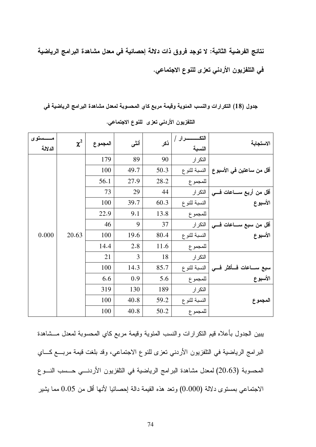نتائج الفرضية الثانية: لا توجد فروق ذات دلالة إحصائية في معدل مشاهدة البرامج الرياضية في التلفزيون الأردني تعزي للنوع الاجتماعي.

جدول (18) التكرارات والنسب المئوية وقيمة مربع كاي المحسوبة لمعدل مشاهدة البرامج الرياضية في

| ــستوى<br>الدلالة | $\chi^2$ | المجموع | أنشى | نكر  | النسبة       | الاستجابة                   |
|-------------------|----------|---------|------|------|--------------|-----------------------------|
|                   |          | 179     | 89   | 90   | التكرار      |                             |
|                   |          | 100     | 49.7 | 50.3 | النسبة للنوع | أقل من ساعتين في الأسبو ع   |
|                   |          | 56.1    | 27.9 | 28.2 | للمجموع      |                             |
|                   |          | 73      | 29   | 44   | التكرار      | أقل من أربع ســـاعات فــــى |
|                   |          | 100     | 39.7 | 60.3 | النسبة للنوع | الأسبوع                     |
|                   |          | 22.9    | 9.1  | 13.8 | للمجموع      |                             |
|                   |          | 46      | 9    | 37   | التكرار      | أقل من سبع ســـاعات فـــى   |
| 0.000             | 20.63    | 100     | 19.6 | 80.4 | النسبة للنوع | الأسبوع                     |
|                   |          | 14.4    | 2.8  | 11.6 | للمجموع      |                             |
|                   |          | 21      | 3    | 18   | التكرار      |                             |
|                   |          | 100     | 14.3 | 85.7 | النسبة للنوع | سبع ســـاعات فـــأكثر فـــى |
|                   |          | 6.6     | 0.9  | 5.6  | للمجموع      | الأسبوع                     |
|                   |          | 319     | 130  | 189  | التكرار      |                             |
|                   |          | 100     | 40.8 | 59.2 | النسبة للنوع | المجموع                     |
|                   |          | 100     | 40.8 | 50.2 | للمجموع      |                             |

التلفزيون الأردني تعزى للنوع الاجتماعي.

بببين الجدول بأعلاه قيم النكرارات والنسب المئوية وقيمة مربع كاي المحسوبة لمعدل مـــشاهدة البر امج الرياضية في النلفزيون الأردني تعزِّ للنوع الاجتماعي، وقد بلغت قيمة مربِّسع كـــاي المحسوبة (20.63) لمعدل مشاهدة البرامج الرياضية في النلفزيون الأردنسي حــسب النـــوع الاجتماعي بمستوى دلالة (0.000) ونعد هذه القيمة دالة إحصائيا لأنها أقل من 0.05 مما يشير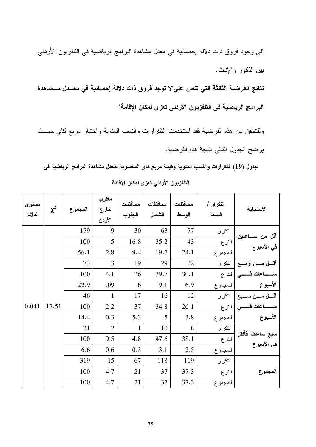إلى وجود فروق ذات دلالة إحصائية في معدل مشاهدة البر امج الرياضية في النلفزيون الأردني بين الذكور والإناث.

نتائج الفرضية الثالثة التي تنص على"لا توجد فروق ذات دلالة إحصائية في معــدل مـــشاهدة البرامج الرياضية في التلفزيون الأردني تعزى لمكان الإقامة"

وللتحقق من هذه الفرضية فقد استخدمت النكرارات والنسب المئوية واختبار مربع كاي حيــث يوضح الجدول التالي نتيجة هذه الفرضية.

جدول (19) التكرارات والنسب المئوية وقيمة مربع كاي المحسوبة لمعدل مشاهدة البرامج الرياضية في

| مستوى<br>الدلالة | $\chi^2$ | المجموع | مغترب<br>خارج<br>الأردن | محافظات<br>الجنوب | محافظات<br>الشمال | محافظات<br>الوسط | التكرار /<br>النسبة | الاستجابة                                |  |
|------------------|----------|---------|-------------------------|-------------------|-------------------|------------------|---------------------|------------------------------------------|--|
|                  |          | 179     | 9                       | 30                | 63                | 77               | التكرار             |                                          |  |
|                  |          | 100     | 5                       | 16.8              | 35.2              | 43               | للنوع               | أقل من ســــاعتين<br>في الأسبوع          |  |
|                  |          | 56.1    | 2.8                     | 9.4               | 19.7              | 24.1             | للمجموع             |                                          |  |
|                  |          | 73      | 3                       | 19                | 29                | 22               |                     | أقسل مسن أربسع   التكرار                 |  |
|                  |          | 100     | 4.1                     | 26                | 39.7              | 30.1             |                     | ســــــــاعات فــــــــي   للنوع         |  |
|                  |          | 22.9    | .09                     | 6                 | 9.1               | 6.9              | اللمجموع            | الأسبوع                                  |  |
|                  |          | 46      | $\mathbf{1}$            | 17                | 16                | 12               |                     | أقسل مسن سسبع   النكرار<br>سىسساعات فسسى |  |
| 0.041            | 17.51    | 100     | 2.2                     | 37                | 34.8              | 26.1             | اللنوع              |                                          |  |
|                  |          | 14.4    | 0.3                     | 5.3               | 5                 | 3.8              | للمجموع             | الأسبوع                                  |  |
|                  |          | 21      | $\overline{2}$          | $\mathbf{1}$      | 10                | 8                | التكرار             |                                          |  |
|                  |          | 100     | 9.5                     | 4.8               | 47.6              | 38.1             | للنوع               | سبع ساعات فأكثر<br>في الأسبوع            |  |
|                  |          | 6.6     | 0.6                     | 0.3               | 3.1               | 2.5              | للمجموع             |                                          |  |
|                  |          | 319     | 15                      | 67                | 118               | 119              | التكرار             |                                          |  |
|                  |          | 100     | 4.7                     | 21                | 37                | 37.3             | للنوع               | المجموع                                  |  |
|                  |          | 100     | 4.7                     | 21                | 37                | 37.3             | للمجموع             |                                          |  |

التلفزيون الأردني تعزى لمكان الإقامة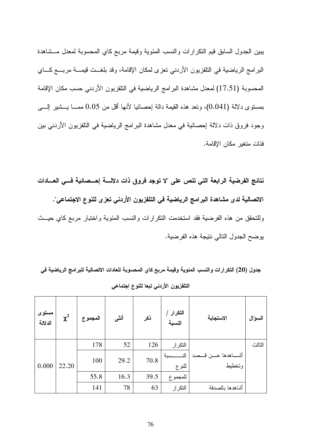يبين الجدول السابق قيم النكرارات والنسب المئوية وقيمة مربع كاي المحسوبة لمعدل مسشاهدة البرامج الرياضية في النلفزيون الأردني تعزى لمكان الإقامة، وقد بلغــت قيمـــة مربـــع كـــاي المحسوبة (17.51) لمعدل مشاهدة البرامج الرياضية في النلفزيون الأردني حسب مكان الإقامة بمستوى دلالة (0.041)، ونعد هذه القيمة دالة إحصائيا لأنها أقل من 0.05 مصــا بــــشير إلـــــي وجود فروق ذات دلالة إحصائية في معدل مشاهدة البرامج الرياضية في التلفزيون الأردني بين فئات متغير مكان الإقامة.

نتائج الفرضية الرابعة التي تنص على "لا توجد فروق ذات دلالسة إحسصائية فسي العسادات الاتصالية لدى مشاهدة البرامج الرياضية في التلفزيون الأردني تعزى للنوع الاجتماعي". وللتحقق من هذه الفرضية فقد استخدمت التكرارات والنسب المئوية واختبار مربع كاي حيــث يوضح الجدول التالي نتيجة هذه الفرضية.

|  | جدول (20) التكرارات والنسب المئوية وقيمة مربع كاي المحسوبة للعادات الاتصالية للبرامج الرياضية في |  |  |  |
|--|--------------------------------------------------------------------------------------------------|--|--|--|
|  | التلفزيون الأردني تبعا للنوع اجتماعي                                                             |  |  |  |

| مستوى<br>الدلالة | $\chi^2$ | المجموع | أنشى | نكر  | التكرار /<br>النسبة | الاستجابة                 | السوال |
|------------------|----------|---------|------|------|---------------------|---------------------------|--------|
|                  |          | 178     | 52   | 126  | التكرار             |                           | الثالث |
|                  |          | 100     | 29.2 | 70.8 | الذ<br>سبة          | أشــــاهدها عــــن قـــصد |        |
| 0.000            | 22.20    |         |      |      | للنوع               | وتخطيط                    |        |
|                  |          | 55.8    | 16.3 | 39.5 | للمجموع             |                           |        |
|                  |          | 141     | 78   | 63   | التكرار             | أشاهدها بالصدفة           |        |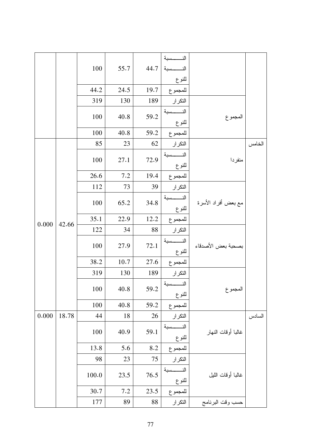|                |       |         |      |                       | النــــــسبة      |                     |        |
|----------------|-------|---------|------|-----------------------|-------------------|---------------------|--------|
|                |       | $100\,$ | 55.7 | 44.7                  | الذ<br>سية        |                     |        |
|                |       |         |      |                       | للنوع             |                     |        |
|                |       | 44.2    | 24.5 | 19.7                  | للمجموع           |                     |        |
|                |       | 319     | 130  | 189                   | التكرار           |                     |        |
|                |       | 100     | 40.8 | 59.2                  | سية<br>للنوع      | المجموع             |        |
|                |       | 100     | 40.8 | 59.2                  | للمجموع           |                     |        |
|                |       | 85      | 23   | 62                    | التكرار           |                     | الخامس |
|                | 100   | 27.1    | 72.9 | النــــــسبة<br>للنوع | منفردا            |                     |        |
|                |       | 26.6    | 7.2  | 19.4                  | للمجموع           |                     |        |
|                |       | 112     | 73   | 39                    | التكرار           |                     |        |
|                |       |         |      |                       | النــــسبة        |                     |        |
| 42.66<br>0.000 |       | 100     | 65.2 | 34.8                  | للنوع             | مع بعض أفراد الأسرة |        |
|                |       | 35.1    | 22.9 | 12.2                  | للمجموع           |                     |        |
|                |       | 122     | 34   | 88                    | التكرار           |                     |        |
|                |       | 100     |      |                       | النــــــسبة      |                     |        |
|                |       |         | 27.9 | 72.1                  | للنوع             | بصحبة بعض الأصدقاء  |        |
|                |       | 38.2    | 10.7 | 27.6                  | للمجموع           |                     |        |
|                |       | 319     | 130  | 189                   | التكرار           |                     |        |
|                |       |         |      |                       | النـــــــسبة     |                     |        |
|                |       | 100     | 40.8 | 59.2                  | للنوع             | المجموع             |        |
|                |       | 100     | 40.8 | 59.2                  | للمجموع           |                     |        |
| 0.000          | 18.78 | 44      | 18   | 26                    | التكرار           |                     | السادس |
|                |       |         |      |                       | النـــــــسبة     |                     |        |
|                |       | 100     | 40.9 | 59.1                  | للنوع             | غالبا أوقات النهار  |        |
|                |       | 13.8    | 5.6  | 8.2                   | للمجموع           |                     |        |
|                |       | 98      | 23   | 75                    | التكرار           |                     |        |
|                |       |         |      |                       | حسبة<br>الن       |                     |        |
|                | 100.0 | 23,5    | 76.5 | للنوع                 | غالبا أوقات الليل |                     |        |
|                |       | 30.7    | 7.2  | 23.5                  | للمجموع           |                     |        |
|                |       | 177     | 89   | 88                    | التكر ار          | حسب وقت البرنامج    |        |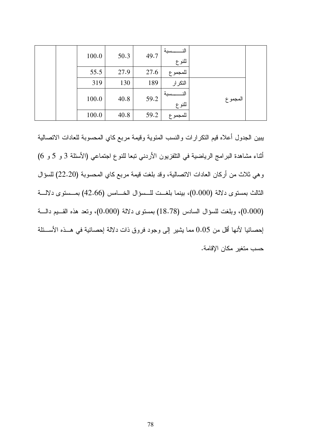|  | 100.0 | 50.3 | 49.7 | 11:<br>سبة<br>للنوع |            |  |
|--|-------|------|------|---------------------|------------|--|
|  | 55.5  | 27.9 | 27.6 | للمجموع             |            |  |
|  | 319   | 130  | 189  | التكرار             |            |  |
|  | 100.0 | 40.8 | 59.2 | ۰N<br>سبة<br>للنوع  | ا المجمو ع |  |
|  | 100.0 | 40.8 | 59.2 | ا للمجمو ع          |            |  |

يبين الجدول أعلاه قيم النكر ارات والنسب المئوية وقيمة مربع كاي المحسوبة للعادات الاتصالية اثناء مشاهدة البرامج الرياضية في النلفزيون الأردني تبعا للنوع اجتماعي (الأسئلة 3 و 5 و 6) وهي ثلاث من أركان العادات الاتصالية، وقد بلغت قيمة مربع كاي المحسوبة (22.20) للسؤال الثالث بمستوى دلالة (0.000)، بينما بلغــت للــسؤال الخـــامس (42.66) بمــستوى دلالـــة (0.000)، وبلغت للسؤال السادس (18.78) بمستوى دلالة (0.000)، وتعد هذه القـــيم دالــــة إحصائيا لأنها آقل من 0.05 مما يثنير إلى وجود فروق ذات دلالة إحصائية في هــذه الأســـئلة حسب متغبر ًمكان الإقامة.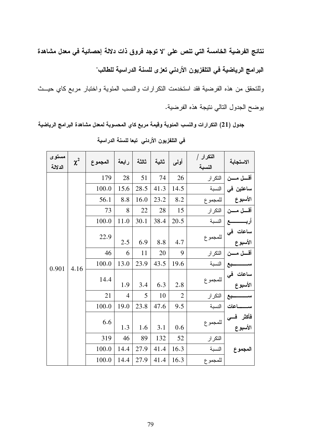نتائج الفرضية الخامسة التي تنص على "لا توجد فروق ذات دلالة إحصائية في معدل مشاهدة البرامج الرياضية في التلفزيون الأردني تعزى للسنة الدراسية للطالب"

وللتحقق من هذه الفرضية فقد استخدمت التكرارات والنسب المئوية واختبار مربع كاي حيــث يوضىح الجدول النالي ننيجة هذه الفرضية.

جدول (21) التكرارات والنسب المئوية وقيمة مربع كاي المحسوبة لمعدل مشاهدة البرامج الرياضية

| مستوى<br>الدلالة | $\chi^2$ | المجموع | رابعة          | ثالثة | ثانية | أولمي          | التكرار /<br>النسبة | الاستجابة       |                                |
|------------------|----------|---------|----------------|-------|-------|----------------|---------------------|-----------------|--------------------------------|
|                  |          | 179     | 28             | 51    | 74    | 26             | التكرار             | أقسل مسن        |                                |
|                  |          | 100.0   | 15,6           | 28.5  | 41.3  | 14.5           | النسبة              | ساعتين في       |                                |
|                  |          | 56.1    | 8.8            | 16.0  | 23.2  | 8.2            | للمجموع             | الأسبوع         |                                |
|                  |          | 73      | 8              | 22    | 28    | 15             | التكرار             | أقسل مسن        |                                |
|                  |          | 100.0   | 11.0           | 30.1  | 38.4  | 20.5           | النسبة              | أربـــــــــــع |                                |
|                  |          | 22.9    |                |       |       |                | للمجموع             | ساعات فی        |                                |
|                  | 4.16     |         | 2.5            | 6.9   | 8.8   | 4.7            |                     | الأسبوع         |                                |
|                  |          | 46      | 6              | 11    | 20    | 9              | التكرار             | أقسل مسن        |                                |
| 0.901            |          | 100.0   | 13.0           | 23.9  | 43.5  | 19.6           | النسبة              | چع              |                                |
|                  |          |         | 14.4           | 1.9   | 3.4   | 6.3            | 2.8                 | للمجموع         | ساعات في ا<br>۔۔<br>الأسبوع    |
|                  |          | 21      | $\overline{4}$ | 5     | 10    | $\overline{2}$ | التكرار             | بع              |                                |
|                  |          | 100.0   | 19.0           | 23.8  | 47.6  | 9.5            | النسبة              | اعات            |                                |
|                  |          |         | 6.6            | 1.3   | 1.6   | 3.1            | 0.6                 | للمجموع         | فأكثر فـــ <i>ي</i><br>الأسبوع |
|                  |          | 319     | 46             | 89    | 132   | 52             | التكرار             |                 |                                |
|                  |          | 100.0   | 14.4           | 27.9  | 41.4  | 16.3           | النسبة              | المجموع         |                                |
|                  |          | 100.0   | 14.4           | 27.9  | 41.4  | 16.3           | للمجموع             |                 |                                |

في التلفزيون الأردني تبعا للسنة الدراسية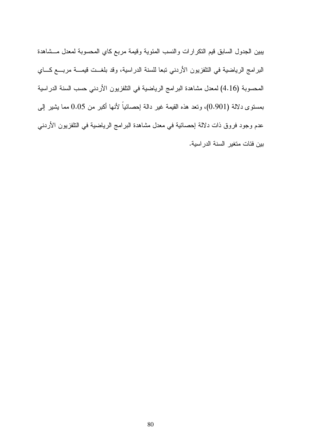يبين الجدول السابق قيم النكرارات والنسب المئوية وقيمة مربع كاي المحسوبة لمعدل مسشاهدة البرامج الرياضية في التلفزيون الأردني تبعا للسنة الدراسية، وقد بلغــت قيمـــة مربـــع كـــاي المحسوبة (4.16) لمعدل مشاهدة البرامج الرياضية في النلفزيون الأردني حسب السنة الدراسية بمستوى دلالة (0.901)، وتعد هذه القيمة غير دالة إحصائياً لأنها أكبر من 0.05 مما يشير إلىي عدم وجود فروق ذات دلالة إحصائية في معدل مشاهدة البرامج الرياضية في النلفزيون الأردني بين فئات متغير السنة الدر اسية.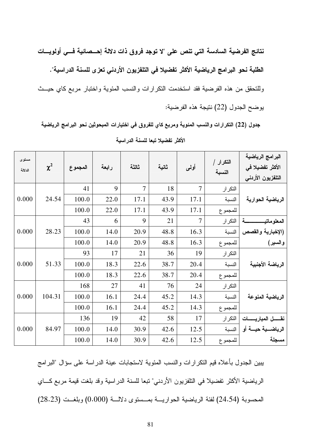نتائج الفرضية السادسة التي تنص على "لا توجد فروق ذات دلالة إحـــصائية فـــي أولويــــات الطلبة نحو البرامج الرياضية الأكثر تفضيلا في التلفزيون الأردني تعزى للسنة الدراسية". وللتحقق من هذه الفرضية فقد استخدمت التكرارات والنسب المئوية واختبار مربع كاي حيــث يوضح الجدول (22) نتيجة هذه الفرضية:

جدول (22) التكرارات والنسب المئوية ومربع كاي للفروق في اختيارات المبحوثين نحو البرامج الرياضية

| مستوى<br>الدلالة | $\chi^2$ | المجموع | رابعة | ثالثة          | ثانية | أولمي          | التكرار /<br>النسبة | البرامج الرياضية<br>الأكثر تفضيلا ف <i>ي</i><br>التلفزيون الأردنى |  |
|------------------|----------|---------|-------|----------------|-------|----------------|---------------------|-------------------------------------------------------------------|--|
|                  |          | 41      | 9     | $\overline{7}$ | 18    | $\tau$         | التكر ار            |                                                                   |  |
| 0.000            | 24.54    | 100.0   | 22.0  | 17.1           | 43.9  | 17.1           | النسبة              | الرياضية الحوارية                                                 |  |
|                  |          | 100.0   | 22.0  | 17.1           | 43.9  | 17.1           | للمجموع             |                                                                   |  |
|                  |          | 43      | 6     | 9              | 21    | $\overline{7}$ | التكرار             | المعلو ماتيه                                                      |  |
| 0.000            | 28.23    | 100.0   | 14.0  | 20.9           | 48.8  | 16.3           | النسبة              | (الإخبارية والقصص                                                 |  |
|                  |          | 100.0   | 14.0  | 20.9           | 48.8  | 16.3           | للمجموع             | والسبير)                                                          |  |
|                  |          | 93      | 17    | 21             | 36    | 19             | التكرار             |                                                                   |  |
| 0.000            | 51.33    | 100.0   | 18.3  | 22.6           | 38.7  | 20.4           | النسبة              | الرياضة الأجنبية                                                  |  |
|                  |          | 100.0   | 18.3  | 22.6           | 38.7  | 20.4           | للمجموع             |                                                                   |  |
|                  |          | 168     | 27    | 41             | 76    | 24             | التكرار             |                                                                   |  |
| 0.000            | 104.31   | 100.0   | 16.1  | 24.4           | 45.2  | 14.3           | النسبة              | الرياضية المنوعة                                                  |  |
|                  |          | 100.0   | 16.1  | 24.4           | 45.2  | 14.3           | للمجموع             |                                                                   |  |
|                  |          | 136     | 19    | 42             | 58    | 17             | التكرار             | نقــــــل المباريــــــــات                                       |  |
| 0.000            | 84.97    | 100.0   | 14.0  | 30.9           | 42.6  | 12.5           | النسبة              | الرياضـــــــــة أو                                               |  |
|                  |          | 100.0   | 14.0  | 30.9           | 42.6  | 12.5           | للمجموع             | مسجلة                                                             |  |

الأكثر تفضيلا تبعا للسنة الدراسية

يبين الجدول بأعلاه قيم التكر ارات والنسب المئوية لاستجابات عينة الدراسة على سؤال "البرامج الرياضية الأكثر تفضيلًا في التلفزيون الأردني" تبعا للسنة الدر اسية وقد بلغت قيمة مربع كـــاي المحسوبة (24.54) لفئة الرياضية الحواريـــة بمــستوى دلالـــة (0.000) وبلغــت (28.23)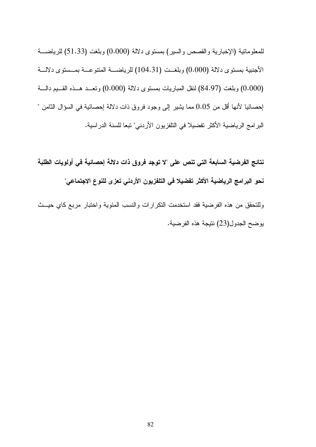للمعلوماتية (الإخبارية والقصص والسير) بمستوى دلالة (0.000) وبلغت (51.33) للرياضـــة الأجنبية بمستوى دلالة (0.000) وبلغــت (104.31) للرياضـــة المتنوعــة بمــستوى دلالـــة (0.000) وبلغت (84.97) لنقل المباريات بمستوى دلالة (0.000) وتعــد هــذه القــيم دالـــة إحصائيا لأنها أقل من 0.05 مما يشير إلى وجود فروق ذات دلالة إحصائية في السؤال الثامن " البرامج الرياضية الأكثر تفضيلا في التلفزيون الأردني" تبعا للسنة الدراسية.

نتائج الفرضية السابعة التي تنص على "لا توجد فروق ذات دلالة إحصائية في أولويات الطلبة نحو البرامج الرياضية الأكثر تفضيلا في التلفزيون الأردني تعزى للنوع الاجتماعي"

وللتحقق من هذه الفرضية فقد استخدمت النكرارات والنسب المئوية واختبار مربع كاي حيــث يوضح الجدول(23) نتيجة هذه الفرضية.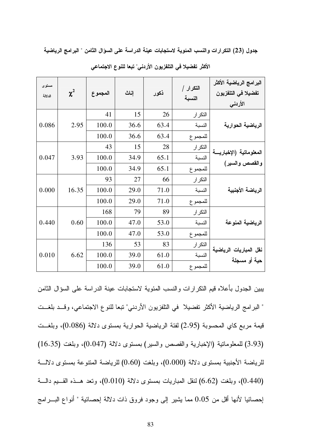جدول (23) التكرارات والنسب المئوية لاستجابات عينة الدراسة على السؤال الثامن " البرامج الرياضية

| مستوى<br>الدلالة | $\chi^2$ | المجموع | إناث | نكور | التكرار /<br>النسبة | البرامج الرياضية الأكثر<br>تفضيلا في التلفزيون<br>الأردني |
|------------------|----------|---------|------|------|---------------------|-----------------------------------------------------------|
|                  |          | 41      | 15   | 26   | التكرار             |                                                           |
| 0.086            | 2.95     | 100.0   | 36.6 | 63.4 | النسبة              | الرياضية الحوارية                                         |
|                  |          | 100.0   | 36.6 | 63.4 | للمجموع             |                                                           |
|                  |          | 43      | 15   | 28   | التكرار             |                                                           |
| 0.047            | 3.93     | 100.0   | 34.9 | 65.1 | النسبة              | المعلوماتية (الإخباريسة                                   |
|                  |          | 100.0   | 34.9 | 65.1 | للمجموع             | والقصص والسير)                                            |
|                  |          | 93      | 27   | 66   | التكرار             |                                                           |
| 0.000            | 16.35    | 100.0   | 29.0 | 71.0 | النسبة              | الرياضة الأجنبية                                          |
|                  |          | 100.0   | 29.0 | 71.0 | للمجموع             |                                                           |
|                  |          | 168     | 79   | 89   | التكرار             |                                                           |
| 0.440            | 0.60     | 100.0   | 47.0 | 53.0 | النسبة              | الرياضية المنوعة                                          |
|                  |          | 100.0   | 47.0 | 53.0 | للمجموع             |                                                           |
|                  |          | 136     | 53   | 83   | التكرار             | نقل المباريات الرياضية                                    |
| 0.010            | 6.62     | 100.0   | 39.0 | 61.0 | النسبة              | حية أو مسجلة                                              |
|                  |          | 100.0   | 39.0 | 61.0 | للمجموع             |                                                           |

الأكثر تفضيلا في التلفزيون الأردني" تبعا للنوع الاجتماعي

يبين الجدول بأعلاه فيم النكرارات والنسب المئوية لاستجابات عينة الدراسة على السؤال الثامن " البرامج الرياضية الأكثر تفضيلا ً في التلفزيون الأردني" تبعا للنوع الاجتماعي، وقــد بلغــت قيمة مربع كاي المحسوبة (2.95) لفئة الرياضية الحوارية بمستوى دلالة (0.086)، وبلغــت (3.93) للمعلومانية (الإخبارية والقصص والسير) بمستوى دلالة (0.047)، وبلغت (16.35) للرياضة الأجنبية بمستوى دلالة (0.000)، وبلغت (0.60) للرياضة المتنوعة بمستوى دلالـــة (0.440)، وبلغت (6.62) لنقل المباريات بمستوى دلالة (0.010)، ونعد هـــذه القـــيم دالـــة إحصائيا لأنها أقل من 0.05 مما يشير إلى وجود فروق ذات دلالة إحصائية " أنواع البــــرامج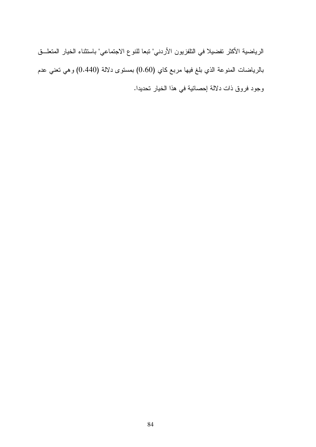الرياضية الأكثر تفضيلا في التلفزيون الأردني" تبعا للنوع الاجتماعي" باستثناء الخيار المتعلــق بالرياضات المنوعة الذي بلغ فيها مربع كاي (0.60) بمستوى دلالة (0.440) وهي تعني عدم وجود فروق ذات دلالة إحصائية في هذا الخيار تحديدا.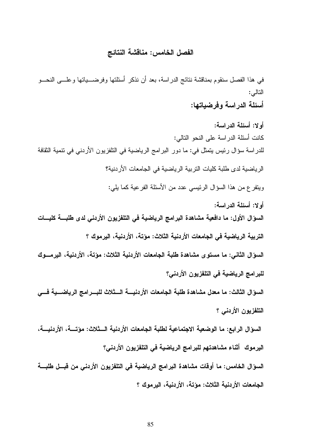#### الفصل الخامس: مناقشة النتائج

في هذا الفصل سنقوم بمناقشة نتائج الدر اسة، بعد أن نذكر ٍ أسئلتها وفرضــــباتها وعلــــي النحـــو التالي:

أسئلة الدر اسة و فر ضباتها:

أو لا: أسئلة الدر اسة: كانت أسئلة الدر اسة على النحو التالي: للدراسة سؤال رئيس يتمثّل في: ما دور البرامج الرياضية في التلفزيون الأردني في تتمية الثقافة الرياضية لدى طلبة كليات التربية الرياضية في الجامعات الأردنية؟ ويتقرع من هذا السؤال الرئيسي عدد من الأسئلة الفرعية كما يلي: أولا: أسئلة الدراسة:

السوّال الأول: ما دافعية مشاهدة البرامج الرياضية في التلفزيون الأردني لدى طلبـــة كليـــات التربية الرياضية في الجامعات الأردنية الثلاث: مؤتة، الأردنية، اليرموك ؟

السوّال الثاني: ما مستوى مشاهدة طلبة الجامعات الأردنية الثلاث: مؤتة، الأردنية، اليرمـــوك للبرامج الرياضية في التلفزيون الأردني؟

السوَّال الثالث: ما معدل مشاهدة طلبة الجامعات الأردنيــــة الـــثلاث للبـــرامج الرياضـــية فــــى التلفزيون الأردني ؟

السوَّال الرابع: ما الوضعية الاجتماعية لطلبة الجامعات الأردنية الـــثلاث: مؤتــــة، الأردنيـــة، اليرموك أثناء مشاهدتهم للبرامج الرياضية في التلفزيون الأردني؟ السوّال الخامس: ما أوقات مشاهدة البرامج الرياضية في التلفزيون الأردني من قبــل طلبـــة

الجامعات الأردنية الثلاث: مؤتة، الأردنية، البرموك ؟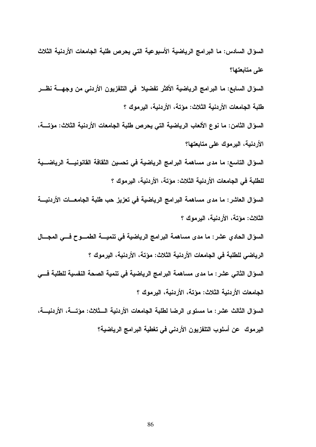السؤال السادس: ما البرامج الرياضية الأسبوعية التي يحرص طلبة الجامعات الأردنية الثلاث على متابعتها؟

السؤال السابع: ما البرامج الرياضية الأكثر تفضيلا في التلفزيون الأردني من وجهــــة نظـــر طلبة الجامعات الأردنية الثلاث: مؤتة، الأردنية، البرموك ؟

السوَّال الثامن: ما نوع الألعاب الرياضية التي يحرص طلبة الجامعات الأردنية الثلاث: مؤتــــة، الأردنية، اليرموك على متابعتها؟

السوّال التاسع: ما مدى مساهمة البرامج الرياضية في تحسين الثقافة القانونيــــة الرياضـــية للطلبة في الجامعات الأردنية الثلاث: مؤتة، الأردنية، اليرموك ؟

السوّال العاشر : ما مدى مساهمة البرامج الرياضية في تعزيز حب طلبة الجامعـــات الأردنيــــة الثِّلاتْ: مؤتة، الأردنية، اليرموك ؟

السوَّال الحادي عشر : ما مدى مساهمة البرامج الرياضية في تنميــــة الطمــــوح فــــي المجــــال الرياضي للطلبة في الجامعات الأردنية الثلاث: مؤتة، الأردنية، اليرموك ؟

السوَّال الثاني عشر : ما مدى مساهمة البرامج الرياضية في تنمية الصحة النفسية للطلبة فـــي الجامعات الأردنية الثلاث: مؤتة، الأردنية، اليرموك ؟

السوَّال الثالث عشر : ما مستوى الرضا لطلبة الجامعات الأردنية الــثلاث: مؤتـــة، الأردنيـــة، اليرموك عن أسلوب التلفزيون الأردني في تغطية البرامج الرياضية؟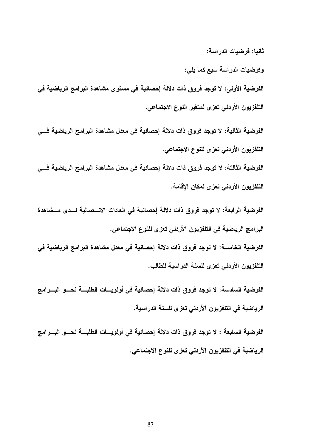ثانيا: فرضيات الدراسة:

وفرضيات الدراسة سبع كما يلي:

الفرضية الأولى: لا توجد فروق ذات دلالة إحصائية في مستوى مشاهدة البرامج الرياضية في التلفزيون الأردني تعزى لمتغير النوع الاجتماعي.

الفرضية الثانية: لا توجد فروق ذات دلالة إحصائية في معدل مشاهدة البرامج الرياضية فـــي التلفزيون الأردني تعزى للنوع الاجتماعي.

الفرضية الثالثة: لا توجد فروق ذات دلالة إحصائية فى معدل مشاهدة البرامج الرياضية فـــي التلفزيون الأردنى تعزى لمكان الإقامة.

الفرضية الرابعة: لا توجد فروق ذات دلالة إحصائية في العادات الاتـــصالية لـــدى مـــشاهدة البرامج الرياضية في التلفزيون الأردني تعزى للنوع الاجتماعي.

الفرضية الخامسة: لا توجد فروق ذات دلالة إحصائية في معدل مشاهدة البرامج الرياضية في التلفزيون الأردني تعزى للسنة الدراسية للطالب.

الفرضية السادسة: لا توجد فروق ذات دلالة إحصائية في أولويـــات الطلبـــة نحـــو البـــرامج الرياضية في التلفزيون الأردني تعزى للسنة الدراسية.

الفرضية السابعة : لا توجد فروق ذات دلالة إحصائية في أولويسات الطلبسة نحسو البسرامج الرياضية في التلفزيون الأردني تعزى للنوع الاجتماعي.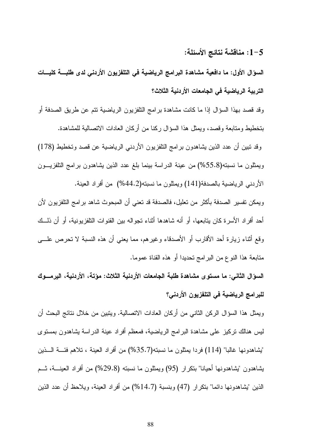# 1-5: مناقشة نتائج الأسئلة:

السوَّال الأول: ما دافعية مشاهدة البرامج الرياضية في التلفزيون الأردني لدى طلبـــة كليـــات التربية الرياضية في الجامعات الأردنية الثلاث؟

وقد قصد بهذا السؤال إذا ما كانت مشاهدة برامج النلفزيون الرياضية نتم عن طريق الصدفة أو بتخطيط ومتابعة وقصد، ويمثل هذا السؤال ركنا من أركان العادات الاتصالية للمشاهدة.

وقد تبين أن عدد الذين يشاهدون برامج التلفزيون الأردنبي الرياضية عن قصد وتخطيط (178) ويمثلون ما نسبته(55.8%) من عينة الدراسة بينما بلغ عدد الذين بشاهدون برامج التلفزيـــون الأردني الرياضية بالصدفة(141) ويمثلون ما نسبته(44.2%) من أفراد العينة.

ويمكن نفسير الصدفة بأكثر من نعليل، فالصدفة قد نعني أن المبحوث شاهد برامج النلفزيون لأن أحد أفراد الأسرة كان بتابعها، أو أنه شاهدها أثناء تجواله بين القنوات النلفزيونية، أو أن ذلــك وقع أثناء زيارة أحد الأقارب أو الأصدقاء وغيرهم، مما يعني أن هذه النسبة لا نحرص علـــي متابعة هذا النوع من البرامج تحديدا أو هذه القناة عموما.

السؤال الثاني: ما مستوى مشاهدة طلبة الجامعات الأردنية الثلاث: مؤتة، الأردنية، اليرمـــوك للبرامج الرياضية في التلفزيون الأردني؟

ويمثل هذا السؤال الركن الثاني من أركان العادات الاتصالية. ويتبين من خلال نتائج البحث أن ليس هنالك نركيز على مشاهدة البرامج الرياضية، فمعظم أفراد عينة الدراسة يشاهدون بمسنوى "يشاهدونها غالبا" (114) فردا بمثلون ما نسبته(35.7%) من أفراد العبنة ، تلاهم فئــــة الــــذين بشاهدون "بِشاهدونها أحيانا" بنكرار (95) ويمثلون ما نسبته (29.8%) من أفراد العينــــة، ثـــم الذين "يشاهدونها دائما" بتكرار (47) وبنسبة (14.7%) من أفراد العينة، ويلاحظ أن عدد الذين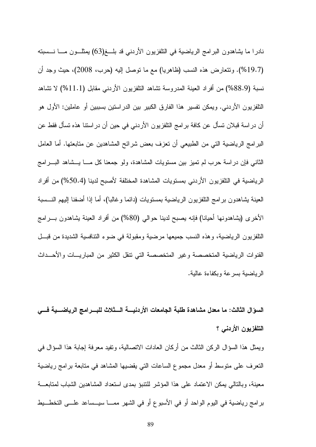نادرا ما بِشاهدون البرامج الرياضية في النلفزيون الأردني قد بلـــغ(63) بِمثلـــون مــــا نـــسبته (19.7%). وتتعارض هذه النسب (ظاهريا) مع ما نوصل إليه (حرب، 2008)، حيث وجد أن نسبة (88.9%) من أفراد العينة المدروسة نشاهد النلفزيون الأردنبي مقابل (11.1%) لا نشاهد النلفزيون الأردني. ويمكن نفسير هذا الفارق الكبير بين الدراستين بسببين أو عاملين: الأول هو أن دراسة قبلان تسأل عن كافة برامج التلفزيون الأردني في حين أن دراستنا هذه تسأل فقط عن البرامج الرياضية التي من الطبيعي أن تعزف بعض شرائح المشاهدين عن متابعتها. أما العامل الثاني فإن دراسة حرب لم تميز بين مستويات المشاهدة، ولو جمعنا كل مــــا يـــشاهد البــــرامج الرياضية في النلفزيون الأردني بمستويات المشاهدة المختلفة لأصبح لدينا (50.4%) من أفراد العينة بشاهدون برامج النلفزيون الرياضية بمستويات (دائما وغالبا)، أما إذا أضفنا إليهم النـــسبة الأخرى (يشاهدونها أحيانا) فإنه يصبح لدينا حوالي (80%) من أفراد العينة يشاهدون بـــرامج التلفزيون الرياضية، وهذه النسب جميعها مرضية ومقبولة في ضوء التنافسية الشديدة من قبــل القنوات الرياضية المتخصصة وغير المتخصصة التى نتقل الكثير من المباريـــات والأحـــداث الرياضية بسرعة وبكفاءة عالية.

السوَّال الثالث: ما معدل مشاهدة طلبة الجامعات الأردنيــــة الـــثلاث للبــــرامج الرياضـــية فــــي التلفزيون الأردنبي ؟

ويمثل هذا السؤال الركن الثالث من أركان العادات الاتصالية، وتفيد معرفة إجابة هذا السؤال في النعرف على منوسط أو معدل مجموع الساعات التي يقضيها المشاهد في منابعة برامج رياضية معينة، وبالنالي يمكن الاعتماد على هذا المؤشر للنتبؤ بمدى استعداد المشاهدين الشباب لمتابعـــة برامج رياضية في اليوم الواحد أو في الأسبوع أو في الشهر ممـــا سيـــساعد علـــي التخطـــيط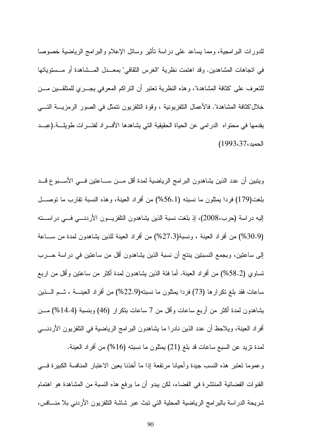للدورات البرامجية، ومما يساعد على دراسة تأثير وسائل الإعلام والبرامج الرياضية خصوصا في اتجاهات المشاهدين. وقد اهتمت نظرية "الغرس الثقافي" بمعــدل المــشاهدة أو مــستوياتها للنعرف على "كثافة المشاهدة"، وهذه النظرية نعتبر أن النراكم المعرفي بجـــرى للمتلقـــين مـــن خلال"كثافة المشاهدة". فالأعمال النلفزيونية ، وقوة النلفزيون نتمثل في الصور الرمزيــــة التــــي يقدمها في محتواه الدرامي عن الحياة الحقيقية التي يشاهدها الأفسراد لفتسرات طويلسة.(عبــد الحميد،37،3993)

ويتبين أن عدد الذين يشاهدون البرامج الرياضية لمدة أقل مـــن ســـاعتين فـــي الأســـبوع قـــد بلغت(179) فردا بمثلون ما نسبته (56.1%) من أفراد العينة، وهذه النسبة نقارب ما نوصـــل الِيهِ در اسة (حرب،2008)، إذ بلغت نسبة الذين يشاهدون النلفزيـــون الأردنــــي فـــي در اســـته (30.9%) من أفراد العينة ، ونسبة(27.3%) من أفراد العينة للذين بشاهدون لمدة من ســـاعة إلى ساعتين، وبجمع النسبتين ينتج أن نسبة الذين يشاهدون أقل من ساعتين في دراسة حــــرب نساوي (58.2%) من أفراد العينة. أما فئة الذين يشاهدون لمدة أكثر من ساعتين وأقل من اربع ساعات فقد بلغ نكرارها (73) فردا بمثلون ما نسبته(22.9%) من أفراد العينــــة ، شـــم الــــذين بِشاهدون لمدة أكثر من أربع ساعات وأقل من 7 ساعات بتكرار (46) وبنسبة (14.4%) مـــن أفراد العينة، ويلاحظ أن عدد الذين نادرا ما يشاهدون البرامج الرياضية في التلفزيون الأردنــــي لمدة نزيد عن السبع ساعات قد بلغ (21) يمثلون ما نسبته (16%) من أفراد العينة. وعموما نعتبر هذه النسب جيدة وأحيانا مرتفعة إذا ما أخذنا بعين الاعتبار المنافسة الكبيرة فسي القنوات الفضائية المنتشرة في الفضاء، لكن يبدو أن ما يرفع هذه النسبة من المشاهدة هو اهتمام

شريحة الدر اسة بالبر امج الرياضية المحلية التي تبث عبر شاشة التلفزيون الأردني بلا منـــافس،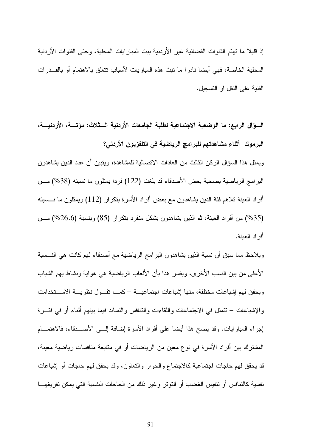إذ قليلا ما تهتم القنوات الفضائية غير الأردنية ببث المبار ايات المحلية، وحتى القنوات الأردنية المحلية الخاصنة، فهي أيضا نادرا ما تبث هذه المباريات لأسباب تتعلق بالاهتمام أو بالقـــدرات الفنية على النقل او النسجيل.

السؤال الرابع: ما الوضعية الاجتماعية لطلبة الجامعات الأردنية الـــثلاث: مؤتــــة، الأردنيـــة، اليرموك أثناء مشاهدتهم للبرامج الرياضية في التلفزيون الأردني؟ ويمثل هذا السؤال الركن الثالث من العادات الاتصالية للمشاهدة، ويتبين أن عدد الذين يشاهدون البرامج الرياضية بصحبة بعض الأصدقاء قد بلغت (122) فردا بمثلون ما نسبته (38%) مـــن أفراد العينة تلاهم فئة الذين يشاهدون مع بعض أفراد الأسرة بتكرار (112) ويمثلون ما نـــسبته (35%) من أفراد العينة، ثم الذين يشاهدون بشكل منفرد بنكرار (85) وبنسبة (26.6%) مـــن أفر اد العبنة.

ويلاحظ مما سبق أن نسبة الذين بشاهدون البرامج الرياضية مع أصدقاء لهم كانت هي النـــسبة الأعلى من بين النسب الأخرى، ويفسر هذا بأن الألعاب الرياضية هي هواية ونشاط يهم الشباب ويحقق لمهم لشباعات مختلفة، منها لِشباعات اجتماعيـــة –كمــــا تقـــول نظريــــة الاســــنخدامت والإشباعات – نتمثل في الاجتماعات واللقاءات والنتافس والتساند فيما ببنهم أثناء أو في فتسرة إجراء المبارايات. وقد يصح هذا أيضا على أفراد الأسرة إضافة إلـــى الأصــــدقاء، فالاهتمــــام المشترك بين أفراد الأسرة في نوع معين من الرياضات أو في متابعة منافسات رياضية معينة، قد يحقق لمهم حاجات اجتماعية كالاجتماع والحوار والنعاون، وقد يحقق لمهم حاجات أو إشباعات نفسية كالنتافس أو نتفيس الغضب أو النونر وغير ذلك من الحاجات النفسية التي يمكن نفريغهـــا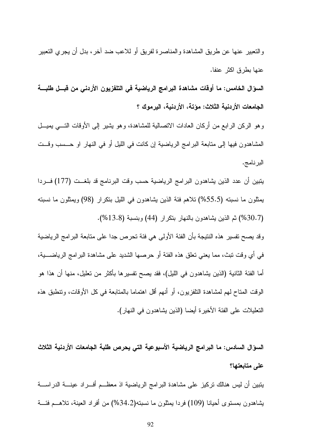و التعبير ِ عنها عن طريق المشاهدة و المناصر ة لفريق أو للاعب ضد آخر ، بدل أن يجري التعبير عنها بطرق اكثر عنفا.

السوّال الخامس: ما أوقات مشاهدة البرامج الرياضية في التلفزيون الأردني من قبـــل طلبـــة الجامعات الأردنية الثلاث: مؤتة، الأردنية، اليرموك ؟

و هو الركن الرابع من أركان العادات الاتصالية للمشاهدة، و هو يشير إلى الأوقات التــــى بميـــل المشاهدون فيها إلى متابعة البرامج الرياضية إن كانت في الليل أو في النهار او حـــسب وقـــت البرنامج.

يتبين أن عدد الذين يشاهدون البرامج الرياضية حسب وقت البرنامج قد بلغـــت (177) فـــردا بِمثلونِ ما نسبتِه (55.5%) تلاهم فئة الذين بِشاهدونِ في الليلِ بتكرارِ (98) ويمثلونِ ما نسبتِه (30.7%) ثم الذين يشاهدون بالنهار بنكرار (44) وبنسبة (13.8%).

وقد بصح تفسير هذه النتيجة بأن الفئة الأولى هي فئة تحرص جدا على متابعة البرامج الرياضية في أي وقت نبث، مما يعني نعلق هذه الفئة أو حرصها الشديد على مشاهدة البرامج الرياضــــبة، أما الفئة الثانية (الذين يشاهدون في الليل)، فقد يصح تفسير ها بأكثر من تعليل، منها أن هذا هو الوقت المناح لهم لمشاهدة النلفزيون، أو أنهم أقل اهتماما بالمنابعة في كل الأوقات، ونتطبق هذه النعليلات على الفئة الأخيرة أيضا (الذين يشاهدون في النهار).

السوّال السادس: ما البرامج الرياضية الأسبوعية التي يحرص طلبة الجامعات الأردنية الثلاث على متابعتها؟

يتبين أن ليس هنالك تركيز على مشاهدة البرامج الرياضية اذ معظــم أفـــراد عينــــة الدراســــة يشاهدون بمستوى أحيانا (109) فردا يمثلون ما نسبته(34.2%) من أفراد العينة، تلاهـــم فئـــة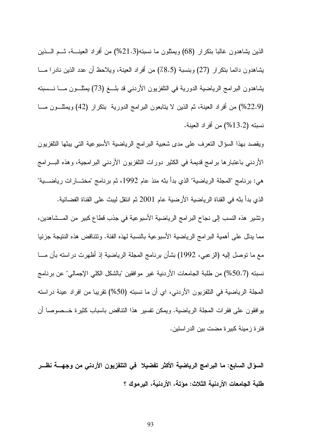الذين بِشاهدون غالبًا بِتكرَّارٍ (68) ويُمثِّلون ما نسبته(21.3%) مِن أفراد العينـــة، شــم الـــذين يشاهدون دائما بنكرار (27) وبنسبة (8.5٪) من أفراد العينة، ويلاحظ أن عدد الذين نادرا مـــا يشاهدون البرامج الرياضية الدورية في التلفزيون الأردني قد بلـــغ (73) يمثلـــون مــــا نــــسبته (22.9%) من أفراد العينة، ثم الذين لا يتابعون البرامج الدورية بتكرار (42) ويمثلـــون مـــا نسبته (13.2%) من أفر اد العينة.

ويقصد بهذا السؤال النعرف على مدى شعبية البرامج الرياضية الأسبوعية التي يبثها النلفزيون الأردنبي باعتبارها برامج قديمة في الكثير دورات التلفزيون الأردنبي البرامجية، وهذه البـــرامج هي: برنامج "المجلة الرياضية" الذي بدأ بنه منذ عام 1992، ثم برنامج "مختـــارات رياضــــية" الذي بدأ بنه في القناة الرياضية الأرضية عام 2001 ثم انتقل ليبث على القناة الفضائية.

وتشير ٍ هذه النسب إلى نجاح البر امج الرياضية الأسبوعية في جذب قطاع كبير ٍ من المـــشاهدين، مما يدلل على أهمية البر امج الرياضية الأسبوعية بالنسبة لهذه الفئة. ونتناقض هذه النتيجة جزئيا مع ما نوصل إليه (الزعبي، 1992) بشأن برنامج المجلة الرياضية إذ أظهرت دراسته بأن مـــا نسبنه (50.7%) من طلبة الجامعات الأردنية غير موافقين "بالشكل الكلي الإجمالي" عن برنامج المجلة الرياضية في النلفزيون الأردني، اي أن ما نسبته (50%) تقريبا من افراد عينة دراسته بوافقون على فقرات المجلة الرياضية. ويمكن تفسير هذا النتاقض باسباب كثيرة خـــصوصـا أن فترة زمينة كبيرة مضت بين الدر استين.

السوَّال السابع: ما البرامج الرياضية الأكثر تفضيلا ۖ في التلفزيون الأردني من وجهــــة نظـــر طلبة الجامعات الأردنية الثلاث: مؤتة، الأردنية، اليرموك ؟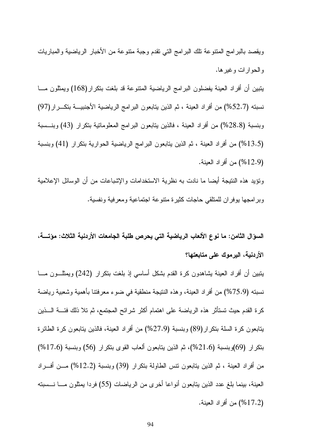ويقصد بالبر امج المنتوعة نلك البر امج التي نقدم وجبة منتوعة من الأخبار الرياضية والمباريات و الحو ار ات و غير ها.

يتبين أن أفراد العينة يفضلون البرامج الرياضية المتنوعة قد بلغت بتكرار(168) ويمثلون مـــا نسبته (52.7%) من أفراد العينة ، ثم الذين يتابعون البرامج الرياضية الأجنبيـــة بتكـــرار (97) وبنسبة (28.8%) من أفراد العينة ، فالذين بتابعون البرامج المعلوماتية بتكرار (43) وبنـــسبة (13.5%) من أفراد العينة ، ثم الذين يتابعون البر امج الرياضية الحوارية بتكرار (41) وبنسبة (12.9%) من أفر اد العينة.

ونؤيد هذه النتيجة أيضا ما نادت به نظرية الاستخدامات والإشباعات من أن الوسائل الإعلامية وبرامجها يوفران للمتلقى حاجات كثيرة متنوعة اجتماعية ومعرفية ونفسية.

السوَّال الثامن: ما نوع الألعاب الرياضية التي يحرص طلبة الجامعات الأردنية الثلاث: مؤتــــة، الأردنية، اليرموك على متابعتها؟

يتبين أن أفراد العينة يشاهدون كرة القدم بشكل أساسي إذ بلغت بتكرار (242) ويمثلـــون مــــا نسبته (75.9%) من أفراد العينة، وهذه النتيجة منطقية في ضوء معرفتنا بأهمية وشعبية رياضة كرة القدم حيث تستأثر هذه الرياضة على اهتمام أكثر شرائح المجتمع، ثم تلا ذلك فئــــة الــــذين بتابعون كرة السلة بتكرار (89) وبنسبة (27.9%) من أفراد العينة، فالذين بتابعون كرة الطائرة بتكرار (69)وبنسبة (21.6%)، ثم الذين يتابعون ألعاب القوى بتكرار (56) وبنسبة (17.6%) من أفراد العينة ، ثم الذين يتابعون نتس الطاولة بتكرار (39) وبنسبة (12.2%) مـــن أفـــراد العينة، بينما بلغ عدد الذين يتابعون أنواعا أخرى من الرياضات (55) فردا يمثلون مـــا نـــسبته (17.2%) من أفراد العينة.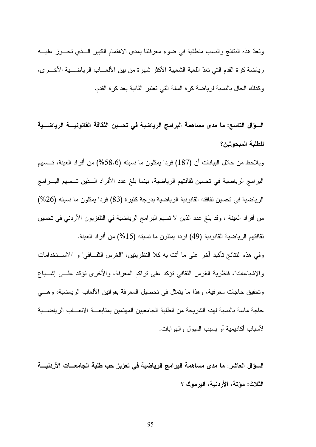ونعدٌ هذه النتائج والنسب منطقية في ضوء معرفتنا بمدى الاهتمام الكبير السذى تحسوز عليـــه رياضة كرة القدم التي تعدّ اللعبة الشعبية الأكثر شهرة من بين الألعـــاب الرياضــــية الأخـــر ي، وكذلك الحال بالنسبة لرياضة كرة السلة التي تعتبر الثانية بعد كرة القدم.

السوَّال التاسع: ما مدى مساهمة البرامج الرياضية في تحسين الثقافة القانونيــــة الرياضـــية للطلبة المبحوثين؟

ويلاحظ من خلال البيانات أن (187) فردا بمثلون ما نسبته (58.6%) من أفراد العينة، تـــسهم البرامج الرياضية في تحسين ثقافتهم الرياضية، بينما بلغ عدد الأفراد الــذين تــسهم البـــرامج الرياضية في تحسين ثقافته القانونية الرياضية بدرجة كثيرة (83) فردا يمثلون ما نسبته (26%) من أفراد العينة ، وقد بلغ عدد الذين لا تسهم البرامج الرياضية في النلفزيون الأردني في تحسين نقافتهم الرياضية القانونية (49) فردا يمثلون ما نسبته (15%) من أفراد العينة.

وفي هذه النتائج تأكيد آخر على ما أنت به كلا النظريتين، "الغرس النقـــافي" و "الاســـتخدامات والإشباعات"، فنظرية الغرس النقافي نؤكد على نراكم المعرفة، والأخرى نؤكد علـــي إشـــباع ونَحقيق حاجات معرفية، وهذا ما يتمثَّل في تحصيل المعرفة بقوانين الألعاب الرياضية، وهـــي حاجة ماسة بالنسبة لهذه الشريحة من الطلبة الجامعيين المهتمين بمتابعـــة الالعـــاب الرياضــــية لأسباب أكاديمية أو بسبب الميول والهوايات.

السوّال العاشر : ما مدى مساهمة البرامج الرياضية في تعزيز حب طلبة الجامعــات الأردنيـــة الثلاث: مؤتة، الأردنية، اليرموك ؟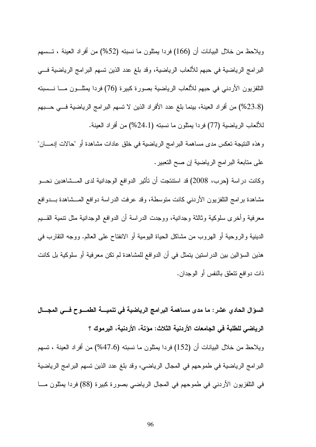ويلاحظ من خلال البيانات أن (166) فردا يمثلون ما نسبته (52%) من أفراد العينة ، تـــسهم البرامج الرياضية في حبهم للألعاب الرياضية، وقد بلغ عدد الذين تسهم البرامج الرياضية فـــي التلفزيون الأردني في حبهم للألعاب الرياضية بصورة كبيرة (76) فردا بمثلـــون مــــا نــــسبته (23.8%) من أفراد العينة، بينما بلغ عدد الأفراد الذين لا نسهم البرامج الرياضية فــي حــبهم للألعاب الرياضية (77) فردا بمثلون ما نسبته (24.1%) من أفر اد العينة.

وهذه النتيجة تعكس مدى مساهمة البرامج الرياضية في خلق عادات مشاهدة أو "حالات إدمــان" على منابعة البرامج الرياضية إن صح النعبير .

وكانت دراسة (حرب، 2008) قد استنتجت أن تأثير الدوافع الوجدانية لدى المـــشاهدين نحـــو مشاهدة برامج النلفزيون الأردنبي كانت متوسطة، وقد عرفت الدراسة دوافع المـــشاهدة بـــدوافع معرفية وأخرى سلوكية وثالثة وجدانية، ووجدت الدر اسة أن الدوافع الوجدانية مثل نتمية القسيم الدينية والروحية أو الـهروب من مشاكل الـحياة اليومية أو الانفتاح علـي الـعالم. ووجه النقارب فـي هذين السؤالين بين الدراستين يتمثل في أن الدوافع للمشاهدة لم تكن معرفية أو سلوكية بل كانت ذات دو افع نتعلق بالنفس أو الوجدان.

السؤال الحادي عشر : ما مدى مساهمة البرامج الرياضية في تنميــــة الطمــــوح فــــي المجــــال الرياضي للطلبة في الجامعات الأردنية الثلاث: مؤتة، الأردنية، اليرموك ؟ ويلاحظ من خلال البيانات أن (152) فردا يمثلون ما نسبته (47.6%) من أفراد العينة ، تسهم البرامج الرياضية في طموحهم في المجال الرياضي، وقد بلغ عدد الذين تسهم البرامج الرياضية في التلفزيون الأردني في طموحهم في المجال الرياضي بصورة كبيرة (88) فردا بمثلون مـــا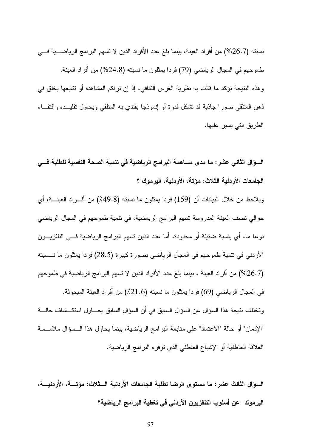نسبته (26.7%) من أفراد العينة، بينما بلغ عدد الأفراد الذين لا نسهم البرامج الرياضــــية فــــي طموحهم في المجال الرياضي (79) فردا يمثلون ما نسبته (24.8%) من أفراد العينة. و هذه النتيجة تؤكد ما قالت به نظرية الغرس الثقافي، إذ إن تراكم المشاهدة أو تتابعها يخلق في ذهن المنلقى صورا جاذبة قد نشكل قدوة أو إنموذجا يقتدى به المنلقى ويحاول نقليـــده واقتفـــاء الطريق التي يسير عليها.

السوَّال الثاني عشر : ما مدى مساهمة البرامج الرياضية في تنمية الصحة النفسية للطلبة فـــي الجامعات الأردنية الثلاث: مؤتة، الأردنية، اليرموك ؟

ويلاحظ من خلال البيانات أن (159) فردا بمثلون ما نسبته (49.8٪) من أفـــراد العينــــة، أي حوالى نصف العينة المدروسة تسهم البرامج الرياضية، في نتمية طموحهم في المجال الرياضي نوعا ما، أي بنسبة ضئيلة أو محدودة، أما عدد الذين نسهم البرامج الرياضية فـــي التلفزيـــون الأردني في نتمية طموحهم في المجال الرياضي بصورة كبيرة (28.5) فردا يمثلون ما نـــسبته (26.7%) من أفراد العينة ، بينما بلغ عدد الأفراد الذين لا تسهم البرامج الرياضية في طموحهم في المجال الرياضي (69) فردا يمثلون ما نسبته (21.6٪) من أفراد العينة المبحوثة. و تختلف نتيجة هذا السوِّ ال عن السوِّ ال السابق في أن السوِّ ال السابق يحــــاو ل استكـــشاف حالــــة "الإدمان" أو حالة "الاعتماد" على متابعة البرامج الرياضية، بينما يحاول هذا الــسؤال ملامــسة العلاقة العاطفية أو الإشباع العاطفي الذي نوفره البرامج الرياضية.

السؤال الثالث عشر: ما مستوى الرضا لطلبة الجامعات الأردنية الــثلاث: مؤتـــة، الأردنيـــة، اليرموك - عن أسلوب التلفزيون الأردني في تغطية البرامج الرياضية؟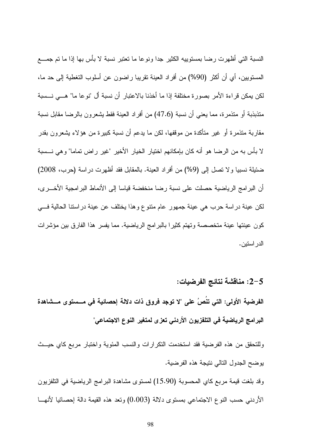النسبة التي أظهرت رضا بمستوييه الكثير جدا ونوعا ما نعتبر نسبة لا بأس بها إذا ما تم جمـــع المستويين، أي أن أكثر (90%) من أفراد العينة تقريبا راضون عن أسلوب التغطية إلى حد ما، لكن يمكن قراءة الأمر بصورة مختلفة إذا ما أخذنا بالاعتبار أن نسبة أل "نوعا ما" هــــى نـــسبة متذبذبة أو متذمرة، مما يعني أن نسبة (47.6) من أفراد العينة فقط يشعرون بالرضا مقابل نسبة مقاربة متذمرة أو غير متأكدة من موقفها، لكن ما يدعم أن نسبة كبيرة من هؤلاء يشعرون بقدر لا بأس به من الرضا هو أنه كان بإمكانهم اختيار الخيار الأخير "غير راض تماما" وهي نـــسبة ضئيلة نسبيا ولا نصل إلى (9%) من أفراد العينة. بالمقابل فقد أظهرت دراسة (حرب، 2008) أن البر امج الرياضية حصلت على نسبة رضا منخفضة قياسا إلى الأنماط البر امجية الأخـــر ي، لكن عينة دراسة حرب هي عينة جمهور عام منتوع وهذا يختلف عن عينة دراستنا الحالية فـــي كون عينتها عينة متخصصة وتهتم كثيرًا بالبرامج الرياضية. مما يفسر هذا الفارق بين مؤشرات الدر استين.

2-5: مناقشة نتائج الفرضيات:

الفرضية الأولى: التي تنُصُ على "لا توجد فروق ذات دلالة إحصائية في مـــستوى مـــشاهدة البرامج الرياضية في التلفزيون الأردني تعزى لمتغير النوع الاجتماعي"

وللتحقق من هذه الفرضية فقد استخدمت التكرارات والنسب المئوية واختبار مربع كاي حيــث يوضح الجدول التالي نتيجة هذه الفرضية.

وقد بلغت قيمة مربع كاي المحسوبة (15.90) لمستوى مشاهدة البرامج الرياضية في التلفزيون الأردنبي حسب النوع الاجتماعي بمستوى دلالة (0.003) ونعد هذه القيمة دالة اِحصائيا لأنهـــا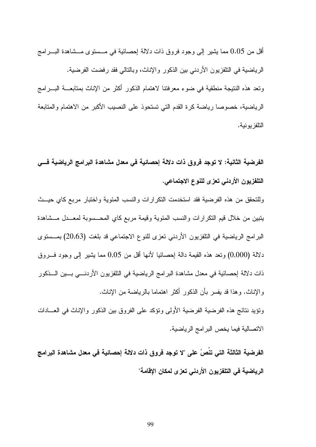أقل من 0.05 مما يشير إلى وجود فروق ذات دلالة إحصائية في مـــستوى مـــشاهدة البــــر امج الرياضية في التلفزيون الأردني بين الذكور والإناث، وبالتالي فقد رفضت الفرضية. وتعد هذه النتيجة منطقية في ضوء معرفتنا لاهتمام الذكور أكثر من الإناث بمتابعــــة البــــرامج الرياضية، خصوصاً رياضة كرة القدم التي تستحوذ على النصيب الأكبر من الاهتمام والمتابعة التلفز يو نية.

الفرضية الثانية: لا توجد فروق ذات دلالة إحصائية في معدل مشاهدة البرامج الرياضية فـــي التلفزيون الأردني تعزى للنوع الاجتماعي.

وللتحقق من هذه الفرضية فقد استخدمت التكرارات والنسب المئوية واختبار مربع كاي حيسث يتبين من خلال قيم النكر ارات والنسب المئوية وقيمة مربع كاي المحــسوبة لمعــدل مــشاهدة البرامج الرياضية في التلفزيون الأردني تعزى للنوع الاجتماعي قد بلغت (20,63) بمـــستوى دلالة (0,000) ونعد هذه القيمة دالة احصائيا لأنها أقل من 0,05 مما يشير إلى وجود فسروق ذات دلالة إحصائية في معدل مشاهدة البرامج الرياضية في التلفزيون الأردنـــي بـــين الـــذكور والإناث. وهذا قد يفسر بأن الذكور أكثر اهتماما بالرياضة من الإناث.

ونؤيد نتائج هذه الفرضية الفرضية الأولى ونؤكد على الفروق بين الذكور والإناث في العسادات الاتصالية فيما يخص البر امج الرياضية.

الفرضية الثالثة التي تنُصُ على "لا توجد فروق ذات دلالة إحصائية في معدل مشاهدة البرامج الرياضية في التلفزيون الأردني تعزى لمكان الإقامة"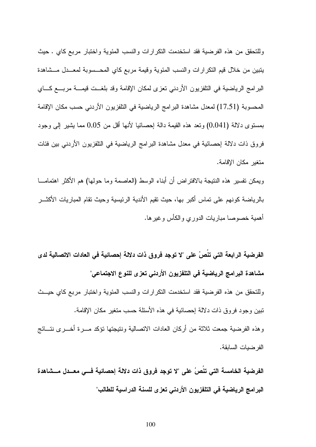وللتحقق من هذه الفرضية فقد استخدمت التكر ارات والنسب المئوية واختبار مربع كاي . حيث يتبين من خلال قيم النكر ارات والنسب المئوية وقيمة مربع كاي المحـــسوبة لمعـــدل مـــشاهدة البرامج الرياضية في التلفزيون الأردني تعزى لمكان الإقامة وقد بلغــت قيمـــة مربـــع كـــاي المحسوبة (17,51) لمعدل مشاهدة البرامج الرياضية في النلفزيون الأردني حسب مكان الإقامة بمستوى دلالة (0,041) وتعد هذه القيمة دالة احصـائيا لأنها أقل من 0,05 مما بشير الى وجود فروق ذات دلالة إحصائية في معدل مشاهدة البر امج الرياضية في التلفزيون الأريني بين فئات متغبر مكان الإقامة.

ويمكن تفسير هذه النتيجة بالافتراض أن أبناء الوسط (العاصمة وما حولها) هم الأكثر اهتمامـــا بالرياضة كونهم على تماس أكبر بها، حيث تقيم الأندية الرئيسية وحيث تقام المباريات الأكثـــر أهمية خصوصا مباريات الدوري والكأس وغير ها.

الفرضية الرابعة التي تنُصُ على "لا توجد فروق ذات دلالة إحصائية في العادات الاتصالية لدى مشاهدة البرامج الرياضية في التلفزيون الأردني تعزى للنوع الاجتماعي" وللتحقق من هذه الفرضية فقد استخدمت التكرارات والنسب المئوية واختبار مربع كاي حيــث تبين وجود فروق ذات دلالة احصائية في هذه الأسئلة حسب متغير مكان الإقامة. وهذه الفرضية جمعت ثلاثة من أركان العادات الاتصالية ونتيجتها نؤكد مسرة أخسري نتسائج الفر ضيات السابقة.

الفرضية الخامسة التي تنُصُ على "لا توجد فروق ذات دلالة إحصائية فـــي معــدل مـــشاهدة البرامج الرياضية في التلفزيون الأردني تعزى للسنة الدراسية للطالب"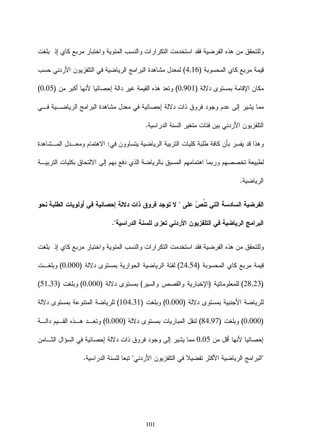وللتحقق من هذه الفرضية فقد استخدمت النكر ارات والنسب المئوية واختبار مربع كاي إذ بلغت قيمة مربع كاي المحسوبة (4,16) لمعدل مشاهدة البرامج الرياضية في النلفزيون الأردني حسب مكان الإقامة بمستوى دلالة (0,901) ونعد هذه القيمة غير دالة إحصائيا لأنها اكبر من (0,05) مما يشير إلى عدم وجود فروق ذات دلالة إحصائية في معدل مشاهدة البرامج الرياضـــــية فــــي التلفزيون الأردني بين فئات متغير السنة الدراسية.

وهذا قد يفسر بأن كافة طلبة كليات النربية الرياضية يتساوون في: الاهتمام ومعـــدل المـــشاهدة لطبيعة تخصصمهم وربما اهتمامهم المسبق بالرياضة الذي دفع بهم إلى الالتحاق بكليات التربيـــة الرياضية.

الفرضية السادسة التي تنصُ على " لا توجد فروق ذات دلالة إحصائية في أولويات الطلبة نحو البرامج الرياضية في التلفزيون الأردني تعزى للسنة الدراسية".

وللتحقق من هذه الفرضية فقد استخدمت النكر ارات والنسب المئوية واختبار مربع كاي إذ بلغت قيمة مربع كاي المحسوبة (24,54) لفئة الرياضية الحوارية بمستوى دلالة (0,000) وبلغـــت (28,23) للمعلوماتية (الإخبارية والقصص والسير) بمستوى دلالة (0,000) وبلغت (51,33) للرياضة الأجنبية بمستوى دلالة (0,000) وبلغت (104,31) للرياضة المتنوعة بمستوى دلالة (0,000) وبلغت (84,97) لنقل المباريات بمستوى دلالة (0,000) وتعـــد هـــذه القــــيم دالــــة إحصائيا لأنـها أقل من 0,05 ممـا يشير إلـى وجود فروق ذات دلالـة إحصـائيـة فـي السؤال الشـــامن "البرامج الرياضية الأكثر تفضيلا في النلفزيون الأردني" تبعا للسنة الدراسية.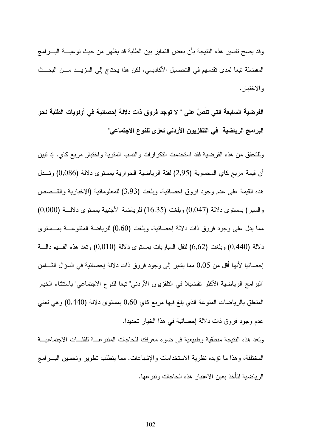وقد يصبح تفسير ٍ هذه النتيجة بأن بعض التمايز بين الطلبة قد يظهر ٍ من حيث نو عيــــة البــــر امج المفضلة تبعا لمدى تقدمهم في التحصيل الأكاديمي، لكن هذا يحتاج إلى المزيـــد مـــن البحـــث و الاختيار .

الفرضية السابعة التى تنُصُ على " لا توجد فروق ذات دلالة إحصائية في أولويات الطلبة نحو البرامج الرياضية في التلفزيون الأردني تعزى للنوع الاجتماعي"

وللتحقق من هذه الفرضية فقد استخدمت التكرارات والنسب المئوية واختبار مربع كاي. إذ تبين أن قيمة مربع كاي المحسوبة (2,95) لفئة الرياضية الحوارية بمستوى دلالة (0,086) وتسدل هذه القيمة على عدم وجود فروق اِحصائية، وبلغت (3,93) للمعلوماتية (الإخبارية والقــصص والسير) بمستوى دلالة (0,047) وبلغت (16,35) للرياضة الأجنبية بمستوى دلالـــة (0,000) مما يدل على وجود فروق ذات دلالة إحصائية، وبلغت (0,60) للرياضة المنتوعـــة بمـــستوى دلالة (0,440) وبلغت (6,62) لنقل المباريات بمستوى دلالة (0,010) ونعد هذه القسيم دالسة إحصائيا لأنها أقل من 0,05 مما يشير إلى وجود فروق ذات دلالة إحصائية في السؤال الشَّــامن "البرامج الرياضية الأكثر تفضيلا في التلفزيون الأردني" تبعا للنوع الاجتماعي" باستثناء الخيار المتعلق بالرياضات المنوعة الذي بلغ فيها مربع كاي 0,60 بمستوى دلالة (0,440) وهي نعني عدم وجود فروق ذات دلالة إحصائية في هذا الخيار تحديدا.

ونعد هذه النتيجة منطقية وطبيعية في ضوء معرفتنا للحاجات المنتوعسة للفئسات الاجتماعيسة المختلفة، و هذا ما نؤيده نظرية الاستخدامات و الإشباعات. مما يتطلب نطوير و نحسين البـــر امج الرياضية لتأخذ بعين الاعتبار هذه الحاجات وتنوعها.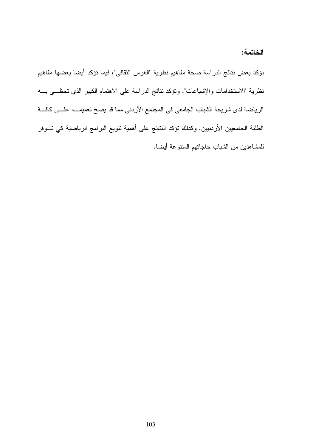الخاتمة:

نؤكد بعض نتائج الدراسة صحة مفاهيم نظرية "الغرس الثقافي"، فيما نؤكد أيضا بعضها مفاهيم نظرية "الاستخدامات والإشباعات". ونؤكد نتائج الدراسة على الاهتمام الكبير الذي تحظـــي بــــه الرياضة لدى شريحة الشباب الجامعي في المجتمع الأردني مما قد يصح تعميمــــه علــــى كافــــة الطلبة الجامعيين الأردنيين. وكذلك نؤكد النتائج على أهمية نتويع البرامج الرياضية كي تـــوفر للمشاهدين من الشباب حاجاتهم المتنوعة أيضا.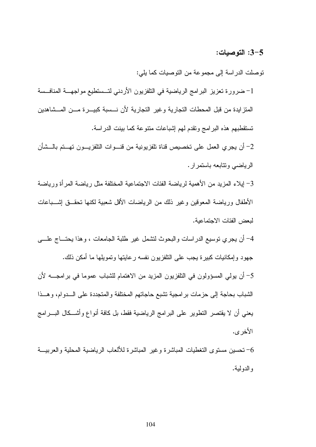#### 3-5: التوصيات:

نوصلت الدراسة إلى مجموعة من النوصيات كما يلي:

1– ضرورة تعزيز البرامج الرياضية في التلفزيون الأردني لتــستطيع مواجهـــة المنافــسة المنزايدة من قبل المحطات النجارية وغير النجارية لأن نسسبة كبيـــرة مـــن المـــشاهدين تستقطبهم هذه البرامج وتقدم لهم إشباعات منتوعة كما بينت الدراسة.

2– أن يجرى العمل على تخصيص قناة تلفزيونية من قنسوات التلفزيسون تهستم بالسشأن الر باضبی ونتابعه باستمر ار .

3– ايلاء المزيد من الأهمية لرياضة الفئات الاجتماعية المختلفة مثل رياضة المر أة ورياضة الأطفال ورياضة المعوقين وغير ذلك من الرياضات الأقل شعبية لكنها تحقــق إشـــباعات لبعض الفئات الاجتماعبة.

4– أن يجرى نوسيع الدراسات والبحوث لتشمل غير طلبة الجامعات ، وهذا يحتـــاج علــــى جهود وإمكانيات كبيرة يجب على النافزيون نفسه رعايتها وتمويلها ما أمكن ذلك. 5– أن يولِّي المسؤولون في التلفزيون المزيد من الاهتمام للشباب عموما في برامجــــه لأن الشباب بحاجة إلى حزمات برامجية نشبع حاجاتهم المختلفة والمتجددة على السدوام، وهسذا

يعني أن لا يقتصر التطوير على البرامج الرياضية فقط، بل كافة أنواع وأشــكال البـــرامج الأخر ي.

خصين مستوى التغطيات المباشرة وغير المباشرة للألعاب الرياضية المحلية والعربيـــة  $\hbox{--}$ و الدو لبة.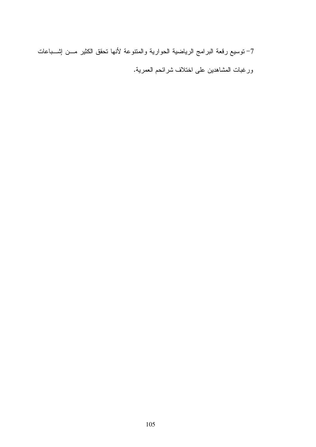7– توسيع رقعة البرامج الرياضية الحوارية والمتنوعة لأنها تحقق الكثير مـــن إثســباعات ورغبات المشاهدين على اختلاف شرائحم العمرية.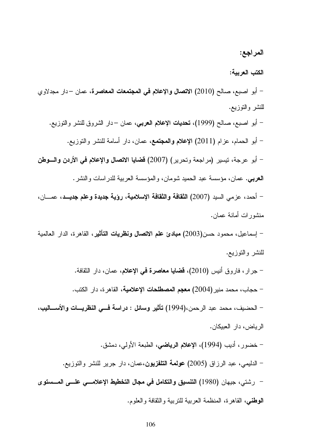#### المراجع:

#### الكتب العرببة:

– أبو اصبع، صالح (2010) ال**اتصال والإعلام في المجتمعات المعاصر ة**، ع*مان –دار* مجدلاو ي للنشر والنوزيع.

– أبو اصبع، صالح (1999)، **تحديات الإعلام الـعربـي**، عمان –دار الشروق للنشر والنوزيـع. – أبو الحمام، عزام (2011) الإعلام والمعتمع، عمان، دار أسامة للنشر والتوزيع. – أبو عرجة، نيسير (مراجعة ونحرير) (2007) قضايا الاتصال والإعلام في الأردن والسوطن **العربي**. عمان، مؤسسة عبد الحميد شومان، والمؤسسة العربية للدراسات والنشر . – أحمد، عز مي السيد (2007) ا**لثقافة والثقافة الإسلامية**، ر**ؤية جديدة وعلم جديــد**، عمـــان،

## منشور ات أمانـة عمـان.

– إسماعيل، محمود حسن(2003) **مبادئ علم الاتصال ونظريات التأثير**، القاهرة، الدار العالمية للنشر والتوزيع.

- جرار ، فاروق أنيس (2010)، **قضايا معاصرة في الإعلام**، عمان، دار الثقافة.
	- حجاب، محمد منير (2004) **معجم المصطلحات الإعلامية**، القاهر ة، دار الكتب.

– الحضيف، محمد عبد الرحمن،(1994) تأثير وسائل : دراسة فسي النظريسات والأسساليب، الرباض، دار العببكان.

- خضور ، أديب (1994)، الإعلام الرياضي، الطبعة الأولى، دمشق.
- الدليمي، عبد الرزاق (2005) **عولمة التلفزيون**،عمان، دار جرير للنشر والنوزيع.
- رشتي، جيهان (1980) التنسيق والتكامل في مجال التخطيط الإعلامسي علسى المسستوى **الوطني،** القاهرة، المنظمة العربية للنربية والنقافة والعلوم.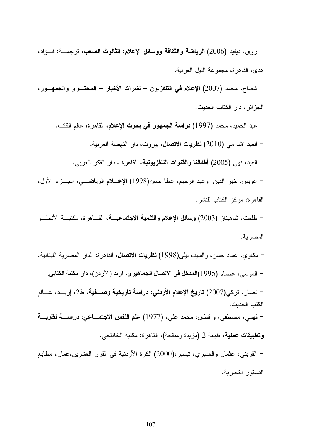– روي، ديفيد (2006) **الرياضة والثقافة ووسائل الإعلام: الثالوث الصعب**، ترجمـــة: فـــؤاد، هدى، القاهرة، مجموعة النيل العربية.

– شطاح، محمد (2007) الإعلام في التلفزيون – نشرات الأخبار – المحتـــوى والجمهـــور. الجز ائر ، دار الكتاب الحديث.

– عبد الحميد، محمد (1997) **دراسة الجمهور في بحوث الإعلام**، القاهر ة، عالم الكتب. – العبد الله، مي (2010) **نظريات الاتصال**، بيروت، دار النهضة العربية. – العبد، نهى (2005) أ**طفالنا والقنوات التلفزيونية**، القاهرة ، دار الفكر العرب*ي*. – عويس، خير الدين وعبد الرحيم، عطا حسن(1998) الإعسلام ال**رياضـــي**، الجـــزء الأول، القاهرة، مركز الكتاب للنشر .

– طلعت، شاهيناز (2003) وسائل الإعلام والتنمية الاجتماعيـــة، القـــاهرة، مكتبـــة الأنـجلـــو المصرية.

– مكاوي، عماد حسن، والسيد، ليل<sub>ِّ</sub>ي(1998) **نظريات الاتصال**، القاهرة: الدار المصرية اللبنانية. – الموسى، عصـام (1995)ا**لمدخل في الاتصال الجماهيري**، اربد (الأردن)، دار مكتبة الكتابي. – نصار ، تركي(2007) **تاريخ الإعلام الأردني: دراسة تاريخية وصــــفية**، ط2، إربـــد، عــــالم الكتب الحديث. – فهمي، مصطفى، و قطان، محمد علي، (1977) **علم النفس الاجتمــــاعي: دراســـــة نظريــــة** وتطبيقات عملية، طبعة 2 (مزيدة ومنقحة)، القاهرة: مكتبة الخانقجي. – القريني، عثمان والعميري، نيسير، $(2000)$  الكرة الأردنية في القرن العشرين،عمان، مطابع الدستور التجارية.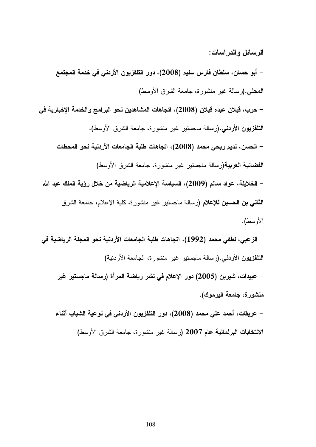الرسائل والدراسات:

– أبو حسان، سلطان فارس سليم (2008)، دور التلفزيون الأردني في خدمة المجتمع المعطي.(رسالة غير منشورة، جامعة الشرق الأوسط) – حرب، فبلان عبده فبلان (2008)، اتجاهات المشاهدين نحو البرامج والخدمة الإخبارية في ال**نتلفزيون الأردنـي.(**رسالـة مـاجستير غير منشورة، جامعة الشرق الأوسط). – الحسن، نديم ربحي محمد (2008)، اتجاهات طلبة الجامعات الأردنية نحو المحطات الفضائية العربية(رسالة ماجستير غير منشورة، جامعة الشرق الأوسط) – الخلايلة، عواد سالم (2009)، السياسة الإعلامية الرياضية من خلال رؤية الملك عبد الله **الثاني بن الحسين للإعلام (رسالة ماجستير غير منشورة، كلية الإعلام، جامعة الشرق** الأوسط). – الزعبي، لطفي محمد (1992)، اتجاهات طلبة الجامعات الأردنية نحو المجلة الرياضية في التلفزيون الأردني.(رسالة ماجستير غير منشورة، الجامعة الأردنية) – عبيدات، شيرين (2005) دور الإعلام في نشر رياضة المرأة (رسالة ماجستير غير

منشورة، جامعة اليرموك).

– عريقات، أحمد على محمد (2008)، دور التلفزيون الأردنـى في توعية الشباب أثنـاء الانتخابات البرلمانية عام 2007 (رسالة غير منشورة، جامعة الشرق الأوسط)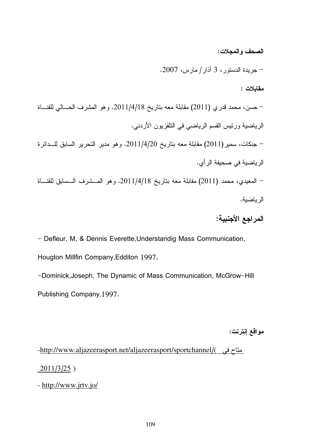#### الصحف و المجلات:

- جريدة الدستور، 3 اذار/ مارس، 2007.  $\,$ مقابلات : – حسن، محمد قدري (2011) مقابلة معه بناريخ 2011/4/18. وهو المشرف الحـــالـي للقنـــاة الرياضية ورئيس القسم الرياضي في النلفزيون الأردني. جنكات، سمير (2011) مقابلة معه بتاريخ 2011/4/20. وهو مدير التحرير السابق للـــدائرة الرياضية في صحيفة الرأ*ي*. – المعيدي، محمد (2011) مقابلة معه بناريخ 2011/4/18. وهو المـــشرف الـــسابق للقنـــاة الرياضية.

# المراجع الأجنبية:

- Defleur, M, & Dennis Everette, Understandig Mass Communication, Hougton Millfin Company,Edditon 1997.

-Dominick, Joseph, The Dynamic of Mass Communication, McGrow-Hill Publishing Company,1997.

#### مواقع إنترنت:

-http://www.aljazeerasport.net/aljazeerasport/sportchannel/( متاح في

2011/3/25 )

- http://www.jrtv.jo/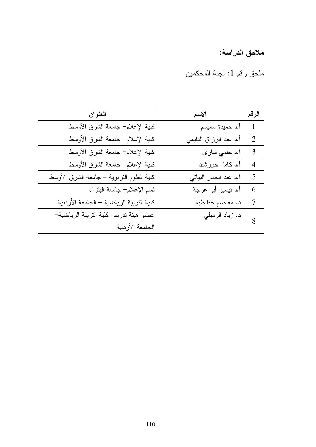# ملاحق الدراسة:

ملحق رقم 1: لجنة المحكمين

| العنوان                                   | الاسم                  | الرقم          |
|-------------------------------------------|------------------------|----------------|
| كلية الإعلام− جامعة الشرق الأوسط          | أ.د حميدة سميسم        | 1              |
| كلية الإعلام− جامعة الشرق الأوسط          | أ.د عبد الرزاق الدليمي | $\overline{2}$ |
| كلية الإعلام− جامعة الشرق الأوسط          | أ.د حلمي ساري          | 3              |
| كلية الإعلام– جامعة الشرق الأوسط          | أ.د كامل خورشيد        | $\overline{4}$ |
| كلية العلوم النزبوية – جامعة الشرق الأوسط | أ.د عبد الجبار البياتي | 5              |
| قسم الإعلام– جامعة البتراء                | أ.د نيسير أبو عرجة     | 6              |
| كلية التربية الرياضية – الجامعة الأردنية  | د. معتصم خطاطبة        | $\tau$         |
| عضو هيئة تدريس كلية التربية الرياضية–     | د. زياد الرميلي        | 8              |
| الجامعة الأردنية                          |                        |                |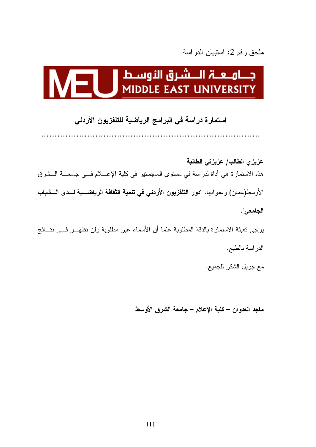# ملحق رقم 2: استبيان الدراسة

# 

### استمارة دراسة في البرامج الرياضية للتلفزيون الأردني

عزيزي الطالب/ عزيزتي الطالبة هذه الاستمارة هي أداة لدراسة في مستوى الماجستير في كلية الإعــــلام فـــي جامعــــة الـــشرق الأوسط(عمان) و عنو انها. "دور التلفزيون الأردني في تنمية الثقافة الرياضـــية لـــدى الـــشباب الجامعي".

برجي نعبئة الاستمارة بالدقة المطلوبة علما أن الأسماء غير مطلوبة ولن نظهـــر فـــي نتـــائج الدر اسة بالطبع.

مع جزيل الشكر للجميع.

ماجد العدوان – كلية الإعلام – جامعة الشرق الأوسط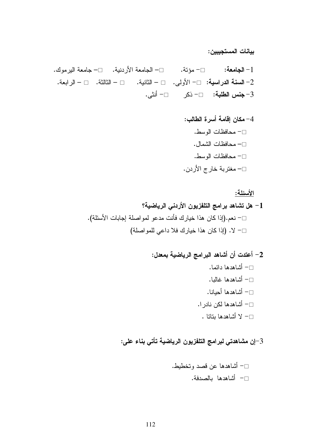بيانات المستجيبين:

<u>الأسئلة:</u>

# 3–إن مشاهدتي لبرامج التلفزيون الرياضية تأتي بناء على: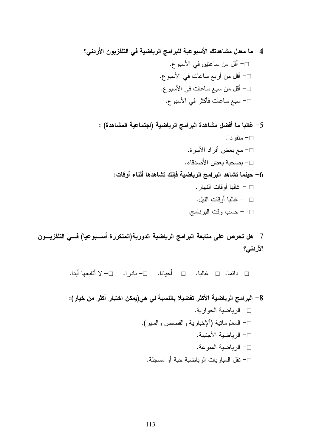7– هل تحرص على متابعة البرامج الرياضية الدورية(المتكررة أســـبوعيا) فـــي التلفزيـــون الأردنس؟

□− دائما. □− غالبا. □− أحيانا. □− نادرا. □− لا أتابعها أبدا.

8– البرامج الرياضية الأكثر تفضيلا بالنسبة لي هي(يمكن اختيار أكثر من خيار): □− الرياضية الحوارية. □− المعلوماتية (ألإخبارية والقصص والسير). □− الرياضية الأجنبية. □− الرياضية المنوعة. □− نقل المباريات الرياضية حية أو مسجلة.